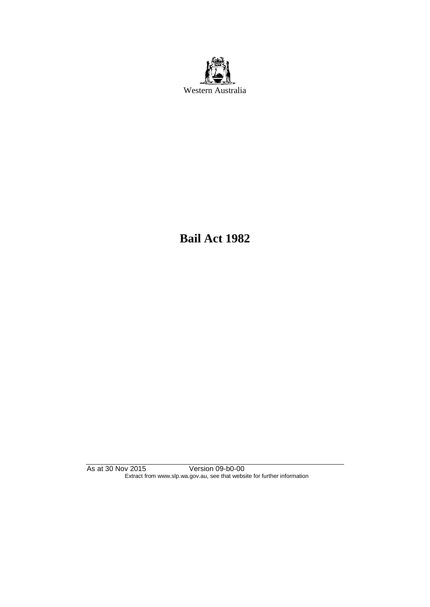

**Bail Act 1982**

As at 30 Nov 2015 Version 09-b0-00 Extract from www.slp.wa.gov.au, see that website for further information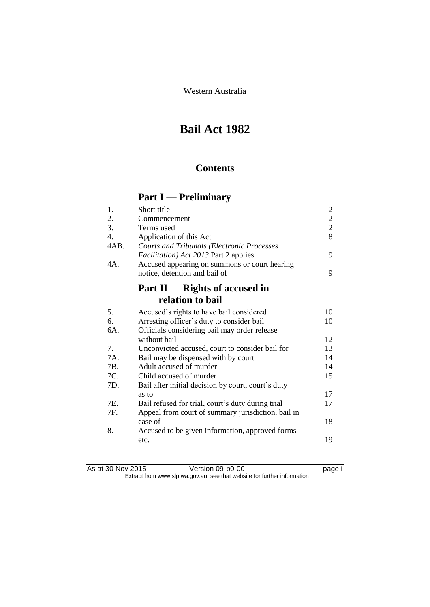Western Australia

# **Bail Act 1982**

## **Contents**

# **Part I — Preliminary**

| 1.               | Short title                                        | $\overline{c}$ |
|------------------|----------------------------------------------------|----------------|
| 2.               | Commencement                                       | $\overline{2}$ |
| 3.               | Terms used                                         | $\overline{2}$ |
| $\overline{4}$ . | Application of this Act                            | 8              |
| 4AB.             | <b>Courts and Tribunals (Electronic Processes</b>  |                |
|                  | <i>Facilitation</i> ) Act 2013 Part 2 applies      | 9              |
| 4A.              | Accused appearing on summons or court hearing      |                |
|                  | notice, detention and bail of                      | 9              |
|                  | Part $II$ — Rights of accused in                   |                |
|                  | relation to bail                                   |                |
| 5.               | Accused's rights to have bail considered           | 10             |
| 6.               | Arresting officer's duty to consider bail          | 10             |
| 6A.              | Officials considering bail may order release       |                |
|                  | without bail                                       | 12             |
| 7.               | Unconvicted accused, court to consider bail for    | 13             |
| 7A.              | Bail may be dispensed with by court                | 14             |
| 7B.              | Adult accused of murder                            | 14             |
| 7C.              | Child accused of murder                            | 15             |
| 7D.              | Bail after initial decision by court, court's duty |                |
|                  | as to                                              | 17             |
| 7E.              | Bail refused for trial, court's duty during trial  | 17             |
| 7F.              | Appeal from court of summary jurisdiction, bail in |                |
|                  | case of                                            | 18             |
| 8.               | Accused to be given information, approved forms    |                |
|                  | etc.                                               | 19             |

| As at 30 Nov 2015 | Version 09-b0-00                                                         | page i |
|-------------------|--------------------------------------------------------------------------|--------|
|                   | Extract from www.slp.wa.gov.au, see that website for further information |        |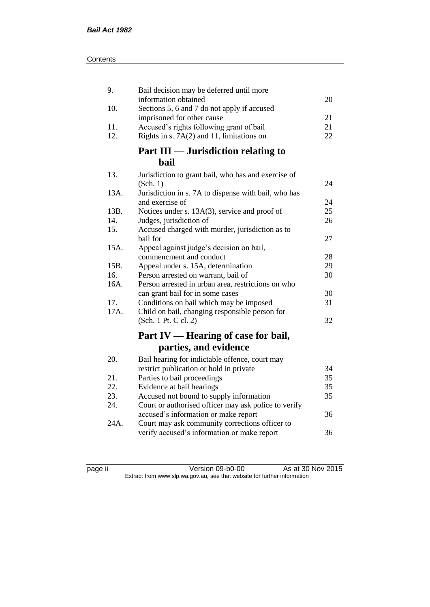| 9.   | Bail decision may be deferred until more             |    |
|------|------------------------------------------------------|----|
|      | information obtained                                 | 20 |
| 10.  | Sections 5, 6 and 7 do not apply if accused          |    |
|      | imprisoned for other cause                           | 21 |
| 11.  | Accused's rights following grant of bail             | 21 |
| 12.  | Rights in s. 7A(2) and 11, limitations on            | 22 |
|      | Part III — Jurisdiction relating to                  |    |
|      | <b>bail</b>                                          |    |
| 13.  | Jurisdiction to grant bail, who has and exercise of  |    |
|      | (Sch. 1)                                             | 24 |
| 13A. | Jurisdiction in s. 7A to dispense with bail, who has |    |
|      | and exercise of                                      | 24 |
| 13B. | Notices under s. 13A(3), service and proof of        | 25 |
| 14.  | Judges, jurisdiction of                              | 26 |
| 15.  | Accused charged with murder, jurisdiction as to      |    |
|      | bail for                                             | 27 |
| 15A. | Appeal against judge's decision on bail,             |    |
|      | commencment and conduct                              | 28 |
| 15B. | Appeal under s. 15A, determination                   | 29 |
| 16.  | Person arrested on warrant, bail of                  | 30 |
| 16A. | Person arrested in urban area, restrictions on who   |    |
|      | can grant bail for in some cases                     | 30 |
| 17.  | Conditions on bail which may be imposed              | 31 |
| 17A. | Child on bail, changing responsible person for       |    |
|      | (Sch. 1 Pt. C cl. 2)                                 | 32 |
|      | Part IV — Hearing of case for bail,                  |    |
|      | parties, and evidence                                |    |
| 20.  | Bail hearing for indictable offence, court may       |    |
|      | restrict publication or hold in private              | 34 |
| 21.  | Parties to bail proceedings                          | 35 |
| 22.  | Evidence at bail hearings                            | 35 |
| 23.  | Accused not bound to supply information              | 35 |
| 24.  | Court or authorised officer may ask police to verify |    |
|      | accused's information or make report                 | 36 |
| 24A. | Court may ask community corrections officer to       |    |
|      | verify accused's information or make report          | 36 |

page ii Version 09-b0-00 As at 30 Nov 2015 Extract from www.slp.wa.gov.au, see that website for further information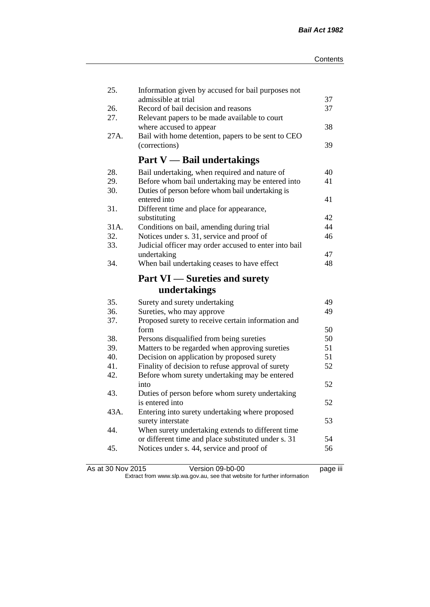| 25.  | Information given by accused for bail purposes not<br>admissible at trial |          |
|------|---------------------------------------------------------------------------|----------|
| 26.  | Record of bail decision and reasons                                       | 37<br>37 |
| 27.  | Relevant papers to be made available to court                             |          |
|      | where accused to appear                                                   | 38       |
| 27A. | Bail with home detention, papers to be sent to CEO                        |          |
|      | (corrections)                                                             | 39       |
|      |                                                                           |          |
|      | <b>Part V</b> — Bail undertakings                                         |          |
| 28.  | Bail undertaking, when required and nature of                             | 40       |
| 29.  | Before whom bail undertaking may be entered into                          | 41       |
| 30.  | Duties of person before whom bail undertaking is                          |          |
|      | entered into                                                              | 41       |
| 31.  | Different time and place for appearance,                                  |          |
|      | substituting                                                              | 42       |
| 31A. | Conditions on bail, amending during trial                                 | 44       |
| 32.  | Notices under s. 31, service and proof of                                 | 46       |
| 33.  | Judicial officer may order accused to enter into bail                     |          |
|      | undertaking                                                               | 47       |
| 34.  | When bail undertaking ceases to have effect                               | 48       |
|      | <b>Part VI</b> - Sureties and surety                                      |          |
|      | undertakings                                                              |          |
| 35.  | Surety and surety undertaking                                             | 49       |
| 36.  | Sureties, who may approve                                                 | 49       |
|      |                                                                           |          |
| 37.  |                                                                           |          |
|      | Proposed surety to receive certain information and<br>form                | 50       |
| 38.  | Persons disqualified from being sureties                                  | 50       |
| 39.  | Matters to be regarded when approving sureties                            | 51       |
| 40.  | Decision on application by proposed surety                                | 51       |
| 41.  | Finality of decision to refuse approval of surety                         | 52       |
| 42.  | Before whom surety undertaking may be entered                             |          |
|      | into                                                                      | 52       |
| 43.  | Duties of person before whom surety undertaking                           |          |
|      | is entered into                                                           | 52       |
| 43A. | Entering into surety undertaking where proposed                           |          |
|      | surety interstate                                                         | 53       |
| 44.  | When surety undertaking extends to different time                         |          |
|      | or different time and place substituted under s. 31                       | 54       |
| 45.  | Notices under s. 44, service and proof of                                 | 56       |

As at 30 Nov 2015 Version 09-b0-00 page iii Extract from www.slp.wa.gov.au, see that website for further information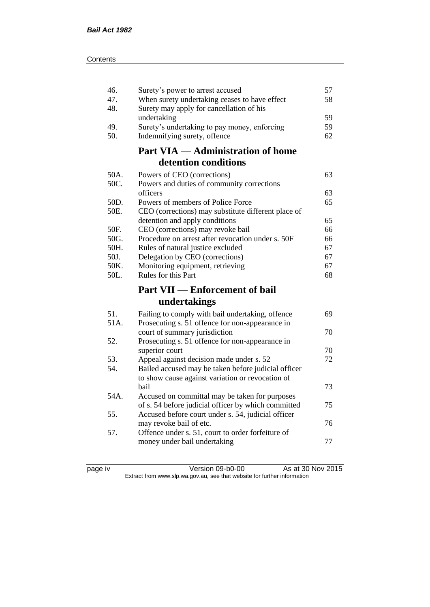| 46.  | Surety's power to arrest accused                    | 57 |
|------|-----------------------------------------------------|----|
| 47.  | When surety undertaking ceases to have effect       | 58 |
| 48.  | Surety may apply for cancellation of his            |    |
|      | undertaking                                         | 59 |
| 49.  | Surety's undertaking to pay money, enforcing        | 59 |
| 50.  | Indemnifying surety, offence                        | 62 |
|      | <b>Part VIA — Administration of home</b>            |    |
|      | detention conditions                                |    |
| 50A. | Powers of CEO (corrections)                         | 63 |
| 50C. | Powers and duties of community corrections          |    |
|      | officers                                            | 63 |
| 50D. | Powers of members of Police Force                   | 65 |
| 50E. | CEO (corrections) may substitute different place of |    |
|      | detention and apply conditions                      | 65 |
| 50F. | CEO (corrections) may revoke bail                   | 66 |
| 50G. | Procedure on arrest after revocation under s. 50F   | 66 |
| 50H. | Rules of natural justice excluded                   | 67 |
| 50J. | Delegation by CEO (corrections)                     | 67 |
| 50K. | Monitoring equipment, retrieving                    | 67 |
| 50L. | Rules for this Part                                 | 68 |
|      | <b>Part VII — Enforcement of bail</b>               |    |
|      |                                                     |    |
|      | undertakings                                        |    |
| 51.  | Failing to comply with bail undertaking, offence    | 69 |
| 51A. | Prosecuting s. 51 offence for non-appearance in     |    |
|      | court of summary jurisdiction                       | 70 |
| 52.  | Prosecuting s. 51 offence for non-appearance in     |    |
|      | superior court                                      | 70 |
| 53.  | Appeal against decision made under s. 52            | 72 |
| 54.  | Bailed accused may be taken before judicial officer |    |
|      | to show cause against variation or revocation of    |    |
|      | bail                                                | 73 |
| 54A. | Accused on committal may be taken for purposes      |    |
|      | of s. 54 before judicial officer by which committed | 75 |
| 55.  | Accused before court under s. 54, judicial officer  |    |
|      | may revoke bail of etc.                             | 76 |
| 57.  | Offence under s. 51, court to order forfeiture of   |    |
|      | money under bail undertaking                        | 77 |

page iv Version 09-b0-00 As at 30 Nov 2015 Extract from www.slp.wa.gov.au, see that website for further information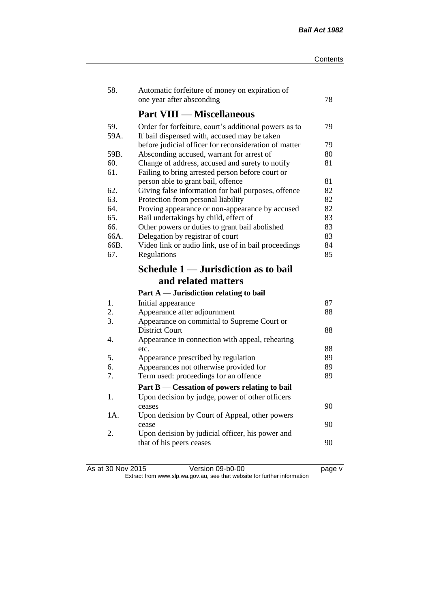| 58.         | Automatic forfeiture of money on expiration of<br>one year after absconding                           | 78       |
|-------------|-------------------------------------------------------------------------------------------------------|----------|
|             | <b>Part VIII — Miscellaneous</b>                                                                      |          |
| 59.<br>59A. | Order for forfeiture, court's additional powers as to<br>If bail dispensed with, accused may be taken | 79       |
|             | before judicial officer for reconsideration of matter                                                 | 79       |
| 59B.        | Absconding accused, warrant for arrest of                                                             | 80       |
| 60.<br>61.  | Change of address, accused and surety to notify<br>Failing to bring arrested person before court or   | 81       |
|             | person able to grant bail, offence                                                                    | 81       |
| 62.<br>63.  | Giving false information for bail purposes, offence<br>Protection from personal liability             | 82<br>82 |
| 64.         | Proving appearance or non-appearance by accused                                                       | 82       |
| 65.         | Bail undertakings by child, effect of                                                                 | 83       |
| 66.         | Other powers or duties to grant bail abolished                                                        | 83       |
| 66A.        | Delegation by registrar of court                                                                      | 83       |
| 66B.        | Video link or audio link, use of in bail proceedings                                                  | 84       |
| 67.         | Regulations                                                                                           | 85       |
|             | Schedule 1 — Jurisdiction as to bail                                                                  |          |
|             |                                                                                                       |          |
|             | and related matters                                                                                   |          |
|             |                                                                                                       |          |
| 1.          | Part $A$ — Jurisdiction relating to bail                                                              | 87       |
| 2.          | Initial appearance                                                                                    | 88       |
| 3.          | Appearance after adjournment<br>Appearance on committal to Supreme Court or                           |          |
|             | <b>District Court</b>                                                                                 | 88       |
| 4.          | Appearance in connection with appeal, rehearing                                                       |          |
|             | etc.                                                                                                  | 88       |
| 5.          | Appearance prescribed by regulation                                                                   | 89       |
| 6.          | Appearances not otherwise provided for                                                                | 89       |
| 7.          | Term used: proceedings for an offence                                                                 | 89       |
|             | Part B — Cessation of powers relating to bail                                                         |          |
| 1.          | Upon decision by judge, power of other officers                                                       |          |
|             | ceases                                                                                                | 90       |
| 1A.         | Upon decision by Court of Appeal, other powers                                                        |          |
|             | cease                                                                                                 | 90       |
| 2.          | Upon decision by judicial officer, his power and<br>that of his peers ceases                          | 90       |

As at 30 Nov 2015 Version 09-b0-00 page v Extract from www.slp.wa.gov.au, see that website for further information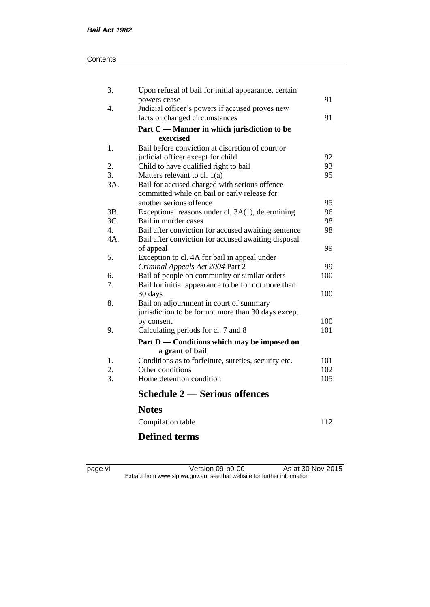#### **Contents**

| 3.               | Upon refusal of bail for initial appearance, certain |     |
|------------------|------------------------------------------------------|-----|
|                  | powers cease                                         | 91  |
| 4.               | Judicial officer's powers if accused proves new      |     |
|                  | facts or changed circumstances                       | 91  |
|                  | Part C — Manner in which jurisdiction to be          |     |
|                  | exercised                                            |     |
| 1.               | Bail before conviction at discretion of court or     |     |
|                  | judicial officer except for child                    | 92  |
| 2.               | Child to have qualified right to bail                | 93  |
| 3.               | Matters relevant to cl. $1(a)$                       | 95  |
| 3A.              | Bail for accused charged with serious offence        |     |
|                  | committed while on bail or early release for         |     |
|                  | another serious offence                              | 95  |
| 3B.              | Exceptional reasons under cl. 3A(1), determining     | 96  |
| 3C.              | Bail in murder cases                                 | 98  |
| $\overline{4}$ . | Bail after conviction for accused awaiting sentence  | 98  |
| 4A.              | Bail after conviction for accused awaiting disposal  |     |
|                  | of appeal                                            | 99  |
| 5.               | Exception to cl. 4A for bail in appeal under         |     |
|                  | Criminal Appeals Act 2004 Part 2                     | 99  |
| 6.               | Bail of people on community or similar orders        | 100 |
| 7.               | Bail for initial appearance to be for not more than  |     |
|                  | 30 days                                              | 100 |
| 8.               | Bail on adjournment in court of summary              |     |
|                  | jurisdiction to be for not more than 30 days except  |     |
|                  | by consent                                           | 100 |
| 9.               | Calculating periods for cl. 7 and 8                  | 101 |
|                  | Part D — Conditions which may be imposed on          |     |
|                  | a grant of bail                                      |     |
| 1.               | Conditions as to forfeiture, sureties, security etc. | 101 |
| 2.               | Other conditions                                     | 102 |
| 3.               | Home detention condition                             | 105 |
|                  | <b>Schedule 2 – Serious offences</b>                 |     |
|                  | <b>Notes</b>                                         |     |
|                  | Compilation table                                    | 112 |
|                  | <b>Defined terms</b>                                 |     |

page vi Version 09-b0-00 As at 30 Nov 2015 Extract from www.slp.wa.gov.au, see that website for further information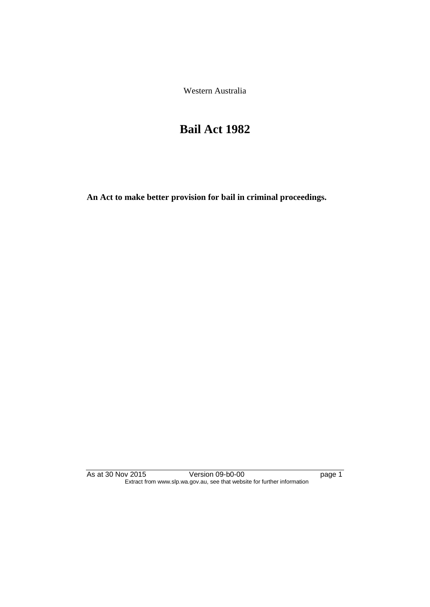Western Australia

# **Bail Act 1982**

**An Act to make better provision for bail in criminal proceedings.** 

As at 30 Nov 2015 Version 09-b0-00 page 1 Extract from www.slp.wa.gov.au, see that website for further information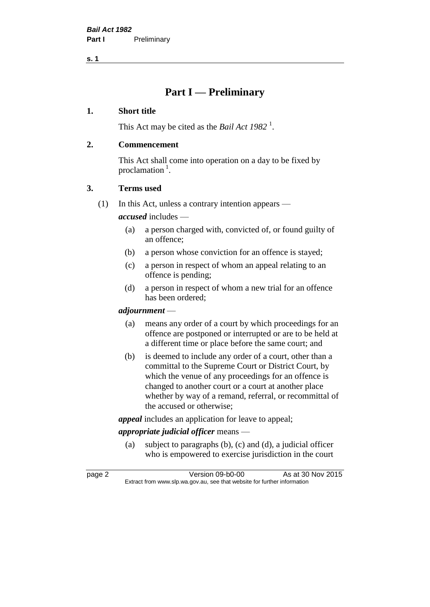## **Part I — Preliminary**

#### **1. Short title**

This Act may be cited as the *Bail Act* 1982<sup>1</sup>.

#### **2. Commencement**

This Act shall come into operation on a day to be fixed by proclamation<sup>1</sup>.

#### **3. Terms used**

(1) In this Act, unless a contrary intention appears —

*accused* includes —

- (a) a person charged with, convicted of, or found guilty of an offence;
- (b) a person whose conviction for an offence is stayed;
- (c) a person in respect of whom an appeal relating to an offence is pending;
- (d) a person in respect of whom a new trial for an offence has been ordered;

#### *adjournment* —

- (a) means any order of a court by which proceedings for an offence are postponed or interrupted or are to be held at a different time or place before the same court; and
- (b) is deemed to include any order of a court, other than a committal to the Supreme Court or District Court, by which the venue of any proceedings for an offence is changed to another court or a court at another place whether by way of a remand, referral, or recommittal of the accused or otherwise;

*appeal* includes an application for leave to appeal;

#### *appropriate judicial officer* means —

(a) subject to paragraphs (b), (c) and (d), a judicial officer who is empowered to exercise jurisdiction in the court

page 2 Version 09-b0-00 As at 30 Nov 2015 Extract from www.slp.wa.gov.au, see that website for further information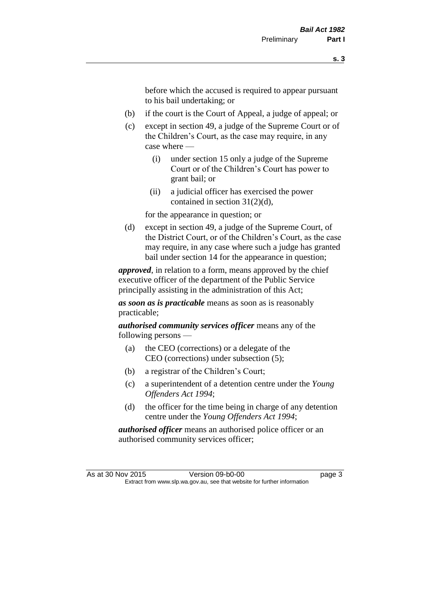before which the accused is required to appear pursuant to his bail undertaking; or

- (b) if the court is the Court of Appeal, a judge of appeal; or
- (c) except in section 49, a judge of the Supreme Court or of the Children's Court, as the case may require, in any case where —
	- (i) under section 15 only a judge of the Supreme Court or of the Children's Court has power to grant bail; or
	- (ii) a judicial officer has exercised the power contained in section 31(2)(d),

for the appearance in question; or

(d) except in section 49, a judge of the Supreme Court, of the District Court, or of the Children's Court, as the case may require, in any case where such a judge has granted bail under section 14 for the appearance in question;

*approved*, in relation to a form, means approved by the chief executive officer of the department of the Public Service principally assisting in the administration of this Act;

*as soon as is practicable* means as soon as is reasonably practicable;

*authorised community services officer* means any of the following persons —

- (a) the CEO (corrections) or a delegate of the CEO (corrections) under subsection (5);
- (b) a registrar of the Children's Court;
- (c) a superintendent of a detention centre under the *Young Offenders Act 1994*;
- (d) the officer for the time being in charge of any detention centre under the *Young Offenders Act 1994*;

*authorised officer* means an authorised police officer or an authorised community services officer;

As at 30 Nov 2015 Version 09-b0-00 Page 3 Extract from www.slp.wa.gov.au, see that website for further information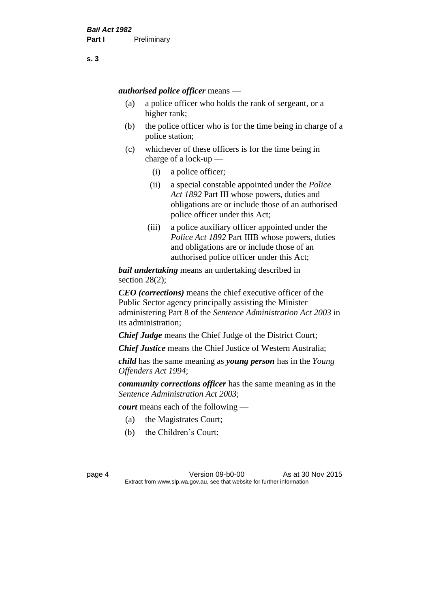*authorised police officer* means —

- (a) a police officer who holds the rank of sergeant, or a higher rank;
- (b) the police officer who is for the time being in charge of a police station;
- (c) whichever of these officers is for the time being in charge of a lock-up —
	- (i) a police officer;
	- (ii) a special constable appointed under the *Police Act 1892* Part III whose powers, duties and obligations are or include those of an authorised police officer under this Act;
	- (iii) a police auxiliary officer appointed under the *Police Act 1892* Part IIIB whose powers, duties and obligations are or include those of an authorised police officer under this Act;

*bail undertaking* means an undertaking described in section 28(2);

*CEO (corrections)* means the chief executive officer of the Public Sector agency principally assisting the Minister administering Part 8 of the *Sentence Administration Act 2003* in its administration;

*Chief Judge* means the Chief Judge of the District Court;

*Chief Justice* means the Chief Justice of Western Australia;

*child* has the same meaning as *young person* has in the *Young Offenders Act 1994*;

*community corrections officer* has the same meaning as in the *Sentence Administration Act 2003*;

*court* means each of the following —

- (a) the Magistrates Court;
- (b) the Children's Court;

page 4 Version 09-b0-00 As at 30 Nov 2015 Extract from www.slp.wa.gov.au, see that website for further information

**s. 3**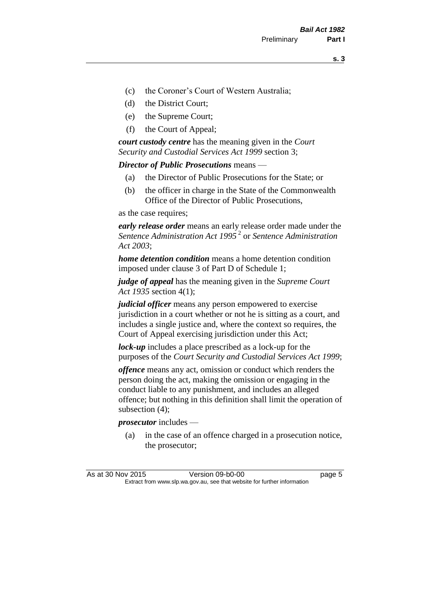- (c) the Coroner's Court of Western Australia;
- (d) the District Court;
- (e) the Supreme Court;
- (f) the Court of Appeal;

*court custody centre* has the meaning given in the *Court Security and Custodial Services Act 1999* section 3;

*Director of Public Prosecutions* means —

- (a) the Director of Public Prosecutions for the State; or
- (b) the officer in charge in the State of the Commonwealth Office of the Director of Public Prosecutions,

as the case requires;

*early release order* means an early release order made under the *Sentence Administration Act 1995* <sup>2</sup> or *Sentence Administration Act 2003*;

*home detention condition* means a home detention condition imposed under clause 3 of Part D of Schedule 1;

*judge of appeal* has the meaning given in the *Supreme Court Act 1935* section 4(1);

*judicial officer* means any person empowered to exercise jurisdiction in a court whether or not he is sitting as a court, and includes a single justice and, where the context so requires, the Court of Appeal exercising jurisdiction under this Act;

*lock-up* includes a place prescribed as a lock-up for the purposes of the *Court Security and Custodial Services Act 1999*;

*offence* means any act, omission or conduct which renders the person doing the act, making the omission or engaging in the conduct liable to any punishment, and includes an alleged offence; but nothing in this definition shall limit the operation of subsection (4);

*prosecutor* includes —

(a) in the case of an offence charged in a prosecution notice, the prosecutor;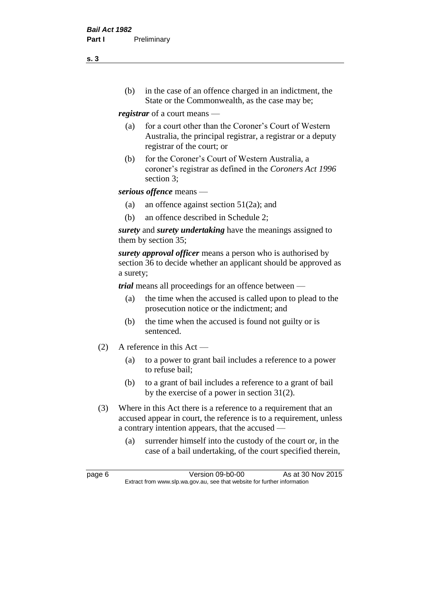(b) in the case of an offence charged in an indictment, the State or the Commonwealth, as the case may be;

*registrar* of a court means —

- (a) for a court other than the Coroner's Court of Western Australia, the principal registrar, a registrar or a deputy registrar of the court; or
- (b) for the Coroner's Court of Western Australia, a coroner's registrar as defined in the *Coroners Act 1996* section 3;

*serious offence* means —

- (a) an offence against section 51(2a); and
- (b) an offence described in Schedule 2;

*surety* and *surety undertaking* have the meanings assigned to them by section 35;

*surety approval officer* means a person who is authorised by section 36 to decide whether an applicant should be approved as a surety;

*trial* means all proceedings for an offence between —

- (a) the time when the accused is called upon to plead to the prosecution notice or the indictment; and
- (b) the time when the accused is found not guilty or is sentenced.
- (2) A reference in this Act
	- (a) to a power to grant bail includes a reference to a power to refuse bail;
	- (b) to a grant of bail includes a reference to a grant of bail by the exercise of a power in section 31(2).
- (3) Where in this Act there is a reference to a requirement that an accused appear in court, the reference is to a requirement, unless a contrary intention appears, that the accused —
	- (a) surrender himself into the custody of the court or, in the case of a bail undertaking, of the court specified therein,

**s. 3**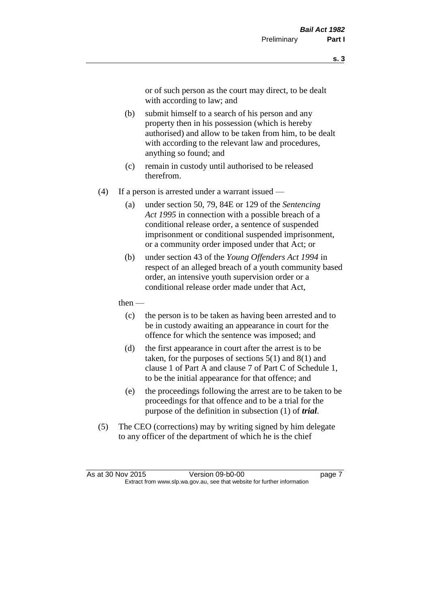or of such person as the court may direct, to be dealt with according to law; and

- (b) submit himself to a search of his person and any property then in his possession (which is hereby authorised) and allow to be taken from him, to be dealt with according to the relevant law and procedures, anything so found; and
- (c) remain in custody until authorised to be released therefrom.
- (4) If a person is arrested under a warrant issued
	- (a) under section 50, 79, 84E or 129 of the *Sentencing Act 1995* in connection with a possible breach of a conditional release order, a sentence of suspended imprisonment or conditional suspended imprisonment, or a community order imposed under that Act; or
	- (b) under section 43 of the *Young Offenders Act 1994* in respect of an alleged breach of a youth community based order, an intensive youth supervision order or a conditional release order made under that Act,
	- then
		- (c) the person is to be taken as having been arrested and to be in custody awaiting an appearance in court for the offence for which the sentence was imposed; and
		- (d) the first appearance in court after the arrest is to be taken, for the purposes of sections  $5(1)$  and  $8(1)$  and clause 1 of Part A and clause 7 of Part C of Schedule 1, to be the initial appearance for that offence; and
		- (e) the proceedings following the arrest are to be taken to be proceedings for that offence and to be a trial for the purpose of the definition in subsection (1) of *trial*.
- (5) The CEO (corrections) may by writing signed by him delegate to any officer of the department of which he is the chief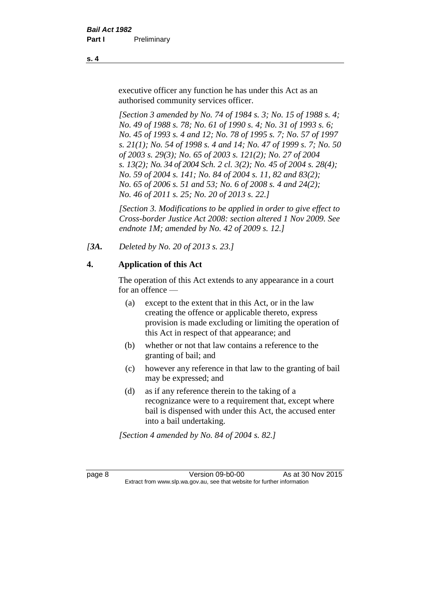executive officer any function he has under this Act as an authorised community services officer.

*[Section 3 amended by No. 74 of 1984 s. 3; No. 15 of 1988 s. 4; No. 49 of 1988 s. 78; No. 61 of 1990 s. 4; No. 31 of 1993 s. 6; No. 45 of 1993 s. 4 and 12; No. 78 of 1995 s. 7; No. 57 of 1997 s. 21(1); No. 54 of 1998 s. 4 and 14; No. 47 of 1999 s. 7; No. 50 of 2003 s. 29(3); No. 65 of 2003 s. 121(2); No. 27 of 2004 s. 13(2); No. 34 of 2004 Sch. 2 cl. 3(2); No. 45 of 2004 s. 28(4); No. 59 of 2004 s. 141; No. 84 of 2004 s. 11, 82 and 83(2); No. 65 of 2006 s. 51 and 53; No. 6 of 2008 s. 4 and 24(2); No. 46 of 2011 s. 25; No. 20 of 2013 s. 22.]* 

*[Section 3. Modifications to be applied in order to give effect to Cross-border Justice Act 2008: section altered 1 Nov 2009. See endnote 1M; amended by No. 42 of 2009 s. 12.]*

*[3A. Deleted by No. 20 of 2013 s. 23.]*

### **4. Application of this Act**

The operation of this Act extends to any appearance in a court for an offence —

- (a) except to the extent that in this Act, or in the law creating the offence or applicable thereto, express provision is made excluding or limiting the operation of this Act in respect of that appearance; and
- (b) whether or not that law contains a reference to the granting of bail; and
- (c) however any reference in that law to the granting of bail may be expressed; and
- (d) as if any reference therein to the taking of a recognizance were to a requirement that, except where bail is dispensed with under this Act, the accused enter into a bail undertaking.

*[Section 4 amended by No. 84 of 2004 s. 82.]*

page 8 Version 09-b0-00 As at 30 Nov 2015 Extract from www.slp.wa.gov.au, see that website for further information

**s. 4**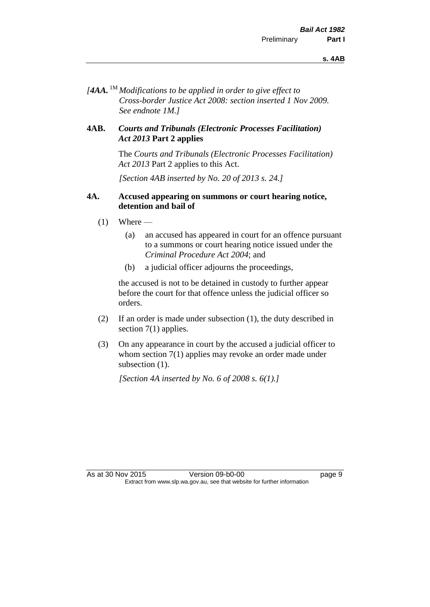*[4AA.* 1M *Modifications to be applied in order to give effect to Cross-border Justice Act 2008: section inserted 1 Nov 2009. See endnote 1M.]*

#### **4AB.** *Courts and Tribunals (Electronic Processes Facilitation) Act 2013* **Part 2 applies**

The *Courts and Tribunals (Electronic Processes Facilitation) Act 2013* Part 2 applies to this Act.

*[Section 4AB inserted by No. 20 of 2013 s. 24.]*

#### **4A. Accused appearing on summons or court hearing notice, detention and bail of**

- $(1)$  Where
	- (a) an accused has appeared in court for an offence pursuant to a summons or court hearing notice issued under the *Criminal Procedure Act 2004*; and
	- (b) a judicial officer adjourns the proceedings,

the accused is not to be detained in custody to further appear before the court for that offence unless the judicial officer so orders.

- (2) If an order is made under subsection (1), the duty described in section 7(1) applies.
- (3) On any appearance in court by the accused a judicial officer to whom section 7(1) applies may revoke an order made under subsection  $(1)$ .

*[Section 4A inserted by No. 6 of 2008 s. 6(1).]*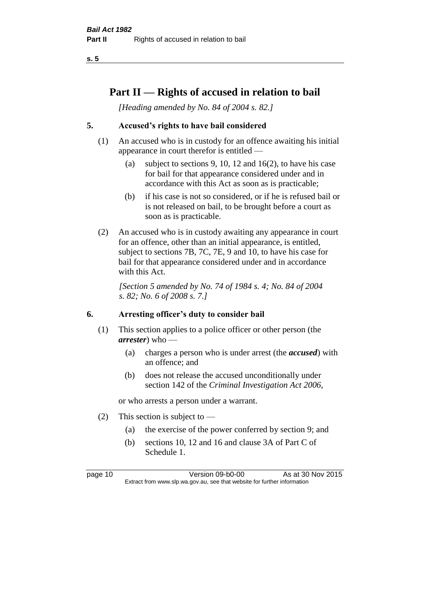## **Part II — Rights of accused in relation to bail**

*[Heading amended by No. 84 of 2004 s. 82.]* 

#### **5. Accused's rights to have bail considered**

- (1) An accused who is in custody for an offence awaiting his initial appearance in court therefor is entitled —
	- (a) subject to sections 9, 10, 12 and 16(2), to have his case for bail for that appearance considered under and in accordance with this Act as soon as is practicable;
	- (b) if his case is not so considered, or if he is refused bail or is not released on bail, to be brought before a court as soon as is practicable.
- (2) An accused who is in custody awaiting any appearance in court for an offence, other than an initial appearance, is entitled, subject to sections 7B, 7C, 7E, 9 and 10, to have his case for bail for that appearance considered under and in accordance with this Act.

*[Section 5 amended by No. 74 of 1984 s. 4; No. 84 of 2004 s. 82; No. 6 of 2008 s. 7.]* 

#### **6. Arresting officer's duty to consider bail**

- (1) This section applies to a police officer or other person (the *arrester*) who —
	- (a) charges a person who is under arrest (the *accused*) with an offence; and
	- (b) does not release the accused unconditionally under section 142 of the *Criminal Investigation Act 2006*,

or who arrests a person under a warrant.

- (2) This section is subject to  $-$ 
	- (a) the exercise of the power conferred by section 9; and
	- (b) sections 10, 12 and 16 and clause 3A of Part C of Schedule 1.

page 10 Version 09-b0-00 As at 30 Nov 2015 Extract from www.slp.wa.gov.au, see that website for further information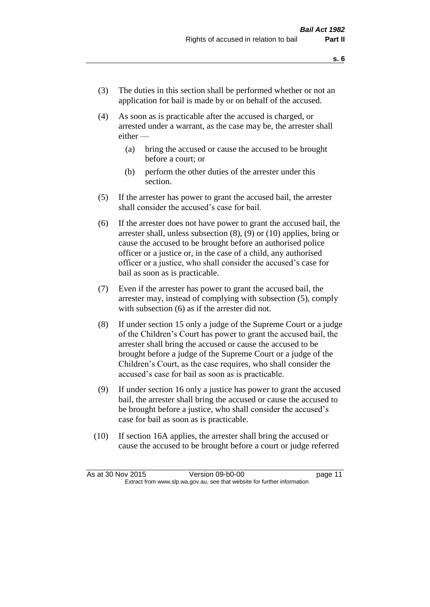- (3) The duties in this section shall be performed whether or not an application for bail is made by or on behalf of the accused.
- (4) As soon as is practicable after the accused is charged, or arrested under a warrant, as the case may be, the arrester shall either —
	- (a) bring the accused or cause the accused to be brought before a court; or
	- (b) perform the other duties of the arrester under this section.
- (5) If the arrester has power to grant the accused bail, the arrester shall consider the accused's case for bail.
- (6) If the arrester does not have power to grant the accused bail, the arrester shall, unless subsection (8), (9) or (10) applies, bring or cause the accused to be brought before an authorised police officer or a justice or, in the case of a child, any authorised officer or a justice, who shall consider the accused's case for bail as soon as is practicable.
- (7) Even if the arrester has power to grant the accused bail, the arrester may, instead of complying with subsection (5), comply with subsection  $(6)$  as if the arrester did not.
- (8) If under section 15 only a judge of the Supreme Court or a judge of the Children's Court has power to grant the accused bail, the arrester shall bring the accused or cause the accused to be brought before a judge of the Supreme Court or a judge of the Children's Court, as the case requires, who shall consider the accused's case for bail as soon as is practicable.
- (9) If under section 16 only a justice has power to grant the accused bail, the arrester shall bring the accused or cause the accused to be brought before a justice, who shall consider the accused's case for bail as soon as is practicable.
- (10) If section 16A applies, the arrester shall bring the accused or cause the accused to be brought before a court or judge referred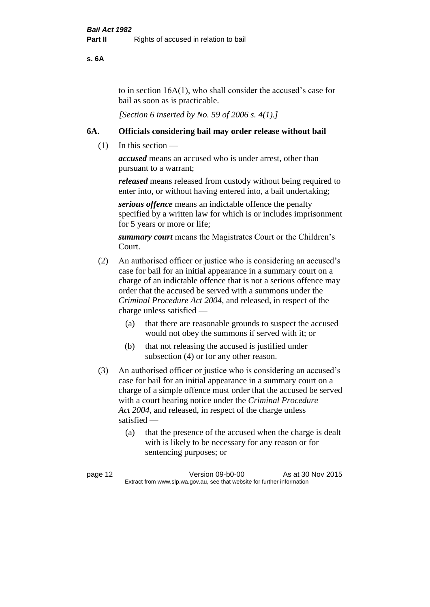**s. 6A**

to in section 16A(1), who shall consider the accused's case for bail as soon as is practicable.

*[Section 6 inserted by No. 59 of 2006 s. 4(1).]* 

#### **6A. Officials considering bail may order release without bail**

(1) In this section —

*accused* means an accused who is under arrest, other than pursuant to a warrant;

*released* means released from custody without being required to enter into, or without having entered into, a bail undertaking;

*serious offence* means an indictable offence the penalty specified by a written law for which is or includes imprisonment for 5 years or more or life;

*summary court* means the Magistrates Court or the Children's Court.

- (2) An authorised officer or justice who is considering an accused's case for bail for an initial appearance in a summary court on a charge of an indictable offence that is not a serious offence may order that the accused be served with a summons under the *Criminal Procedure Act 2004*, and released, in respect of the charge unless satisfied —
	- (a) that there are reasonable grounds to suspect the accused would not obey the summons if served with it; or
	- (b) that not releasing the accused is justified under subsection (4) or for any other reason.
- (3) An authorised officer or justice who is considering an accused's case for bail for an initial appearance in a summary court on a charge of a simple offence must order that the accused be served with a court hearing notice under the *Criminal Procedure Act 2004*, and released, in respect of the charge unless satisfied —
	- (a) that the presence of the accused when the charge is dealt with is likely to be necessary for any reason or for sentencing purposes; or

page 12 Version 09-b0-00 As at 30 Nov 2015 Extract from www.slp.wa.gov.au, see that website for further information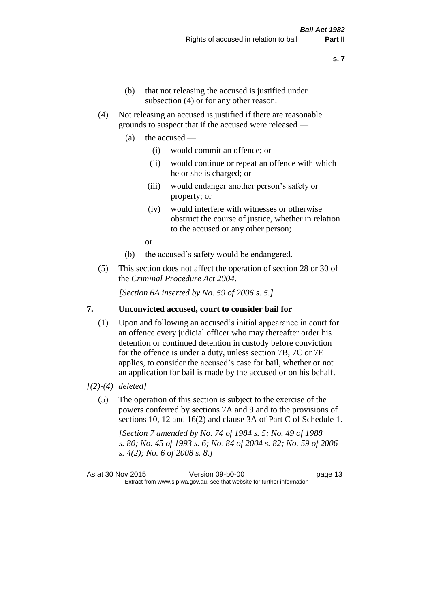- (b) that not releasing the accused is justified under subsection (4) or for any other reason.
- (4) Not releasing an accused is justified if there are reasonable grounds to suspect that if the accused were released —
	- (a) the accused
		- (i) would commit an offence; or
		- (ii) would continue or repeat an offence with which he or she is charged; or
		- (iii) would endanger another person's safety or property; or
		- (iv) would interfere with witnesses or otherwise obstruct the course of justice, whether in relation to the accused or any other person;

or

- (b) the accused's safety would be endangered.
- (5) This section does not affect the operation of section 28 or 30 of the *Criminal Procedure Act 2004*.

*[Section 6A inserted by No. 59 of 2006 s. 5.]* 

#### **7. Unconvicted accused, court to consider bail for**

(1) Upon and following an accused's initial appearance in court for an offence every judicial officer who may thereafter order his detention or continued detention in custody before conviction for the offence is under a duty, unless section 7B, 7C or 7E applies, to consider the accused's case for bail, whether or not an application for bail is made by the accused or on his behalf.

#### *[(2)-(4) deleted]*

(5) The operation of this section is subject to the exercise of the powers conferred by sections 7A and 9 and to the provisions of sections 10, 12 and 16(2) and clause 3A of Part C of Schedule 1.

*[Section 7 amended by No. 74 of 1984 s. 5; No. 49 of 1988 s. 80; No. 45 of 1993 s. 6; No. 84 of 2004 s. 82; No. 59 of 2006 s. 4(2); No. 6 of 2008 s. 8.]* 

As at 30 Nov 2015 Version 09-b0-00 page 13 Extract from www.slp.wa.gov.au, see that website for further information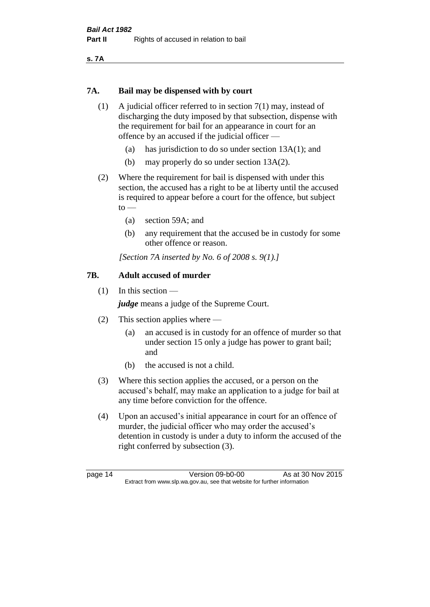**s. 7A**

#### **7A. Bail may be dispensed with by court**

- (1) A judicial officer referred to in section 7(1) may, instead of discharging the duty imposed by that subsection, dispense with the requirement for bail for an appearance in court for an offence by an accused if the judicial officer —
	- (a) has jurisdiction to do so under section 13A(1); and
	- (b) may properly do so under section 13A(2).
- (2) Where the requirement for bail is dispensed with under this section, the accused has a right to be at liberty until the accused is required to appear before a court for the offence, but subject  $to$ 
	- (a) section 59A; and
	- (b) any requirement that the accused be in custody for some other offence or reason.

*[Section 7A inserted by No. 6 of 2008 s. 9(1).]*

#### **7B. Adult accused of murder**

(1) In this section —

*judge* means a judge of the Supreme Court.

- (2) This section applies where
	- (a) an accused is in custody for an offence of murder so that under section 15 only a judge has power to grant bail; and
	- (b) the accused is not a child.
- (3) Where this section applies the accused, or a person on the accused's behalf, may make an application to a judge for bail at any time before conviction for the offence.
- (4) Upon an accused's initial appearance in court for an offence of murder, the judicial officer who may order the accused's detention in custody is under a duty to inform the accused of the right conferred by subsection (3).

page 14 Version 09-b0-00 As at 30 Nov 2015 Extract from www.slp.wa.gov.au, see that website for further information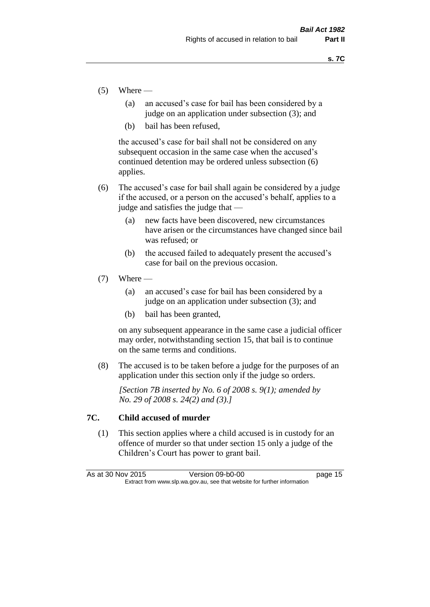- $(5)$  Where
	- (a) an accused's case for bail has been considered by a judge on an application under subsection (3); and
	- (b) bail has been refused,

the accused's case for bail shall not be considered on any subsequent occasion in the same case when the accused's continued detention may be ordered unless subsection (6) applies.

- (6) The accused's case for bail shall again be considered by a judge if the accused, or a person on the accused's behalf, applies to a judge and satisfies the judge that —
	- (a) new facts have been discovered, new circumstances have arisen or the circumstances have changed since bail was refused; or
	- (b) the accused failed to adequately present the accused's case for bail on the previous occasion.
- $(7)$  Where
	- (a) an accused's case for bail has been considered by a judge on an application under subsection (3); and
	- (b) bail has been granted,

on any subsequent appearance in the same case a judicial officer may order, notwithstanding section 15, that bail is to continue on the same terms and conditions.

(8) The accused is to be taken before a judge for the purposes of an application under this section only if the judge so orders.

*[Section 7B inserted by No. 6 of 2008 s. 9(1); amended by No. 29 of 2008 s. 24(2) and (3).]*

#### **7C. Child accused of murder**

(1) This section applies where a child accused is in custody for an offence of murder so that under section 15 only a judge of the Children's Court has power to grant bail.

| As at 30 Nov 2015 | Version 09-b0-00                                                         | page 15 |
|-------------------|--------------------------------------------------------------------------|---------|
|                   | Extract from www.slp.wa.gov.au, see that website for further information |         |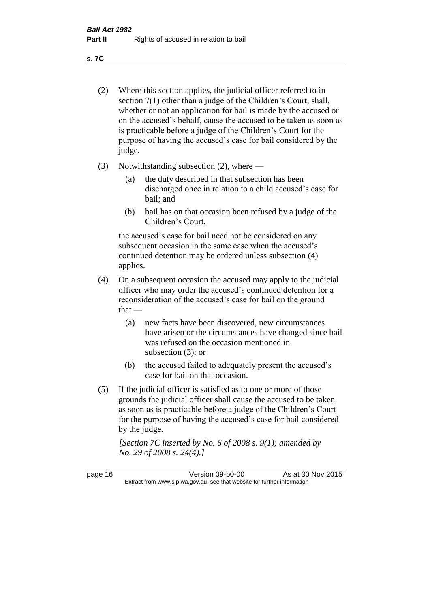**s. 7C**

- (2) Where this section applies, the judicial officer referred to in section 7(1) other than a judge of the Children's Court, shall, whether or not an application for bail is made by the accused or on the accused's behalf, cause the accused to be taken as soon as is practicable before a judge of the Children's Court for the purpose of having the accused's case for bail considered by the judge.
- (3) Notwithstanding subsection (2), where
	- (a) the duty described in that subsection has been discharged once in relation to a child accused's case for bail; and
	- (b) bail has on that occasion been refused by a judge of the Children's Court,

the accused's case for bail need not be considered on any subsequent occasion in the same case when the accused's continued detention may be ordered unless subsection (4) applies.

- (4) On a subsequent occasion the accused may apply to the judicial officer who may order the accused's continued detention for a reconsideration of the accused's case for bail on the ground  $that -$ 
	- (a) new facts have been discovered, new circumstances have arisen or the circumstances have changed since bail was refused on the occasion mentioned in subsection (3); or
	- (b) the accused failed to adequately present the accused's case for bail on that occasion.
- (5) If the judicial officer is satisfied as to one or more of those grounds the judicial officer shall cause the accused to be taken as soon as is practicable before a judge of the Children's Court for the purpose of having the accused's case for bail considered by the judge.

*[Section 7C inserted by No. 6 of 2008 s. 9(1); amended by No. 29 of 2008 s. 24(4).]*

page 16 Version 09-b0-00 As at 30 Nov 2015 Extract from www.slp.wa.gov.au, see that website for further information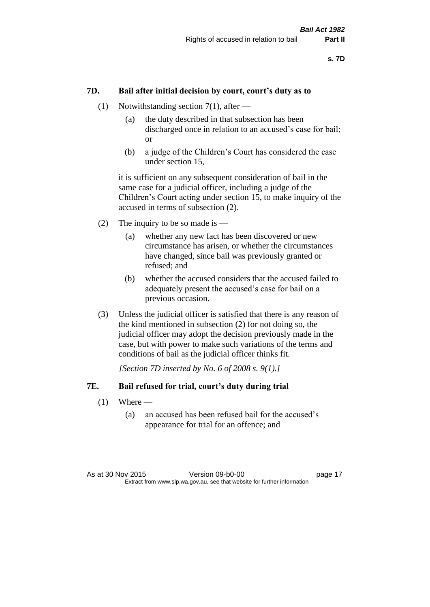#### **7D. Bail after initial decision by court, court's duty as to**

- (1) Notwithstanding section 7(1), after
	- (a) the duty described in that subsection has been discharged once in relation to an accused's case for bail; or
	- (b) a judge of the Children's Court has considered the case under section 15,

it is sufficient on any subsequent consideration of bail in the same case for a judicial officer, including a judge of the Children's Court acting under section 15, to make inquiry of the accused in terms of subsection (2).

- (2) The inquiry to be so made is  $-$ 
	- (a) whether any new fact has been discovered or new circumstance has arisen, or whether the circumstances have changed, since bail was previously granted or refused; and
	- (b) whether the accused considers that the accused failed to adequately present the accused's case for bail on a previous occasion.
- (3) Unless the judicial officer is satisfied that there is any reason of the kind mentioned in subsection (2) for not doing so, the judicial officer may adopt the decision previously made in the case, but with power to make such variations of the terms and conditions of bail as the judicial officer thinks fit.

*[Section 7D inserted by No. 6 of 2008 s. 9(1).]*

#### **7E. Bail refused for trial, court's duty during trial**

- $(1)$  Where
	- (a) an accused has been refused bail for the accused's appearance for trial for an offence; and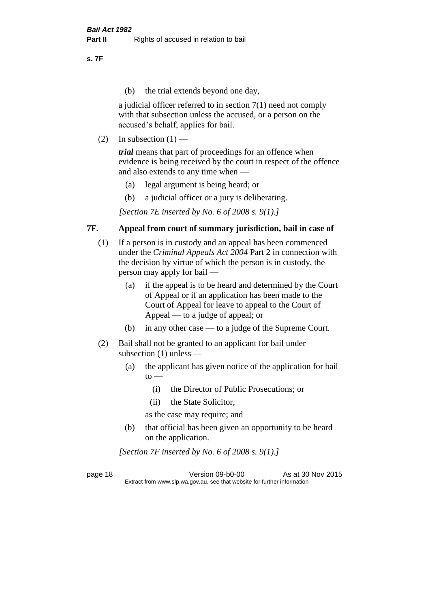**s. 7F**

(b) the trial extends beyond one day,

a judicial officer referred to in section 7(1) need not comply with that subsection unless the accused, or a person on the accused's behalf, applies for bail.

(2) In subsection  $(1)$  —

*trial* means that part of proceedings for an offence when evidence is being received by the court in respect of the offence and also extends to any time when —

- (a) legal argument is being heard; or
- (b) a judicial officer or a jury is deliberating.

*[Section 7E inserted by No. 6 of 2008 s. 9(1).]*

#### **7F. Appeal from court of summary jurisdiction, bail in case of**

- (1) If a person is in custody and an appeal has been commenced under the *Criminal Appeals Act 2004* Part 2 in connection with the decision by virtue of which the person is in custody, the person may apply for bail —
	- (a) if the appeal is to be heard and determined by the Court of Appeal or if an application has been made to the Court of Appeal for leave to appeal to the Court of Appeal — to a judge of appeal; or
	- (b) in any other case to a judge of the Supreme Court.
- (2) Bail shall not be granted to an applicant for bail under subsection (1) unless —
	- (a) the applicant has given notice of the application for bail  $to -$ 
		- (i) the Director of Public Prosecutions; or
		- (ii) the State Solicitor,
		- as the case may require; and
	- (b) that official has been given an opportunity to be heard on the application.

*[Section 7F inserted by No. 6 of 2008 s. 9(1).]*

page 18 Version 09-b0-00 As at 30 Nov 2015 Extract from www.slp.wa.gov.au, see that website for further information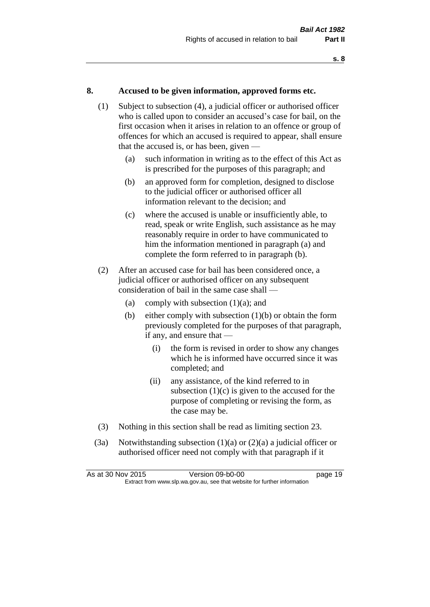#### **8. Accused to be given information, approved forms etc.**

- (1) Subject to subsection (4), a judicial officer or authorised officer who is called upon to consider an accused's case for bail, on the first occasion when it arises in relation to an offence or group of offences for which an accused is required to appear, shall ensure that the accused is, or has been, given —
	- (a) such information in writing as to the effect of this Act as is prescribed for the purposes of this paragraph; and
	- (b) an approved form for completion, designed to disclose to the judicial officer or authorised officer all information relevant to the decision; and
	- (c) where the accused is unable or insufficiently able, to read, speak or write English, such assistance as he may reasonably require in order to have communicated to him the information mentioned in paragraph (a) and complete the form referred to in paragraph (b).
- (2) After an accused case for bail has been considered once, a judicial officer or authorised officer on any subsequent consideration of bail in the same case shall —
	- (a) comply with subsection  $(1)(a)$ ; and
	- (b) either comply with subsection  $(1)(b)$  or obtain the form previously completed for the purposes of that paragraph, if any, and ensure that —
		- (i) the form is revised in order to show any changes which he is informed have occurred since it was completed; and
		- (ii) any assistance, of the kind referred to in subsection  $(1)(c)$  is given to the accused for the purpose of completing or revising the form, as the case may be.
- (3) Nothing in this section shall be read as limiting section 23.
- (3a) Notwithstanding subsection  $(1)(a)$  or  $(2)(a)$  a judicial officer or authorised officer need not comply with that paragraph if it

| As at 30 Nov 2015 | Version 09-b0-00                                                         | page 19 |
|-------------------|--------------------------------------------------------------------------|---------|
|                   | Extract from www.slp.wa.gov.au, see that website for further information |         |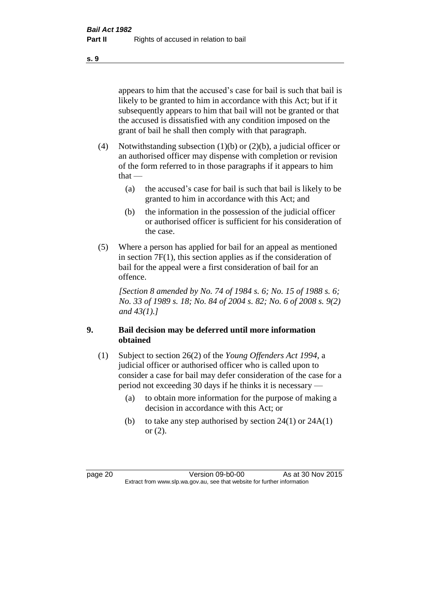appears to him that the accused's case for bail is such that bail is likely to be granted to him in accordance with this Act; but if it subsequently appears to him that bail will not be granted or that the accused is dissatisfied with any condition imposed on the grant of bail he shall then comply with that paragraph.

- (4) Notwithstanding subsection (1)(b) or (2)(b), a judicial officer or an authorised officer may dispense with completion or revision of the form referred to in those paragraphs if it appears to him  $that -$ 
	- (a) the accused's case for bail is such that bail is likely to be granted to him in accordance with this Act; and
	- (b) the information in the possession of the judicial officer or authorised officer is sufficient for his consideration of the case.
- (5) Where a person has applied for bail for an appeal as mentioned in section 7F(1), this section applies as if the consideration of bail for the appeal were a first consideration of bail for an offence.

*[Section 8 amended by No. 74 of 1984 s. 6; No. 15 of 1988 s. 6; No. 33 of 1989 s. 18; No. 84 of 2004 s. 82; No. 6 of 2008 s. 9(2) and 43(1).]* 

#### **9. Bail decision may be deferred until more information obtained**

- (1) Subject to section 26(2) of the *Young Offenders Act 1994*, a judicial officer or authorised officer who is called upon to consider a case for bail may defer consideration of the case for a period not exceeding 30 days if he thinks it is necessary —
	- (a) to obtain more information for the purpose of making a decision in accordance with this Act; or
	- (b) to take any step authorised by section  $24(1)$  or  $24A(1)$ or (2).

page 20 Version 09-b0-00 As at 30 Nov 2015 Extract from www.slp.wa.gov.au, see that website for further information

**s. 9**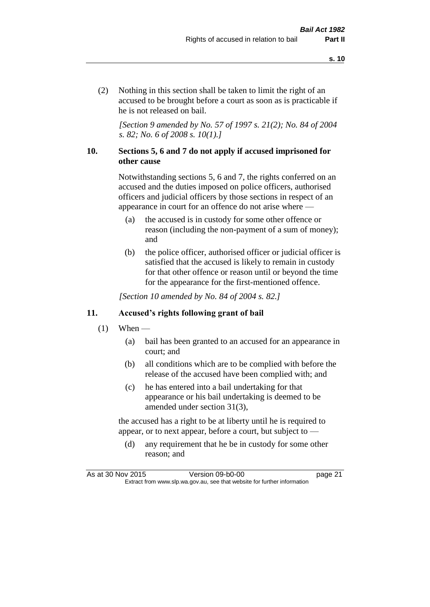(2) Nothing in this section shall be taken to limit the right of an accused to be brought before a court as soon as is practicable if he is not released on bail.

*[Section 9 amended by No. 57 of 1997 s. 21(2); No. 84 of 2004 s. 82; No. 6 of 2008 s. 10(1).]*

#### **10. Sections 5, 6 and 7 do not apply if accused imprisoned for other cause**

Notwithstanding sections 5, 6 and 7, the rights conferred on an accused and the duties imposed on police officers, authorised officers and judicial officers by those sections in respect of an appearance in court for an offence do not arise where —

- (a) the accused is in custody for some other offence or reason (including the non-payment of a sum of money); and
- (b) the police officer, authorised officer or judicial officer is satisfied that the accused is likely to remain in custody for that other offence or reason until or beyond the time for the appearance for the first-mentioned offence.

*[Section 10 amended by No. 84 of 2004 s. 82.]*

#### **11. Accused's rights following grant of bail**

- $(1)$  When
	- (a) bail has been granted to an accused for an appearance in court; and
	- (b) all conditions which are to be complied with before the release of the accused have been complied with; and
	- (c) he has entered into a bail undertaking for that appearance or his bail undertaking is deemed to be amended under section 31(3),

the accused has a right to be at liberty until he is required to appear, or to next appear, before a court, but subject to —

(d) any requirement that he be in custody for some other reason; and

As at 30 Nov 2015 Version 09-b0-00 page 21 Extract from www.slp.wa.gov.au, see that website for further information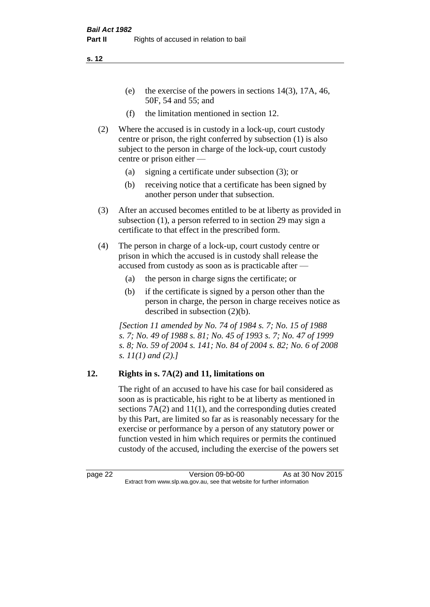- (e) the exercise of the powers in sections 14(3), 17A, 46, 50F, 54 and 55; and
- (f) the limitation mentioned in section 12.
- (2) Where the accused is in custody in a lock-up, court custody centre or prison, the right conferred by subsection (1) is also subject to the person in charge of the lock-up, court custody centre or prison either —
	- (a) signing a certificate under subsection (3); or
	- (b) receiving notice that a certificate has been signed by another person under that subsection.
- (3) After an accused becomes entitled to be at liberty as provided in subsection (1), a person referred to in section 29 may sign a certificate to that effect in the prescribed form.
- (4) The person in charge of a lock-up, court custody centre or prison in which the accused is in custody shall release the accused from custody as soon as is practicable after —
	- (a) the person in charge signs the certificate; or
	- (b) if the certificate is signed by a person other than the person in charge, the person in charge receives notice as described in subsection (2)(b).

*[Section 11 amended by No. 74 of 1984 s. 7; No. 15 of 1988 s. 7; No. 49 of 1988 s. 81; No. 45 of 1993 s. 7; No. 47 of 1999 s. 8; No. 59 of 2004 s. 141; No. 84 of 2004 s. 82; No. 6 of 2008 s. 11(1) and (2).]* 

#### **12. Rights in s. 7A(2) and 11, limitations on**

The right of an accused to have his case for bail considered as soon as is practicable, his right to be at liberty as mentioned in sections 7A(2) and 11(1), and the corresponding duties created by this Part, are limited so far as is reasonably necessary for the exercise or performance by a person of any statutory power or function vested in him which requires or permits the continued custody of the accused, including the exercise of the powers set

page 22 Version 09-b0-00 As at 30 Nov 2015 Extract from www.slp.wa.gov.au, see that website for further information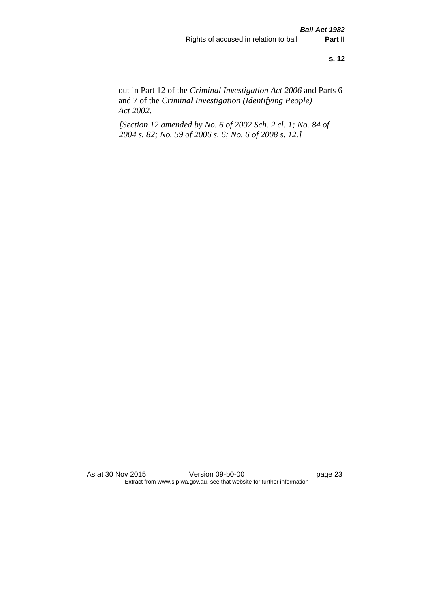out in Part 12 of the *Criminal Investigation Act 2006* and Parts 6 and 7 of the *Criminal Investigation (Identifying People) Act 2002*.

*[Section 12 amended by No. 6 of 2002 Sch. 2 cl. 1; No. 84 of 2004 s. 82; No. 59 of 2006 s. 6; No. 6 of 2008 s. 12.]*

As at 30 Nov 2015 Version 09-b0-00 page 23 Extract from www.slp.wa.gov.au, see that website for further information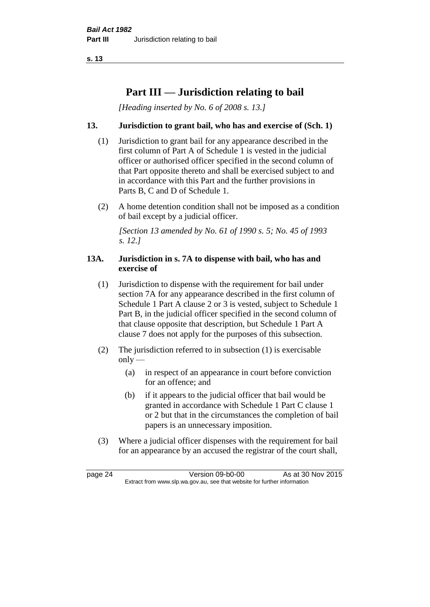# **Part III — Jurisdiction relating to bail**

*[Heading inserted by No. 6 of 2008 s. 13.]*

#### **13. Jurisdiction to grant bail, who has and exercise of (Sch. 1)**

- (1) Jurisdiction to grant bail for any appearance described in the first column of Part A of Schedule 1 is vested in the judicial officer or authorised officer specified in the second column of that Part opposite thereto and shall be exercised subject to and in accordance with this Part and the further provisions in Parts B, C and D of Schedule 1.
- (2) A home detention condition shall not be imposed as a condition of bail except by a judicial officer.

*[Section 13 amended by No. 61 of 1990 s. 5; No. 45 of 1993 s. 12.]* 

#### **13A. Jurisdiction in s. 7A to dispense with bail, who has and exercise of**

- (1) Jurisdiction to dispense with the requirement for bail under section 7A for any appearance described in the first column of Schedule 1 Part A clause 2 or 3 is vested, subject to Schedule 1 Part B, in the judicial officer specified in the second column of that clause opposite that description, but Schedule 1 Part A clause 7 does not apply for the purposes of this subsection.
- (2) The jurisdiction referred to in subsection (1) is exercisable  $only$ —
	- (a) in respect of an appearance in court before conviction for an offence; and
	- (b) if it appears to the judicial officer that bail would be granted in accordance with Schedule 1 Part C clause 1 or 2 but that in the circumstances the completion of bail papers is an unnecessary imposition.
- (3) Where a judicial officer dispenses with the requirement for bail for an appearance by an accused the registrar of the court shall,

page 24 Version 09-b0-00 As at 30 Nov 2015 Extract from www.slp.wa.gov.au, see that website for further information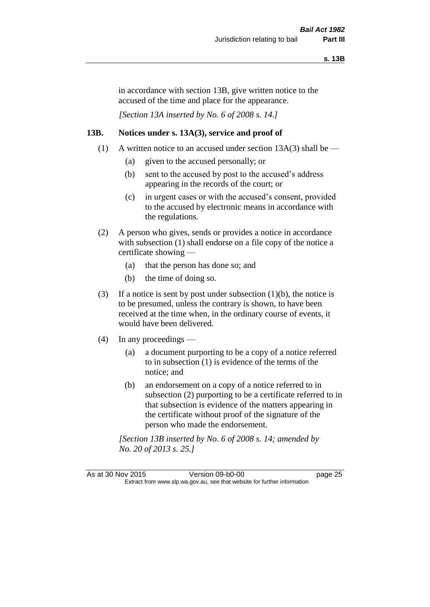in accordance with section 13B, give written notice to the accused of the time and place for the appearance.

*[Section 13A inserted by No. 6 of 2008 s. 14.]*

#### **13B. Notices under s. 13A(3), service and proof of**

- (1) A written notice to an accused under section  $13A(3)$  shall be
	- (a) given to the accused personally; or
	- (b) sent to the accused by post to the accused's address appearing in the records of the court; or
	- (c) in urgent cases or with the accused's consent, provided to the accused by electronic means in accordance with the regulations.
- (2) A person who gives, sends or provides a notice in accordance with subsection (1) shall endorse on a file copy of the notice a certificate showing —
	- (a) that the person has done so; and
	- (b) the time of doing so.
- (3) If a notice is sent by post under subsection  $(1)(b)$ , the notice is to be presumed, unless the contrary is shown, to have been received at the time when, in the ordinary course of events, it would have been delivered.
- (4) In any proceedings
	- (a) a document purporting to be a copy of a notice referred to in subsection (1) is evidence of the terms of the notice; and
	- (b) an endorsement on a copy of a notice referred to in subsection (2) purporting to be a certificate referred to in that subsection is evidence of the matters appearing in the certificate without proof of the signature of the person who made the endorsement.

*[Section 13B inserted by No. 6 of 2008 s. 14; amended by No. 20 of 2013 s. 25.]*

As at 30 Nov 2015 Version 09-b0-00 page 25 Extract from www.slp.wa.gov.au, see that website for further information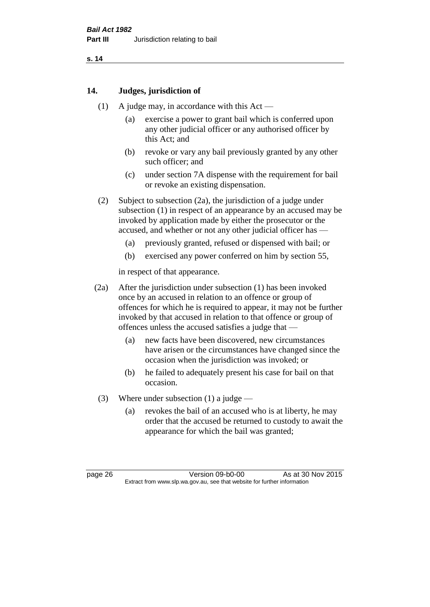#### **14. Judges, jurisdiction of**

- (1) A judge may, in accordance with this Act
	- (a) exercise a power to grant bail which is conferred upon any other judicial officer or any authorised officer by this Act; and
	- (b) revoke or vary any bail previously granted by any other such officer; and
	- (c) under section 7A dispense with the requirement for bail or revoke an existing dispensation.
- (2) Subject to subsection (2a), the jurisdiction of a judge under subsection (1) in respect of an appearance by an accused may be invoked by application made by either the prosecutor or the accused, and whether or not any other judicial officer has —
	- (a) previously granted, refused or dispensed with bail; or
	- (b) exercised any power conferred on him by section 55,

in respect of that appearance.

- (2a) After the jurisdiction under subsection (1) has been invoked once by an accused in relation to an offence or group of offences for which he is required to appear, it may not be further invoked by that accused in relation to that offence or group of offences unless the accused satisfies a judge that —
	- (a) new facts have been discovered, new circumstances have arisen or the circumstances have changed since the occasion when the jurisdiction was invoked; or
	- (b) he failed to adequately present his case for bail on that occasion.
- (3) Where under subsection (1) a judge
	- (a) revokes the bail of an accused who is at liberty, he may order that the accused be returned to custody to await the appearance for which the bail was granted;

page 26 Version 09-b0-00 As at 30 Nov 2015 Extract from www.slp.wa.gov.au, see that website for further information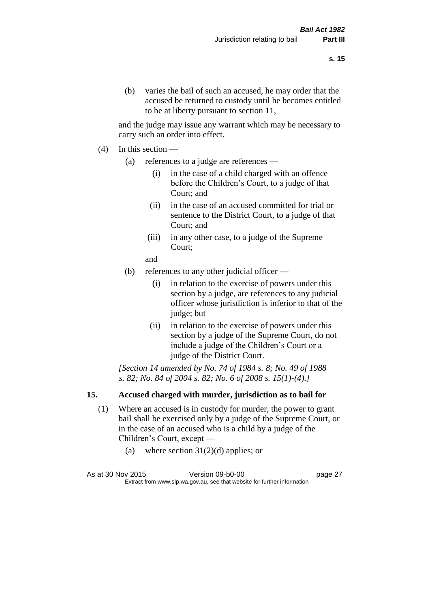and the judge may issue any warrant which may be necessary to carry such an order into effect.

- (4) In this section
	- (a) references to a judge are references
		- (i) in the case of a child charged with an offence before the Children's Court, to a judge of that Court; and
		- (ii) in the case of an accused committed for trial or sentence to the District Court, to a judge of that Court; and
		- (iii) in any other case, to a judge of the Supreme Court;
		- and
	- (b) references to any other judicial officer
		- (i) in relation to the exercise of powers under this section by a judge, are references to any judicial officer whose jurisdiction is inferior to that of the judge; but
		- (ii) in relation to the exercise of powers under this section by a judge of the Supreme Court, do not include a judge of the Children's Court or a judge of the District Court.

*[Section 14 amended by No. 74 of 1984 s. 8; No. 49 of 1988 s. 82; No. 84 of 2004 s. 82; No. 6 of 2008 s. 15(1)-(4).]* 

#### **15. Accused charged with murder, jurisdiction as to bail for**

- (1) Where an accused is in custody for murder, the power to grant bail shall be exercised only by a judge of the Supreme Court, or in the case of an accused who is a child by a judge of the Children's Court, except —
	- (a) where section  $31(2)(d)$  applies; or

| As at 30 Nov 2015 | Version 09-b0-00                                                         | page 27 |
|-------------------|--------------------------------------------------------------------------|---------|
|                   | Extract from www.slp.wa.gov.au, see that website for further information |         |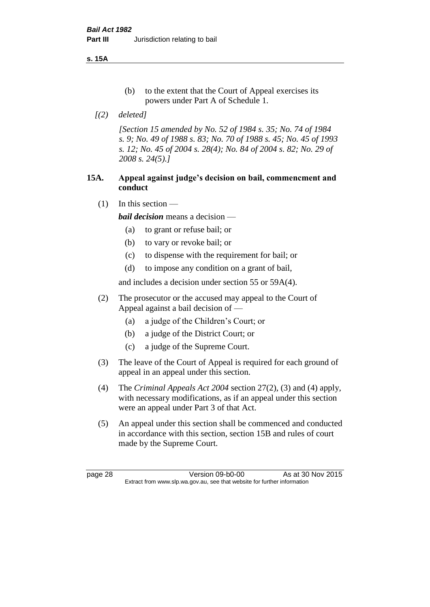**s. 15A**

- (b) to the extent that the Court of Appeal exercises its powers under Part A of Schedule 1.
- *[(2) deleted]*

*[Section 15 amended by No. 52 of 1984 s. 35; No. 74 of 1984 s. 9; No. 49 of 1988 s. 83; No. 70 of 1988 s. 45; No. 45 of 1993 s. 12; No. 45 of 2004 s. 28(4); No. 84 of 2004 s. 82; No. 29 of 2008 s. 24(5).]* 

#### **15A. Appeal against judge's decision on bail, commencment and conduct**

 $(1)$  In this section —

*bail decision* means a decision —

- (a) to grant or refuse bail; or
- (b) to vary or revoke bail; or
- (c) to dispense with the requirement for bail; or
- (d) to impose any condition on a grant of bail,

and includes a decision under section 55 or 59A(4).

- (2) The prosecutor or the accused may appeal to the Court of Appeal against a bail decision of —
	- (a) a judge of the Children's Court; or
	- (b) a judge of the District Court; or
	- (c) a judge of the Supreme Court.
- (3) The leave of the Court of Appeal is required for each ground of appeal in an appeal under this section.
- (4) The *Criminal Appeals Act 2004* section 27(2), (3) and (4) apply, with necessary modifications, as if an appeal under this section were an appeal under Part 3 of that Act.
- (5) An appeal under this section shall be commenced and conducted in accordance with this section, section 15B and rules of court made by the Supreme Court.

page 28 Version 09-b0-00 As at 30 Nov 2015 Extract from www.slp.wa.gov.au, see that website for further information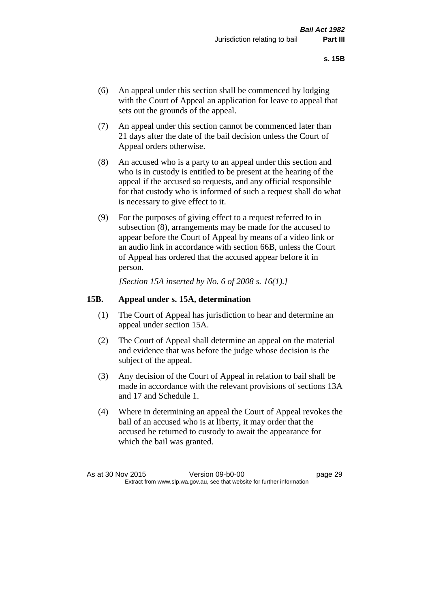- (6) An appeal under this section shall be commenced by lodging with the Court of Appeal an application for leave to appeal that sets out the grounds of the appeal.
- (7) An appeal under this section cannot be commenced later than 21 days after the date of the bail decision unless the Court of Appeal orders otherwise.
- (8) An accused who is a party to an appeal under this section and who is in custody is entitled to be present at the hearing of the appeal if the accused so requests, and any official responsible for that custody who is informed of such a request shall do what is necessary to give effect to it.
- (9) For the purposes of giving effect to a request referred to in subsection (8), arrangements may be made for the accused to appear before the Court of Appeal by means of a video link or an audio link in accordance with section 66B, unless the Court of Appeal has ordered that the accused appear before it in person.

*[Section 15A inserted by No. 6 of 2008 s. 16(1).]*

#### **15B. Appeal under s. 15A, determination**

- (1) The Court of Appeal has jurisdiction to hear and determine an appeal under section 15A.
- (2) The Court of Appeal shall determine an appeal on the material and evidence that was before the judge whose decision is the subject of the appeal.
- (3) Any decision of the Court of Appeal in relation to bail shall be made in accordance with the relevant provisions of sections 13A and 17 and Schedule 1.
- (4) Where in determining an appeal the Court of Appeal revokes the bail of an accused who is at liberty, it may order that the accused be returned to custody to await the appearance for which the bail was granted.

As at 30 Nov 2015 Version 09-b0-00 page 29 Extract from www.slp.wa.gov.au, see that website for further information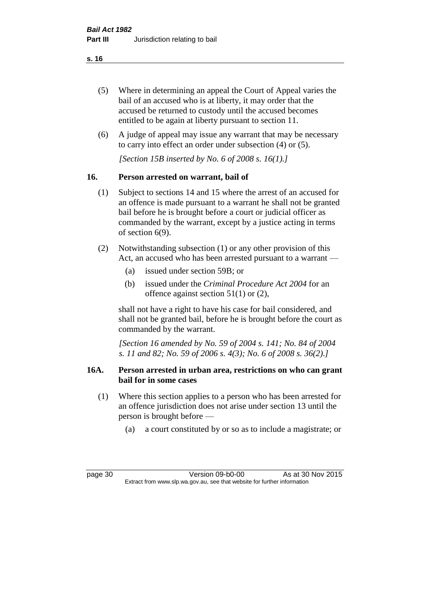- (5) Where in determining an appeal the Court of Appeal varies the bail of an accused who is at liberty, it may order that the accused be returned to custody until the accused becomes entitled to be again at liberty pursuant to section 11.
- (6) A judge of appeal may issue any warrant that may be necessary to carry into effect an order under subsection (4) or (5).

*[Section 15B inserted by No. 6 of 2008 s. 16(1).]*

## **16. Person arrested on warrant, bail of**

- (1) Subject to sections 14 and 15 where the arrest of an accused for an offence is made pursuant to a warrant he shall not be granted bail before he is brought before a court or judicial officer as commanded by the warrant, except by a justice acting in terms of section 6(9).
- (2) Notwithstanding subsection (1) or any other provision of this Act, an accused who has been arrested pursuant to a warrant —
	- (a) issued under section 59B; or
	- (b) issued under the *Criminal Procedure Act 2004* for an offence against section 51(1) or (2),

shall not have a right to have his case for bail considered, and shall not be granted bail, before he is brought before the court as commanded by the warrant.

*[Section 16 amended by No. 59 of 2004 s. 141; No. 84 of 2004 s. 11 and 82; No. 59 of 2006 s. 4(3); No. 6 of 2008 s. 36(2).]*

#### **16A. Person arrested in urban area, restrictions on who can grant bail for in some cases**

- (1) Where this section applies to a person who has been arrested for an offence jurisdiction does not arise under section 13 until the person is brought before —
	- (a) a court constituted by or so as to include a magistrate; or

page 30 Version 09-b0-00 As at 30 Nov 2015 Extract from www.slp.wa.gov.au, see that website for further information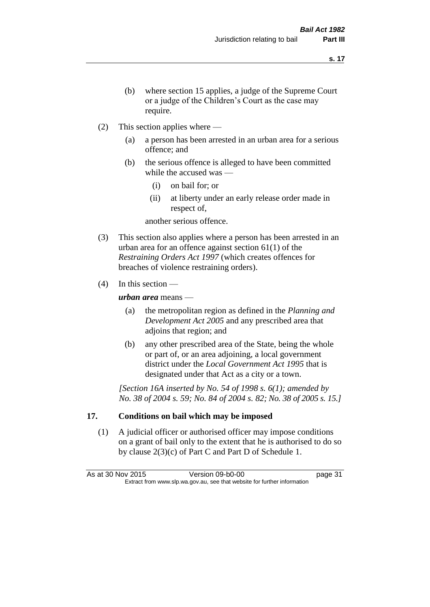- (b) where section 15 applies, a judge of the Supreme Court or a judge of the Children's Court as the case may require.
- (2) This section applies where
	- (a) a person has been arrested in an urban area for a serious offence; and
	- (b) the serious offence is alleged to have been committed while the accused was —
		- (i) on bail for; or
		- (ii) at liberty under an early release order made in respect of,

another serious offence.

- (3) This section also applies where a person has been arrested in an urban area for an offence against section 61(1) of the *Restraining Orders Act 1997* (which creates offences for breaches of violence restraining orders).
- $(4)$  In this section —

*urban area* means —

- (a) the metropolitan region as defined in the *Planning and Development Act 2005* and any prescribed area that adjoins that region; and
- (b) any other prescribed area of the State, being the whole or part of, or an area adjoining, a local government district under the *Local Government Act 1995* that is designated under that Act as a city or a town.

*[Section 16A inserted by No. 54 of 1998 s. 6(1); amended by No. 38 of 2004 s. 59; No. 84 of 2004 s. 82; No. 38 of 2005 s. 15.]*

# **17. Conditions on bail which may be imposed**

(1) A judicial officer or authorised officer may impose conditions on a grant of bail only to the extent that he is authorised to do so by clause 2(3)(c) of Part C and Part D of Schedule 1.

As at 30 Nov 2015 Version 09-b0-00 page 31 Extract from www.slp.wa.gov.au, see that website for further information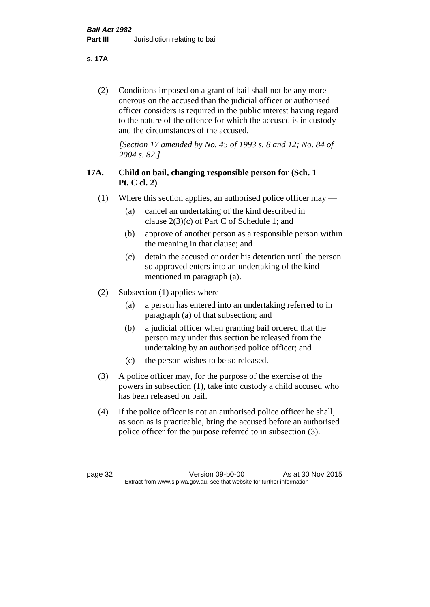**s. 17A**

(2) Conditions imposed on a grant of bail shall not be any more onerous on the accused than the judicial officer or authorised officer considers is required in the public interest having regard to the nature of the offence for which the accused is in custody and the circumstances of the accused.

*[Section 17 amended by No. 45 of 1993 s. 8 and 12; No. 84 of 2004 s. 82.]* 

# **17A. Child on bail, changing responsible person for (Sch. 1 Pt. C cl. 2)**

- (1) Where this section applies, an authorised police officer may
	- (a) cancel an undertaking of the kind described in clause 2(3)(c) of Part C of Schedule 1; and
	- (b) approve of another person as a responsible person within the meaning in that clause; and
	- (c) detain the accused or order his detention until the person so approved enters into an undertaking of the kind mentioned in paragraph (a).
- (2) Subsection (1) applies where
	- (a) a person has entered into an undertaking referred to in paragraph (a) of that subsection; and
	- (b) a judicial officer when granting bail ordered that the person may under this section be released from the undertaking by an authorised police officer; and
	- (c) the person wishes to be so released.
- (3) A police officer may, for the purpose of the exercise of the powers in subsection (1), take into custody a child accused who has been released on bail.
- (4) If the police officer is not an authorised police officer he shall, as soon as is practicable, bring the accused before an authorised police officer for the purpose referred to in subsection (3).

page 32 Version 09-b0-00 As at 30 Nov 2015 Extract from www.slp.wa.gov.au, see that website for further information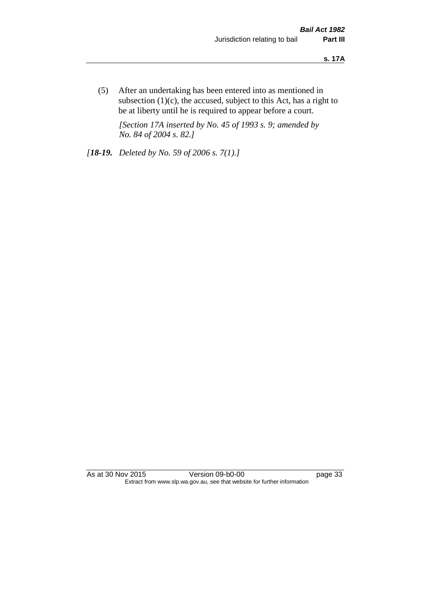(5) After an undertaking has been entered into as mentioned in subsection  $(1)(c)$ , the accused, subject to this Act, has a right to be at liberty until he is required to appear before a court.

*[Section 17A inserted by No. 45 of 1993 s. 9; amended by No. 84 of 2004 s. 82.]* 

*[18-19. Deleted by No. 59 of 2006 s. 7(1).]*

As at 30 Nov 2015 Version 09-b0-00 page 33 Extract from www.slp.wa.gov.au, see that website for further information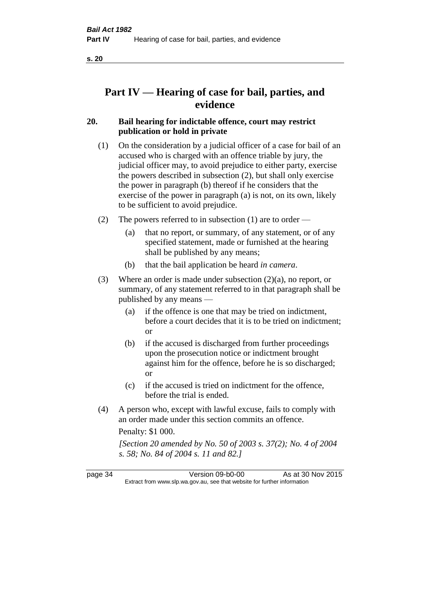# **Part IV — Hearing of case for bail, parties, and evidence**

# **20. Bail hearing for indictable offence, court may restrict publication or hold in private**

- (1) On the consideration by a judicial officer of a case for bail of an accused who is charged with an offence triable by jury, the judicial officer may, to avoid prejudice to either party, exercise the powers described in subsection (2), but shall only exercise the power in paragraph (b) thereof if he considers that the exercise of the power in paragraph (a) is not, on its own, likely to be sufficient to avoid prejudice.
- (2) The powers referred to in subsection (1) are to order
	- (a) that no report, or summary, of any statement, or of any specified statement, made or furnished at the hearing shall be published by any means;
	- (b) that the bail application be heard *in camera*.
- (3) Where an order is made under subsection (2)(a), no report, or summary, of any statement referred to in that paragraph shall be published by any means —
	- (a) if the offence is one that may be tried on indictment, before a court decides that it is to be tried on indictment; or
	- (b) if the accused is discharged from further proceedings upon the prosecution notice or indictment brought against him for the offence, before he is so discharged; or
	- (c) if the accused is tried on indictment for the offence, before the trial is ended.
- (4) A person who, except with lawful excuse, fails to comply with an order made under this section commits an offence.

Penalty: \$1 000.

*[Section 20 amended by No. 50 of 2003 s. 37(2); No. 4 of 2004 s. 58; No. 84 of 2004 s. 11 and 82.]*

page 34 Version 09-b0-00 As at 30 Nov 2015 Extract from www.slp.wa.gov.au, see that website for further information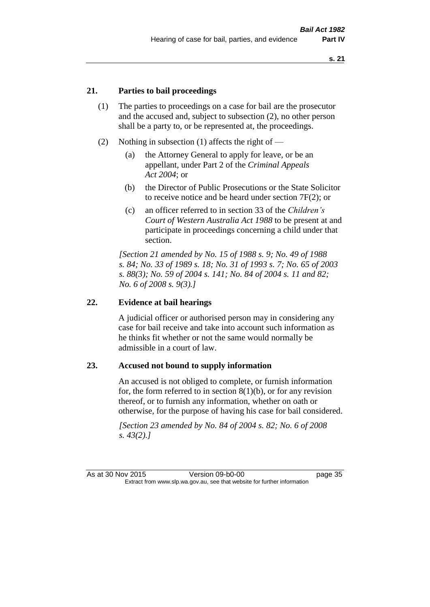#### **21. Parties to bail proceedings**

- (1) The parties to proceedings on a case for bail are the prosecutor and the accused and, subject to subsection (2), no other person shall be a party to, or be represented at, the proceedings.
- (2) Nothing in subsection (1) affects the right of
	- (a) the Attorney General to apply for leave, or be an appellant, under Part 2 of the *Criminal Appeals Act 2004*; or
	- (b) the Director of Public Prosecutions or the State Solicitor to receive notice and be heard under section 7F(2); or
	- (c) an officer referred to in section 33 of the *Children's Court of Western Australia Act 1988* to be present at and participate in proceedings concerning a child under that section.

*[Section 21 amended by No. 15 of 1988 s. 9; No. 49 of 1988 s. 84; No. 33 of 1989 s. 18; No. 31 of 1993 s. 7; No. 65 of 2003 s. 88(3); No. 59 of 2004 s. 141; No. 84 of 2004 s. 11 and 82; No. 6 of 2008 s. 9(3).]* 

#### **22. Evidence at bail hearings**

A judicial officer or authorised person may in considering any case for bail receive and take into account such information as he thinks fit whether or not the same would normally be admissible in a court of law.

#### **23. Accused not bound to supply information**

An accused is not obliged to complete, or furnish information for, the form referred to in section  $8(1)(b)$ , or for any revision thereof, or to furnish any information, whether on oath or otherwise, for the purpose of having his case for bail considered.

*[Section 23 amended by No. 84 of 2004 s. 82; No. 6 of 2008 s. 43(2).]*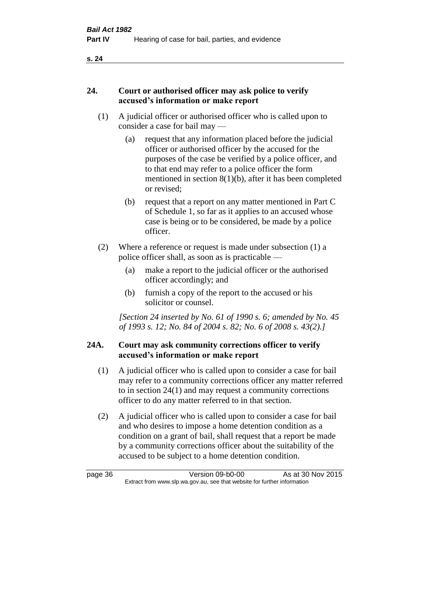#### **24. Court or authorised officer may ask police to verify accused's information or make report**

- (1) A judicial officer or authorised officer who is called upon to consider a case for bail may —
	- (a) request that any information placed before the judicial officer or authorised officer by the accused for the purposes of the case be verified by a police officer, and to that end may refer to a police officer the form mentioned in section 8(1)(b), after it has been completed or revised;
	- (b) request that a report on any matter mentioned in Part C of Schedule 1, so far as it applies to an accused whose case is being or to be considered, be made by a police officer.
- (2) Where a reference or request is made under subsection (1) a police officer shall, as soon as is practicable —
	- (a) make a report to the judicial officer or the authorised officer accordingly; and
	- (b) furnish a copy of the report to the accused or his solicitor or counsel.

*[Section 24 inserted by No. 61 of 1990 s. 6; amended by No. 45 of 1993 s. 12; No. 84 of 2004 s. 82; No. 6 of 2008 s. 43(2).]* 

## **24A. Court may ask community corrections officer to verify accused's information or make report**

- (1) A judicial officer who is called upon to consider a case for bail may refer to a community corrections officer any matter referred to in section 24(1) and may request a community corrections officer to do any matter referred to in that section.
- (2) A judicial officer who is called upon to consider a case for bail and who desires to impose a home detention condition as a condition on a grant of bail, shall request that a report be made by a community corrections officer about the suitability of the accused to be subject to a home detention condition.

page 36 Version 09-b0-00 As at 30 Nov 2015 Extract from www.slp.wa.gov.au, see that website for further information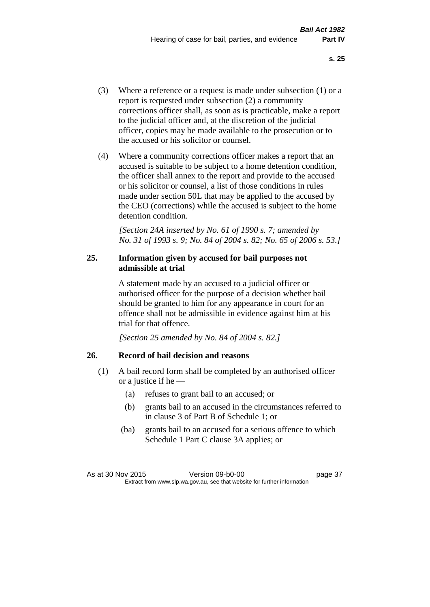- (3) Where a reference or a request is made under subsection (1) or a report is requested under subsection (2) a community corrections officer shall, as soon as is practicable, make a report to the judicial officer and, at the discretion of the judicial officer, copies may be made available to the prosecution or to the accused or his solicitor or counsel.
- (4) Where a community corrections officer makes a report that an accused is suitable to be subject to a home detention condition, the officer shall annex to the report and provide to the accused or his solicitor or counsel, a list of those conditions in rules made under section 50L that may be applied to the accused by the CEO (corrections) while the accused is subject to the home detention condition.

*[Section 24A inserted by No. 61 of 1990 s. 7; amended by No. 31 of 1993 s. 9; No. 84 of 2004 s. 82; No. 65 of 2006 s. 53.]* 

## **25. Information given by accused for bail purposes not admissible at trial**

A statement made by an accused to a judicial officer or authorised officer for the purpose of a decision whether bail should be granted to him for any appearance in court for an offence shall not be admissible in evidence against him at his trial for that offence.

*[Section 25 amended by No. 84 of 2004 s. 82.]* 

# **26. Record of bail decision and reasons**

- (1) A bail record form shall be completed by an authorised officer or a justice if he —
	- (a) refuses to grant bail to an accused; or
	- (b) grants bail to an accused in the circumstances referred to in clause 3 of Part B of Schedule 1; or
	- (ba) grants bail to an accused for a serious offence to which Schedule 1 Part C clause 3A applies; or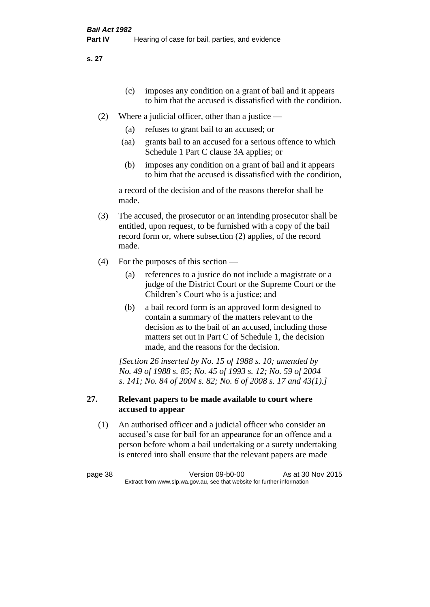- (c) imposes any condition on a grant of bail and it appears to him that the accused is dissatisfied with the condition.
- (2) Where a judicial officer, other than a justice
	- (a) refuses to grant bail to an accused; or
	- (aa) grants bail to an accused for a serious offence to which Schedule 1 Part C clause 3A applies; or
	- (b) imposes any condition on a grant of bail and it appears to him that the accused is dissatisfied with the condition,

a record of the decision and of the reasons therefor shall be made.

- (3) The accused, the prosecutor or an intending prosecutor shall be entitled, upon request, to be furnished with a copy of the bail record form or, where subsection (2) applies, of the record made.
- (4) For the purposes of this section
	- (a) references to a justice do not include a magistrate or a judge of the District Court or the Supreme Court or the Children's Court who is a justice; and
	- (b) a bail record form is an approved form designed to contain a summary of the matters relevant to the decision as to the bail of an accused, including those matters set out in Part C of Schedule 1, the decision made, and the reasons for the decision.

*[Section 26 inserted by No. 15 of 1988 s. 10; amended by No. 49 of 1988 s. 85; No. 45 of 1993 s. 12; No. 59 of 2004 s. 141; No. 84 of 2004 s. 82; No. 6 of 2008 s. 17 and 43(1).]* 

## **27. Relevant papers to be made available to court where accused to appear**

(1) An authorised officer and a judicial officer who consider an accused's case for bail for an appearance for an offence and a person before whom a bail undertaking or a surety undertaking is entered into shall ensure that the relevant papers are made

page 38 Version 09-b0-00 As at 30 Nov 2015 Extract from www.slp.wa.gov.au, see that website for further information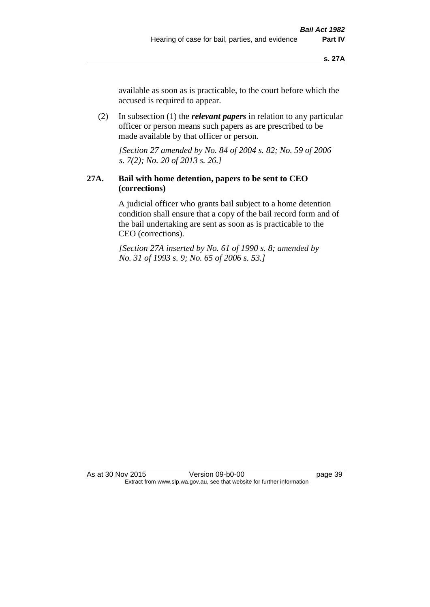available as soon as is practicable, to the court before which the accused is required to appear.

(2) In subsection (1) the *relevant papers* in relation to any particular officer or person means such papers as are prescribed to be made available by that officer or person.

*[Section 27 amended by No. 84 of 2004 s. 82; No. 59 of 2006 s. 7(2); No. 20 of 2013 s. 26.]* 

## **27A. Bail with home detention, papers to be sent to CEO (corrections)**

A judicial officer who grants bail subject to a home detention condition shall ensure that a copy of the bail record form and of the bail undertaking are sent as soon as is practicable to the CEO (corrections).

*[Section 27A inserted by No. 61 of 1990 s. 8; amended by No. 31 of 1993 s. 9; No. 65 of 2006 s. 53.]*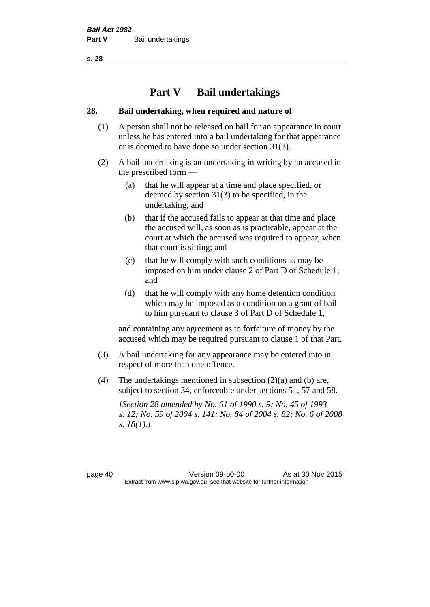# **Part V — Bail undertakings**

#### **28. Bail undertaking, when required and nature of**

- (1) A person shall not be released on bail for an appearance in court unless he has entered into a bail undertaking for that appearance or is deemed to have done so under section 31(3).
- (2) A bail undertaking is an undertaking in writing by an accused in the prescribed form —
	- (a) that he will appear at a time and place specified, or deemed by section 31(3) to be specified, in the undertaking; and
	- (b) that if the accused fails to appear at that time and place the accused will, as soon as is practicable, appear at the court at which the accused was required to appear, when that court is sitting; and
	- (c) that he will comply with such conditions as may be imposed on him under clause 2 of Part D of Schedule 1; and
	- (d) that he will comply with any home detention condition which may be imposed as a condition on a grant of bail to him pursuant to clause 3 of Part D of Schedule 1,

and containing any agreement as to forfeiture of money by the accused which may be required pursuant to clause 1 of that Part.

- (3) A bail undertaking for any appearance may be entered into in respect of more than one offence.
- (4) The undertakings mentioned in subsection (2)(a) and (b) are, subject to section 34, enforceable under sections 51, 57 and 58.

*[Section 28 amended by No. 61 of 1990 s. 9; No. 45 of 1993 s. 12; No. 59 of 2004 s. 141; No. 84 of 2004 s. 82; No. 6 of 2008 s. 18(1).]* 

page 40 Version 09-b0-00 As at 30 Nov 2015 Extract from www.slp.wa.gov.au, see that website for further information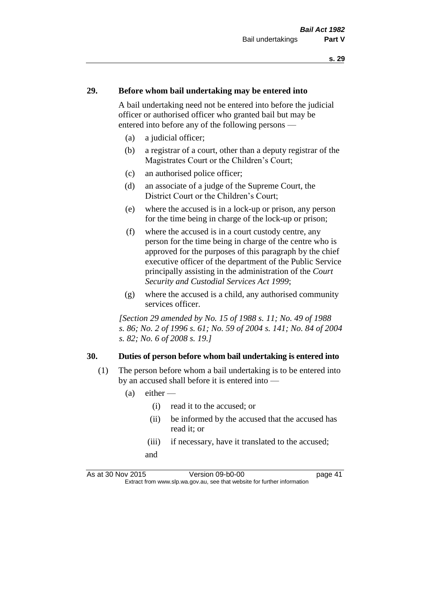#### **29. Before whom bail undertaking may be entered into**

A bail undertaking need not be entered into before the judicial officer or authorised officer who granted bail but may be entered into before any of the following persons —

- (a) a judicial officer;
- (b) a registrar of a court, other than a deputy registrar of the Magistrates Court or the Children's Court;
- (c) an authorised police officer;
- (d) an associate of a judge of the Supreme Court, the District Court or the Children's Court;
- (e) where the accused is in a lock-up or prison, any person for the time being in charge of the lock-up or prison;
- (f) where the accused is in a court custody centre, any person for the time being in charge of the centre who is approved for the purposes of this paragraph by the chief executive officer of the department of the Public Service principally assisting in the administration of the *Court Security and Custodial Services Act 1999*;
- (g) where the accused is a child, any authorised community services officer.

*[Section 29 amended by No. 15 of 1988 s. 11; No. 49 of 1988 s. 86; No. 2 of 1996 s. 61; No. 59 of 2004 s. 141; No. 84 of 2004 s. 82; No. 6 of 2008 s. 19.]* 

#### **30. Duties of person before whom bail undertaking is entered into**

- (1) The person before whom a bail undertaking is to be entered into by an accused shall before it is entered into —
	- $(a)$  either
		- (i) read it to the accused; or
		- (ii) be informed by the accused that the accused has read it; or
		- (iii) if necessary, have it translated to the accused; and

As at 30 Nov 2015 Version 09-b0-00 Page 41 Extract from www.slp.wa.gov.au, see that website for further information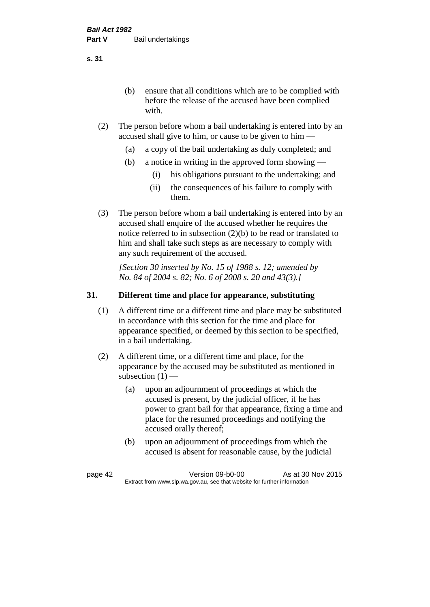(b) ensure that all conditions which are to be complied with before the release of the accused have been complied with.

- (2) The person before whom a bail undertaking is entered into by an accused shall give to him, or cause to be given to him —
	- (a) a copy of the bail undertaking as duly completed; and
	- (b) a notice in writing in the approved form showing
		- (i) his obligations pursuant to the undertaking; and
		- (ii) the consequences of his failure to comply with them.
- (3) The person before whom a bail undertaking is entered into by an accused shall enquire of the accused whether he requires the notice referred to in subsection (2)(b) to be read or translated to him and shall take such steps as are necessary to comply with any such requirement of the accused.

*[Section 30 inserted by No. 15 of 1988 s. 12; amended by No. 84 of 2004 s. 82; No. 6 of 2008 s. 20 and 43(3).]* 

## **31. Different time and place for appearance, substituting**

- (1) A different time or a different time and place may be substituted in accordance with this section for the time and place for appearance specified, or deemed by this section to be specified, in a bail undertaking.
- (2) A different time, or a different time and place, for the appearance by the accused may be substituted as mentioned in subsection  $(1)$  —
	- (a) upon an adjournment of proceedings at which the accused is present, by the judicial officer, if he has power to grant bail for that appearance, fixing a time and place for the resumed proceedings and notifying the accused orally thereof;
	- (b) upon an adjournment of proceedings from which the accused is absent for reasonable cause, by the judicial

page 42 Version 09-b0-00 As at 30 Nov 2015 Extract from www.slp.wa.gov.au, see that website for further information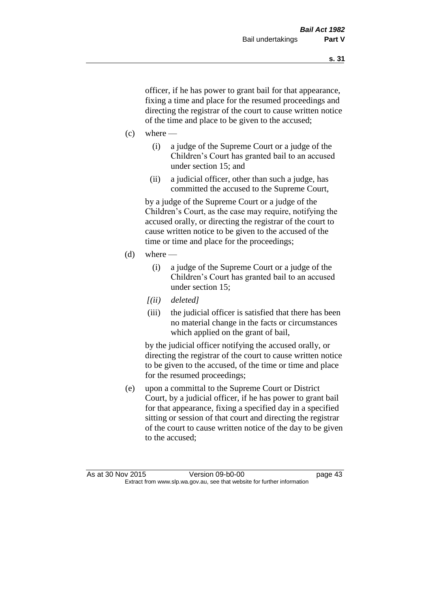officer, if he has power to grant bail for that appearance, fixing a time and place for the resumed proceedings and directing the registrar of the court to cause written notice of the time and place to be given to the accused;

- $(c)$  where
	- (i) a judge of the Supreme Court or a judge of the Children's Court has granted bail to an accused under section 15; and
	- (ii) a judicial officer, other than such a judge, has committed the accused to the Supreme Court,

by a judge of the Supreme Court or a judge of the Children's Court, as the case may require, notifying the accused orally, or directing the registrar of the court to cause written notice to be given to the accused of the time or time and place for the proceedings;

- (d) where  $-$ 
	- (i) a judge of the Supreme Court or a judge of the Children's Court has granted bail to an accused under section 15;
	- *[(ii) deleted]*
	- (iii) the judicial officer is satisfied that there has been no material change in the facts or circumstances which applied on the grant of bail,

by the judicial officer notifying the accused orally, or directing the registrar of the court to cause written notice to be given to the accused, of the time or time and place for the resumed proceedings;

(e) upon a committal to the Supreme Court or District Court, by a judicial officer, if he has power to grant bail for that appearance, fixing a specified day in a specified sitting or session of that court and directing the registrar of the court to cause written notice of the day to be given to the accused;

As at 30 Nov 2015 Version 09-b0-00 page 43 Extract from www.slp.wa.gov.au, see that website for further information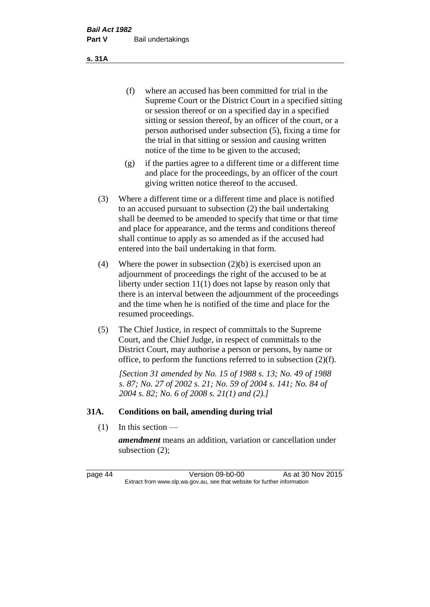(f) where an accused has been committed for trial in the Supreme Court or the District Court in a specified sitting or session thereof or on a specified day in a specified sitting or session thereof, by an officer of the court, or a person authorised under subsection (5), fixing a time for the trial in that sitting or session and causing written notice of the time to be given to the accused;

- (g) if the parties agree to a different time or a different time and place for the proceedings, by an officer of the court giving written notice thereof to the accused.
- (3) Where a different time or a different time and place is notified to an accused pursuant to subsection (2) the bail undertaking shall be deemed to be amended to specify that time or that time and place for appearance, and the terms and conditions thereof shall continue to apply as so amended as if the accused had entered into the bail undertaking in that form.
- (4) Where the power in subsection (2)(b) is exercised upon an adjournment of proceedings the right of the accused to be at liberty under section 11(1) does not lapse by reason only that there is an interval between the adjournment of the proceedings and the time when he is notified of the time and place for the resumed proceedings.
- (5) The Chief Justice, in respect of committals to the Supreme Court, and the Chief Judge, in respect of committals to the District Court, may authorise a person or persons, by name or office, to perform the functions referred to in subsection (2)(f).

*[Section 31 amended by No. 15 of 1988 s. 13; No. 49 of 1988 s. 87; No. 27 of 2002 s. 21; No. 59 of 2004 s. 141; No. 84 of 2004 s. 82; No. 6 of 2008 s. 21(1) and (2).]* 

#### **31A. Conditions on bail, amending during trial**

 $(1)$  In this section —

*amendment* means an addition, variation or cancellation under subsection (2);

page 44 Version 09-b0-00 As at 30 Nov 2015 Extract from www.slp.wa.gov.au, see that website for further information

#### **s. 31A**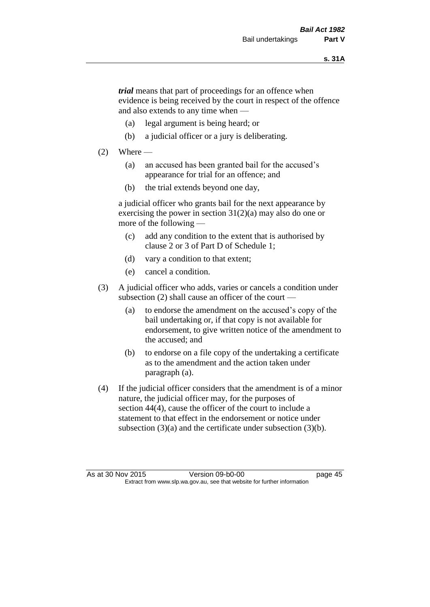*trial* means that part of proceedings for an offence when evidence is being received by the court in respect of the offence and also extends to any time when —

- (a) legal argument is being heard; or
- (b) a judicial officer or a jury is deliberating.

#### $(2)$  Where —

- (a) an accused has been granted bail for the accused's appearance for trial for an offence; and
- (b) the trial extends beyond one day,

a judicial officer who grants bail for the next appearance by exercising the power in section  $31(2)(a)$  may also do one or more of the following —

- (c) add any condition to the extent that is authorised by clause 2 or 3 of Part D of Schedule 1;
- (d) vary a condition to that extent;
- (e) cancel a condition.
- (3) A judicial officer who adds, varies or cancels a condition under subsection (2) shall cause an officer of the court —
	- (a) to endorse the amendment on the accused's copy of the bail undertaking or, if that copy is not available for endorsement, to give written notice of the amendment to the accused; and
	- (b) to endorse on a file copy of the undertaking a certificate as to the amendment and the action taken under paragraph (a).
- (4) If the judicial officer considers that the amendment is of a minor nature, the judicial officer may, for the purposes of section 44(4), cause the officer of the court to include a statement to that effect in the endorsement or notice under subsection (3)(a) and the certificate under subsection (3)(b).

As at 30 Nov 2015 Version 09-b0-00 Extract from www.slp.wa.gov.au, see that website for further information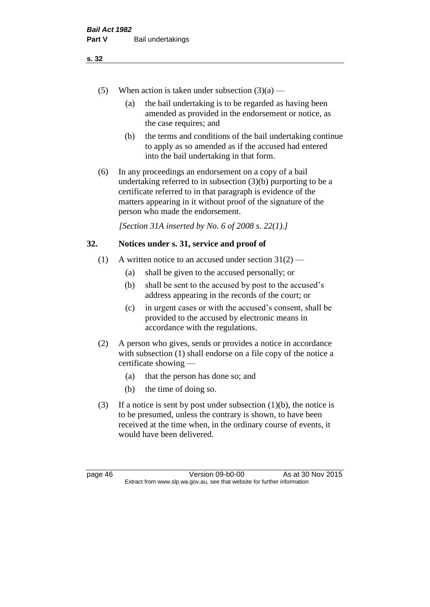- (5) When action is taken under subsection  $(3)(a)$ 
	- (a) the bail undertaking is to be regarded as having been amended as provided in the endorsement or notice, as the case requires; and
	- (b) the terms and conditions of the bail undertaking continue to apply as so amended as if the accused had entered into the bail undertaking in that form.
- (6) In any proceedings an endorsement on a copy of a bail undertaking referred to in subsection (3)(b) purporting to be a certificate referred to in that paragraph is evidence of the matters appearing in it without proof of the signature of the person who made the endorsement.

*[Section 31A inserted by No. 6 of 2008 s. 22(1).]*

#### **32. Notices under s. 31, service and proof of**

- (1) A written notice to an accused under section  $31(2)$ 
	- (a) shall be given to the accused personally; or
	- (b) shall be sent to the accused by post to the accused's address appearing in the records of the court; or
	- (c) in urgent cases or with the accused's consent, shall be provided to the accused by electronic means in accordance with the regulations.
- (2) A person who gives, sends or provides a notice in accordance with subsection (1) shall endorse on a file copy of the notice a certificate showing —
	- (a) that the person has done so; and
	- (b) the time of doing so.
- (3) If a notice is sent by post under subsection  $(1)(b)$ , the notice is to be presumed, unless the contrary is shown, to have been received at the time when, in the ordinary course of events, it would have been delivered.

page 46 Version 09-b0-00 As at 30 Nov 2015 Extract from www.slp.wa.gov.au, see that website for further information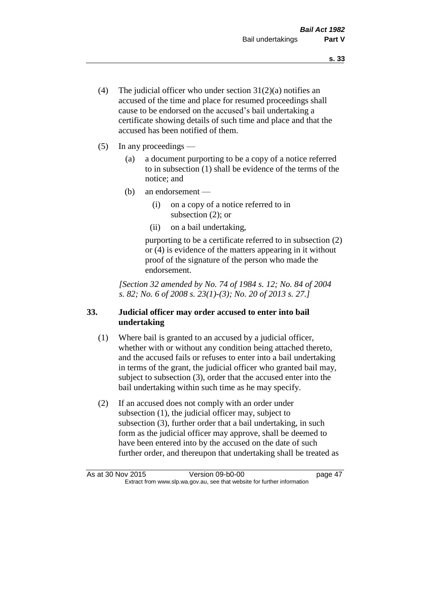- (4) The judicial officer who under section  $31(2)(a)$  notifies an accused of the time and place for resumed proceedings shall cause to be endorsed on the accused's bail undertaking a certificate showing details of such time and place and that the accused has been notified of them.
- (5) In any proceedings
	- (a) a document purporting to be a copy of a notice referred to in subsection (1) shall be evidence of the terms of the notice; and
	- (b) an endorsement
		- (i) on a copy of a notice referred to in subsection (2); or
		- (ii) on a bail undertaking,

purporting to be a certificate referred to in subsection (2) or (4) is evidence of the matters appearing in it without proof of the signature of the person who made the endorsement.

*[Section 32 amended by No. 74 of 1984 s. 12; No. 84 of 2004 s. 82; No. 6 of 2008 s. 23(1)-(3); No. 20 of 2013 s. 27.]* 

## **33. Judicial officer may order accused to enter into bail undertaking**

- (1) Where bail is granted to an accused by a judicial officer, whether with or without any condition being attached thereto, and the accused fails or refuses to enter into a bail undertaking in terms of the grant, the judicial officer who granted bail may, subject to subsection (3), order that the accused enter into the bail undertaking within such time as he may specify.
- (2) If an accused does not comply with an order under subsection (1), the judicial officer may, subject to subsection (3), further order that a bail undertaking, in such form as the judicial officer may approve, shall be deemed to have been entered into by the accused on the date of such further order, and thereupon that undertaking shall be treated as

As at 30 Nov 2015 Version 09-b0-00 page 47 Extract from www.slp.wa.gov.au, see that website for further information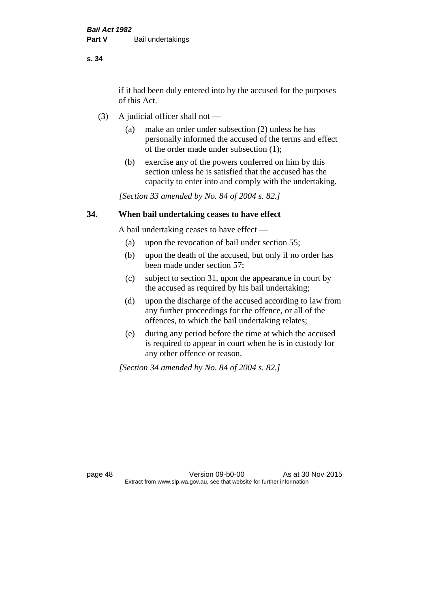if it had been duly entered into by the accused for the purposes of this Act.

- (3) A judicial officer shall not
	- (a) make an order under subsection (2) unless he has personally informed the accused of the terms and effect of the order made under subsection (1);
	- (b) exercise any of the powers conferred on him by this section unless he is satisfied that the accused has the capacity to enter into and comply with the undertaking.

*[Section 33 amended by No. 84 of 2004 s. 82.]* 

#### **34. When bail undertaking ceases to have effect**

A bail undertaking ceases to have effect —

- (a) upon the revocation of bail under section 55;
- (b) upon the death of the accused, but only if no order has been made under section 57;
- (c) subject to section 31, upon the appearance in court by the accused as required by his bail undertaking;
- (d) upon the discharge of the accused according to law from any further proceedings for the offence, or all of the offences, to which the bail undertaking relates;
- (e) during any period before the time at which the accused is required to appear in court when he is in custody for any other offence or reason.

*[Section 34 amended by No. 84 of 2004 s. 82.]* 

page 48 Version 09-b0-00 As at 30 Nov 2015 Extract from www.slp.wa.gov.au, see that website for further information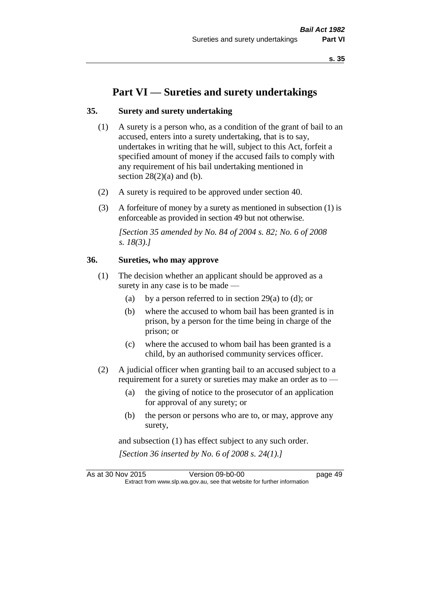# **Part VI — Sureties and surety undertakings**

#### **35. Surety and surety undertaking**

- (1) A surety is a person who, as a condition of the grant of bail to an accused, enters into a surety undertaking, that is to say, undertakes in writing that he will, subject to this Act, forfeit a specified amount of money if the accused fails to comply with any requirement of his bail undertaking mentioned in section  $28(2)(a)$  and (b).
- (2) A surety is required to be approved under section 40.
- (3) A forfeiture of money by a surety as mentioned in subsection (1) is enforceable as provided in section 49 but not otherwise.

*[Section 35 amended by No. 84 of 2004 s. 82; No. 6 of 2008 s. 18(3).]* 

#### **36. Sureties, who may approve**

- (1) The decision whether an applicant should be approved as a surety in any case is to be made —
	- (a) by a person referred to in section 29(a) to (d); or
	- (b) where the accused to whom bail has been granted is in prison, by a person for the time being in charge of the prison; or
	- (c) where the accused to whom bail has been granted is a child, by an authorised community services officer.
- (2) A judicial officer when granting bail to an accused subject to a requirement for a surety or sureties may make an order as to -
	- (a) the giving of notice to the prosecutor of an application for approval of any surety; or
	- (b) the person or persons who are to, or may, approve any surety,

and subsection (1) has effect subject to any such order. *[Section 36 inserted by No. 6 of 2008 s. 24(1).]*

As at 30 Nov 2015 Version 09-b0-00 page 49 Extract from www.slp.wa.gov.au, see that website for further information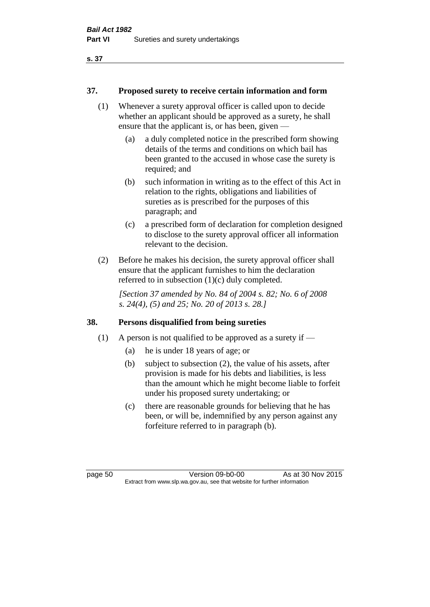#### **37. Proposed surety to receive certain information and form**

- (1) Whenever a surety approval officer is called upon to decide whether an applicant should be approved as a surety, he shall ensure that the applicant is, or has been, given —
	- (a) a duly completed notice in the prescribed form showing details of the terms and conditions on which bail has been granted to the accused in whose case the surety is required; and
	- (b) such information in writing as to the effect of this Act in relation to the rights, obligations and liabilities of sureties as is prescribed for the purposes of this paragraph; and
	- (c) a prescribed form of declaration for completion designed to disclose to the surety approval officer all information relevant to the decision.
- (2) Before he makes his decision, the surety approval officer shall ensure that the applicant furnishes to him the declaration referred to in subsection (1)(c) duly completed.

*[Section 37 amended by No. 84 of 2004 s. 82; No. 6 of 2008 s. 24(4), (5) and 25; No. 20 of 2013 s. 28.]* 

#### **38. Persons disqualified from being sureties**

- (1) A person is not qualified to be approved as a surety if  $-$ 
	- (a) he is under 18 years of age; or
	- (b) subject to subsection (2), the value of his assets, after provision is made for his debts and liabilities, is less than the amount which he might become liable to forfeit under his proposed surety undertaking; or
	- (c) there are reasonable grounds for believing that he has been, or will be, indemnified by any person against any forfeiture referred to in paragraph (b).

page 50 Version 09-b0-00 As at 30 Nov 2015 Extract from www.slp.wa.gov.au, see that website for further information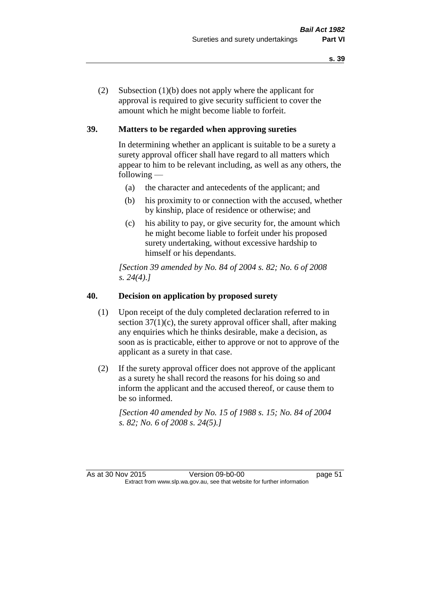(2) Subsection (1)(b) does not apply where the applicant for approval is required to give security sufficient to cover the amount which he might become liable to forfeit.

## **39. Matters to be regarded when approving sureties**

In determining whether an applicant is suitable to be a surety a surety approval officer shall have regard to all matters which appear to him to be relevant including, as well as any others, the following —

- (a) the character and antecedents of the applicant; and
- (b) his proximity to or connection with the accused, whether by kinship, place of residence or otherwise; and
- (c) his ability to pay, or give security for, the amount which he might become liable to forfeit under his proposed surety undertaking, without excessive hardship to himself or his dependants.

*[Section 39 amended by No. 84 of 2004 s. 82; No. 6 of 2008 s. 24(4).]* 

## **40. Decision on application by proposed surety**

- (1) Upon receipt of the duly completed declaration referred to in section  $37(1)(c)$ , the surety approval officer shall, after making any enquiries which he thinks desirable, make a decision, as soon as is practicable, either to approve or not to approve of the applicant as a surety in that case.
- (2) If the surety approval officer does not approve of the applicant as a surety he shall record the reasons for his doing so and inform the applicant and the accused thereof, or cause them to be so informed.

*[Section 40 amended by No. 15 of 1988 s. 15; No. 84 of 2004 s. 82; No. 6 of 2008 s. 24(5).]*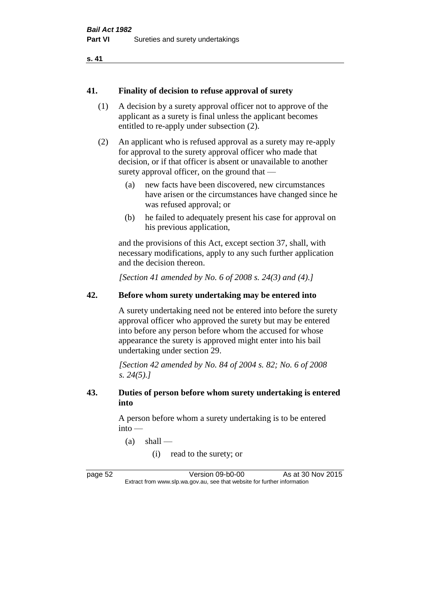```
s. 41
```
#### **41. Finality of decision to refuse approval of surety**

- (1) A decision by a surety approval officer not to approve of the applicant as a surety is final unless the applicant becomes entitled to re-apply under subsection (2).
- (2) An applicant who is refused approval as a surety may re-apply for approval to the surety approval officer who made that decision, or if that officer is absent or unavailable to another surety approval officer, on the ground that —
	- (a) new facts have been discovered, new circumstances have arisen or the circumstances have changed since he was refused approval; or
	- (b) he failed to adequately present his case for approval on his previous application,

and the provisions of this Act, except section 37, shall, with necessary modifications, apply to any such further application and the decision thereon.

*[Section 41 amended by No. 6 of 2008 s. 24(3) and (4).]*

#### **42. Before whom surety undertaking may be entered into**

A surety undertaking need not be entered into before the surety approval officer who approved the surety but may be entered into before any person before whom the accused for whose appearance the surety is approved might enter into his bail undertaking under section 29.

*[Section 42 amended by No. 84 of 2004 s. 82; No. 6 of 2008 s. 24(5).]* 

#### **43. Duties of person before whom surety undertaking is entered into**

A person before whom a surety undertaking is to be entered into —

- $(a)$  shall
	- (i) read to the surety; or

page 52 Version 09-b0-00 As at 30 Nov 2015 Extract from www.slp.wa.gov.au, see that website for further information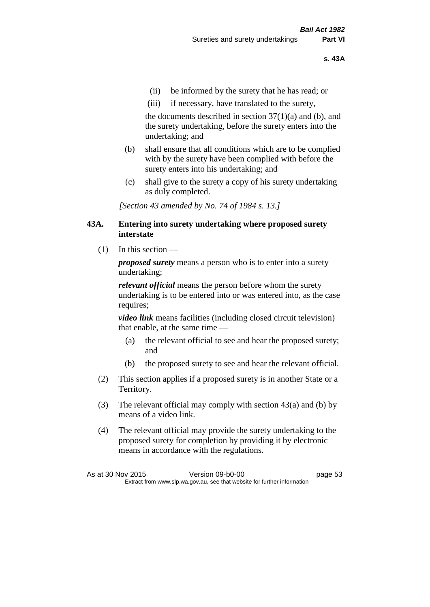- (ii) be informed by the surety that he has read; or
- (iii) if necessary, have translated to the surety,

the documents described in section  $37(1)(a)$  and (b), and the surety undertaking, before the surety enters into the undertaking; and

- (b) shall ensure that all conditions which are to be complied with by the surety have been complied with before the surety enters into his undertaking; and
- (c) shall give to the surety a copy of his surety undertaking as duly completed.

*[Section 43 amended by No. 74 of 1984 s. 13.]* 

#### **43A. Entering into surety undertaking where proposed surety interstate**

 $(1)$  In this section —

*proposed surety* means a person who is to enter into a surety undertaking;

*relevant official* means the person before whom the surety undertaking is to be entered into or was entered into, as the case requires;

*video link* means facilities (including closed circuit television) that enable, at the same time —

- (a) the relevant official to see and hear the proposed surety; and
- (b) the proposed surety to see and hear the relevant official.
- (2) This section applies if a proposed surety is in another State or a Territory.
- (3) The relevant official may comply with section 43(a) and (b) by means of a video link.
- (4) The relevant official may provide the surety undertaking to the proposed surety for completion by providing it by electronic means in accordance with the regulations.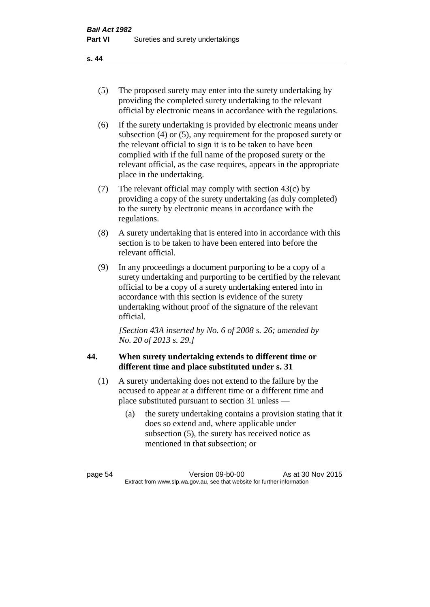- (5) The proposed surety may enter into the surety undertaking by providing the completed surety undertaking to the relevant official by electronic means in accordance with the regulations.
- (6) If the surety undertaking is provided by electronic means under subsection (4) or (5), any requirement for the proposed surety or the relevant official to sign it is to be taken to have been complied with if the full name of the proposed surety or the relevant official, as the case requires, appears in the appropriate place in the undertaking.
- (7) The relevant official may comply with section 43(c) by providing a copy of the surety undertaking (as duly completed) to the surety by electronic means in accordance with the regulations.
- (8) A surety undertaking that is entered into in accordance with this section is to be taken to have been entered into before the relevant official.
- (9) In any proceedings a document purporting to be a copy of a surety undertaking and purporting to be certified by the relevant official to be a copy of a surety undertaking entered into in accordance with this section is evidence of the surety undertaking without proof of the signature of the relevant official.

*[Section 43A inserted by No. 6 of 2008 s. 26; amended by No. 20 of 2013 s. 29.]*

# **44. When surety undertaking extends to different time or different time and place substituted under s. 31**

- (1) A surety undertaking does not extend to the failure by the accused to appear at a different time or a different time and place substituted pursuant to section 31 unless —
	- (a) the surety undertaking contains a provision stating that it does so extend and, where applicable under subsection (5), the surety has received notice as mentioned in that subsection; or

page 54 Version 09-b0-00 As at 30 Nov 2015 Extract from www.slp.wa.gov.au, see that website for further information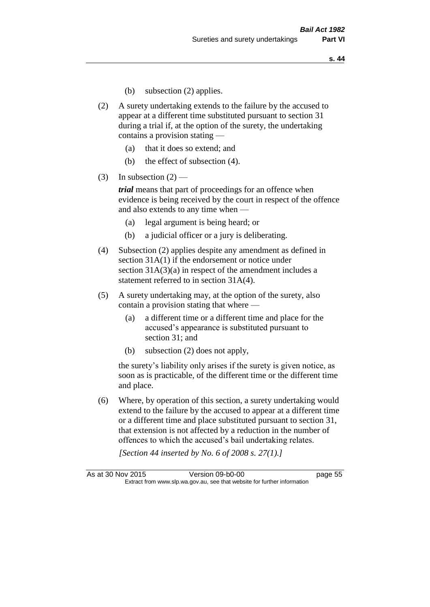- (b) subsection (2) applies.
- (2) A surety undertaking extends to the failure by the accused to appear at a different time substituted pursuant to section 31 during a trial if, at the option of the surety, the undertaking contains a provision stating —
	- (a) that it does so extend; and
	- (b) the effect of subsection (4).
- (3) In subsection  $(2)$  —

*trial* means that part of proceedings for an offence when evidence is being received by the court in respect of the offence and also extends to any time when —

- (a) legal argument is being heard; or
- (b) a judicial officer or a jury is deliberating.
- (4) Subsection (2) applies despite any amendment as defined in section 31A(1) if the endorsement or notice under section 31A(3)(a) in respect of the amendment includes a statement referred to in section 31A(4).
- (5) A surety undertaking may, at the option of the surety, also contain a provision stating that where —
	- (a) a different time or a different time and place for the accused's appearance is substituted pursuant to section 31; and
	- (b) subsection (2) does not apply,

the surety's liability only arises if the surety is given notice, as soon as is practicable, of the different time or the different time and place.

(6) Where, by operation of this section, a surety undertaking would extend to the failure by the accused to appear at a different time or a different time and place substituted pursuant to section 31, that extension is not affected by a reduction in the number of offences to which the accused's bail undertaking relates.

*[Section 44 inserted by No. 6 of 2008 s. 27(1).]*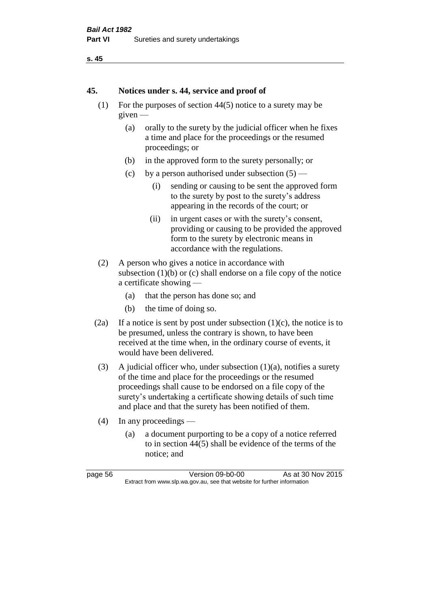```
s. 45
```
#### **45. Notices under s. 44, service and proof of**

- (1) For the purposes of section 44(5) notice to a surety may be given —
	- (a) orally to the surety by the judicial officer when he fixes a time and place for the proceedings or the resumed proceedings; or
	- (b) in the approved form to the surety personally; or
	- (c) by a person authorised under subsection  $(5)$ 
		- (i) sending or causing to be sent the approved form to the surety by post to the surety's address appearing in the records of the court; or
		- (ii) in urgent cases or with the surety's consent, providing or causing to be provided the approved form to the surety by electronic means in accordance with the regulations.
- (2) A person who gives a notice in accordance with subsection  $(1)(b)$  or  $(c)$  shall endorse on a file copy of the notice a certificate showing —
	- (a) that the person has done so; and
	- (b) the time of doing so.
- (2a) If a notice is sent by post under subsection  $(1)(c)$ , the notice is to be presumed, unless the contrary is shown, to have been received at the time when, in the ordinary course of events, it would have been delivered.
- (3) A judicial officer who, under subsection  $(1)(a)$ , notifies a surety of the time and place for the proceedings or the resumed proceedings shall cause to be endorsed on a file copy of the surety's undertaking a certificate showing details of such time and place and that the surety has been notified of them.
- (4) In any proceedings
	- (a) a document purporting to be a copy of a notice referred to in section 44(5) shall be evidence of the terms of the notice; and

| page 56 |  |
|---------|--|
|---------|--|

**Version 09-b0-00** As at 30 Nov 2015 Extract from www.slp.wa.gov.au, see that website for further information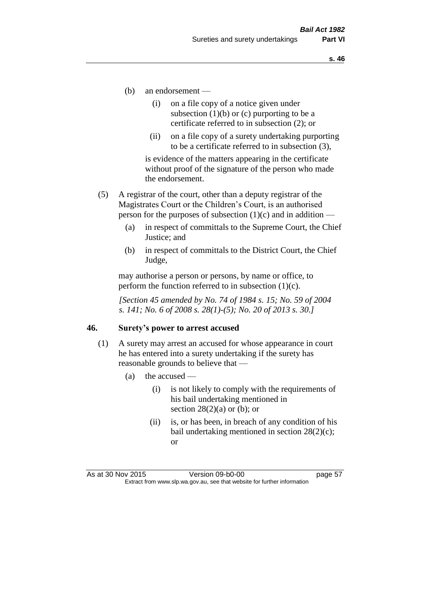- (b) an endorsement
	- (i) on a file copy of a notice given under subsection  $(1)(b)$  or  $(c)$  purporting to be a certificate referred to in subsection (2); or
	- (ii) on a file copy of a surety undertaking purporting to be a certificate referred to in subsection (3),

is evidence of the matters appearing in the certificate without proof of the signature of the person who made the endorsement.

- (5) A registrar of the court, other than a deputy registrar of the Magistrates Court or the Children's Court, is an authorised person for the purposes of subsection  $(1)(c)$  and in addition —
	- (a) in respect of committals to the Supreme Court, the Chief Justice; and
	- (b) in respect of committals to the District Court, the Chief Judge,

may authorise a person or persons, by name or office, to perform the function referred to in subsection  $(1)(c)$ .

*[Section 45 amended by No. 74 of 1984 s. 15; No. 59 of 2004 s. 141; No. 6 of 2008 s. 28(1)-(5); No. 20 of 2013 s. 30.]* 

#### **46. Surety's power to arrest accused**

- (1) A surety may arrest an accused for whose appearance in court he has entered into a surety undertaking if the surety has reasonable grounds to believe that —
	- (a) the accused
		- (i) is not likely to comply with the requirements of his bail undertaking mentioned in section  $28(2)(a)$  or (b); or
		- (ii) is, or has been, in breach of any condition of his bail undertaking mentioned in section 28(2)(c); or

As at 30 Nov 2015 Version 09-b0-00 page 57 Extract from www.slp.wa.gov.au, see that website for further information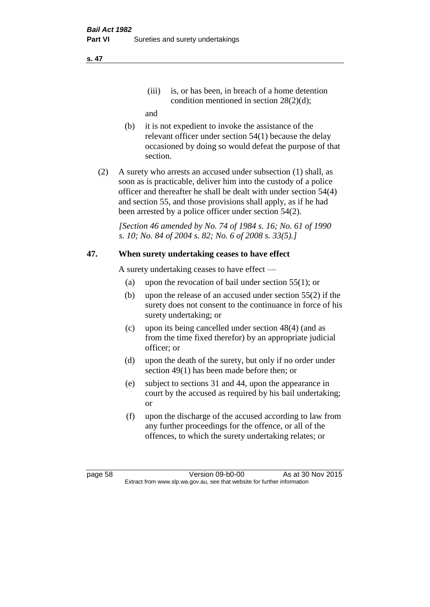(iii) is, or has been, in breach of a home detention condition mentioned in section 28(2)(d);

and

- (b) it is not expedient to invoke the assistance of the relevant officer under section 54(1) because the delay occasioned by doing so would defeat the purpose of that section.
- (2) A surety who arrests an accused under subsection (1) shall, as soon as is practicable, deliver him into the custody of a police officer and thereafter he shall be dealt with under section 54(4) and section 55, and those provisions shall apply, as if he had been arrested by a police officer under section 54(2).

*[Section 46 amended by No. 74 of 1984 s. 16; No. 61 of 1990 s. 10; No. 84 of 2004 s. 82; No. 6 of 2008 s. 33(5).]* 

## **47. When surety undertaking ceases to have effect**

A surety undertaking ceases to have effect —

- (a) upon the revocation of bail under section 55(1); or
- (b) upon the release of an accused under section 55(2) if the surety does not consent to the continuance in force of his surety undertaking; or
- (c) upon its being cancelled under section 48(4) (and as from the time fixed therefor) by an appropriate judicial officer; or
- (d) upon the death of the surety, but only if no order under section 49(1) has been made before then; or
- (e) subject to sections 31 and 44, upon the appearance in court by the accused as required by his bail undertaking; or
- (f) upon the discharge of the accused according to law from any further proceedings for the offence, or all of the offences, to which the surety undertaking relates; or

page 58 Version 09-b0-00 As at 30 Nov 2015 Extract from www.slp.wa.gov.au, see that website for further information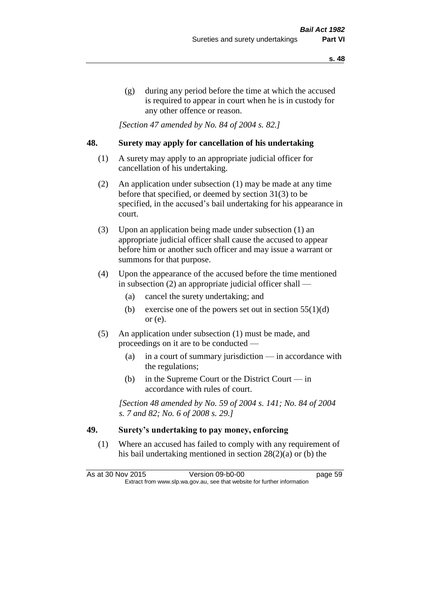(g) during any period before the time at which the accused is required to appear in court when he is in custody for any other offence or reason.

*[Section 47 amended by No. 84 of 2004 s. 82.]* 

#### **48. Surety may apply for cancellation of his undertaking**

- (1) A surety may apply to an appropriate judicial officer for cancellation of his undertaking.
- (2) An application under subsection (1) may be made at any time before that specified, or deemed by section 31(3) to be specified, in the accused's bail undertaking for his appearance in court.
- (3) Upon an application being made under subsection (1) an appropriate judicial officer shall cause the accused to appear before him or another such officer and may issue a warrant or summons for that purpose.
- (4) Upon the appearance of the accused before the time mentioned in subsection (2) an appropriate judicial officer shall —
	- (a) cancel the surety undertaking; and
	- (b) exercise one of the powers set out in section  $55(1)(d)$ or (e).
- (5) An application under subsection (1) must be made, and proceedings on it are to be conducted —
	- (a) in a court of summary jurisdiction in accordance with the regulations;
	- (b) in the Supreme Court or the District Court  $-\text{in}$ accordance with rules of court.

*[Section 48 amended by No. 59 of 2004 s. 141; No. 84 of 2004 s. 7 and 82; No. 6 of 2008 s. 29.]* 

## **49. Surety's undertaking to pay money, enforcing**

(1) Where an accused has failed to comply with any requirement of his bail undertaking mentioned in section 28(2)(a) or (b) the

As at 30 Nov 2015 Version 09-b0-00 Page 59 Extract from www.slp.wa.gov.au, see that website for further information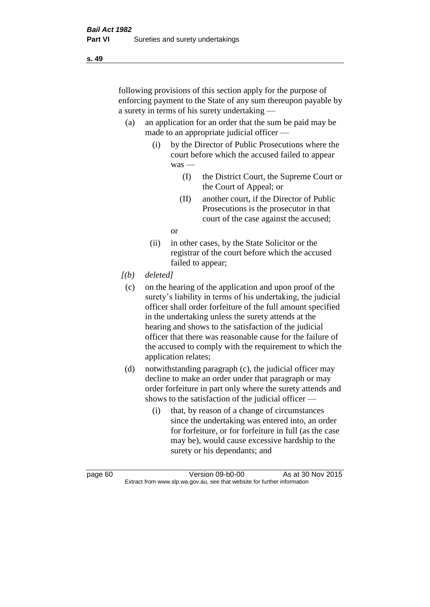following provisions of this section apply for the purpose of enforcing payment to the State of any sum thereupon payable by a surety in terms of his surety undertaking —

- (a) an application for an order that the sum be paid may be made to an appropriate judicial officer —
	- (i) by the Director of Public Prosecutions where the court before which the accused failed to appear was —
		- (I) the District Court, the Supreme Court or the Court of Appeal; or
		- (II) another court, if the Director of Public Prosecutions is the prosecutor in that court of the case against the accused;

or

- (ii) in other cases, by the State Solicitor or the registrar of the court before which the accused failed to appear;
- *[(b) deleted]*
	- (c) on the hearing of the application and upon proof of the surety's liability in terms of his undertaking, the judicial officer shall order forfeiture of the full amount specified in the undertaking unless the surety attends at the hearing and shows to the satisfaction of the judicial officer that there was reasonable cause for the failure of the accused to comply with the requirement to which the application relates;
- (d) notwithstanding paragraph (c), the judicial officer may decline to make an order under that paragraph or may order forfeiture in part only where the surety attends and shows to the satisfaction of the judicial officer —
	- (i) that, by reason of a change of circumstances since the undertaking was entered into, an order for forfeiture, or for forfeiture in full (as the case may be), would cause excessive hardship to the surety or his dependants; and

page 60 Version 09-b0-00 As at 30 Nov 2015 Extract from www.slp.wa.gov.au, see that website for further information

**s. 49**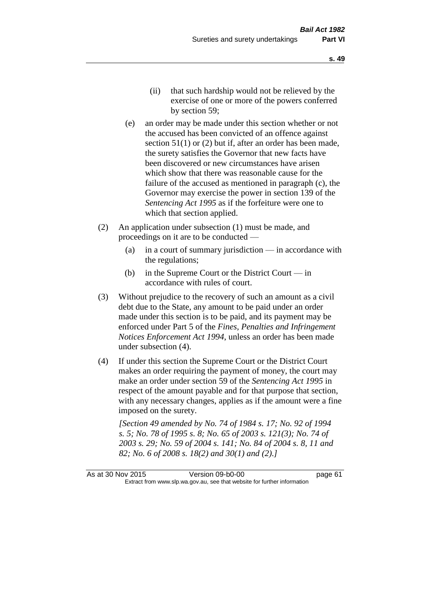- (ii) that such hardship would not be relieved by the exercise of one or more of the powers conferred by section 59;
- (e) an order may be made under this section whether or not the accused has been convicted of an offence against section 51(1) or (2) but if, after an order has been made, the surety satisfies the Governor that new facts have been discovered or new circumstances have arisen which show that there was reasonable cause for the failure of the accused as mentioned in paragraph (c), the Governor may exercise the power in section 139 of the *Sentencing Act 1995* as if the forfeiture were one to which that section applied.
- (2) An application under subsection (1) must be made, and proceedings on it are to be conducted —
	- (a) in a court of summary jurisdiction in accordance with the regulations;
	- (b) in the Supreme Court or the District Court  $-\text{in}$ accordance with rules of court.
- (3) Without prejudice to the recovery of such an amount as a civil debt due to the State, any amount to be paid under an order made under this section is to be paid, and its payment may be enforced under Part 5 of the *Fines, Penalties and Infringement Notices Enforcement Act 1994*, unless an order has been made under subsection (4).
- (4) If under this section the Supreme Court or the District Court makes an order requiring the payment of money, the court may make an order under section 59 of the *Sentencing Act 1995* in respect of the amount payable and for that purpose that section, with any necessary changes, applies as if the amount were a fine imposed on the surety.

*[Section 49 amended by No. 74 of 1984 s. 17; No. 92 of 1994 s. 5; No. 78 of 1995 s. 8; No. 65 of 2003 s. 121(3); No. 74 of 2003 s. 29; No. 59 of 2004 s. 141; No. 84 of 2004 s. 8, 11 and 82; No. 6 of 2008 s. 18(2) and 30(1) and (2).]* 

As at 30 Nov 2015 Version 09-b0-00 page 61 Extract from www.slp.wa.gov.au, see that website for further information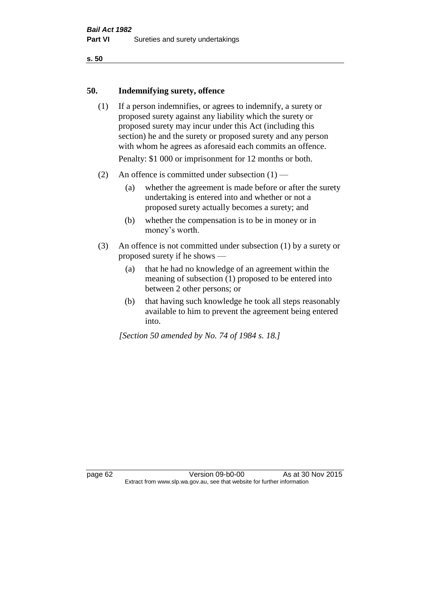#### **50. Indemnifying surety, offence**

- (1) If a person indemnifies, or agrees to indemnify, a surety or proposed surety against any liability which the surety or proposed surety may incur under this Act (including this section) he and the surety or proposed surety and any person with whom he agrees as aforesaid each commits an offence. Penalty: \$1 000 or imprisonment for 12 months or both.
- (2) An offence is committed under subsection  $(1)$ 
	- (a) whether the agreement is made before or after the surety undertaking is entered into and whether or not a proposed surety actually becomes a surety; and
	- (b) whether the compensation is to be in money or in money's worth.
- (3) An offence is not committed under subsection (1) by a surety or proposed surety if he shows —
	- (a) that he had no knowledge of an agreement within the meaning of subsection (1) proposed to be entered into between 2 other persons; or
	- (b) that having such knowledge he took all steps reasonably available to him to prevent the agreement being entered into.

*[Section 50 amended by No. 74 of 1984 s. 18.]* 

page 62 Version 09-b0-00 As at 30 Nov 2015 Extract from www.slp.wa.gov.au, see that website for further information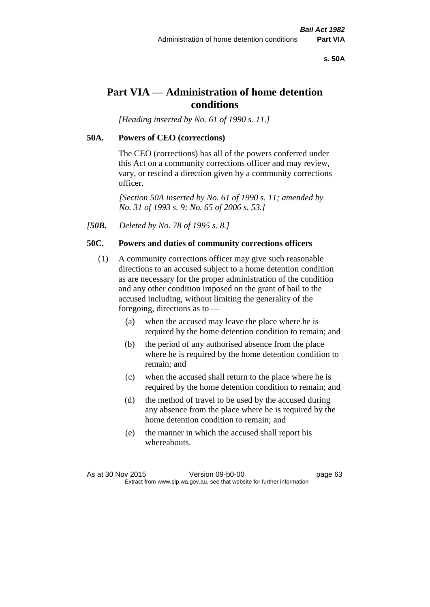**s. 50A**

# **Part VIA — Administration of home detention conditions**

*[Heading inserted by No. 61 of 1990 s. 11.]* 

## **50A. Powers of CEO (corrections)**

The CEO (corrections) has all of the powers conferred under this Act on a community corrections officer and may review, vary, or rescind a direction given by a community corrections officer.

*[Section 50A inserted by No. 61 of 1990 s. 11; amended by No. 31 of 1993 s. 9; No. 65 of 2006 s. 53.]* 

*[50B. Deleted by No. 78 of 1995 s. 8.]* 

## **50C. Powers and duties of community corrections officers**

- (1) A community corrections officer may give such reasonable directions to an accused subject to a home detention condition as are necessary for the proper administration of the condition and any other condition imposed on the grant of bail to the accused including, without limiting the generality of the foregoing, directions as to —
	- (a) when the accused may leave the place where he is required by the home detention condition to remain; and
	- (b) the period of any authorised absence from the place where he is required by the home detention condition to remain; and
	- (c) when the accused shall return to the place where he is required by the home detention condition to remain; and
	- (d) the method of travel to be used by the accused during any absence from the place where he is required by the home detention condition to remain; and
	- (e) the manner in which the accused shall report his whereabouts.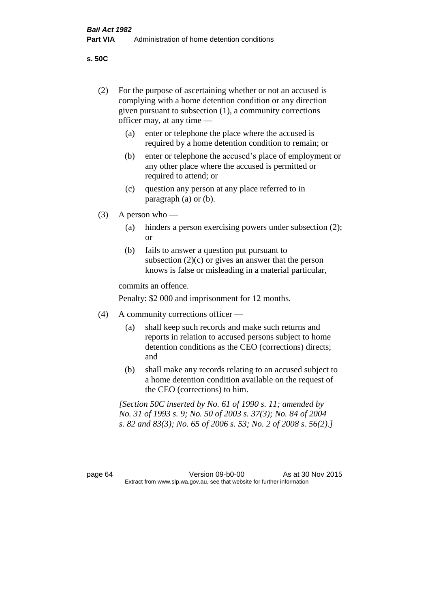(2) For the purpose of ascertaining whether or not an accused is complying with a home detention condition or any direction

**s. 50C**

|         | given pursuant to subsection $(1)$ , a community corrections<br>officer may, at any time -                                                                                                   |                                                                                                                                                                              |  |  |
|---------|----------------------------------------------------------------------------------------------------------------------------------------------------------------------------------------------|------------------------------------------------------------------------------------------------------------------------------------------------------------------------------|--|--|
|         | (a)                                                                                                                                                                                          | enter or telephone the place where the accused is<br>required by a home detention condition to remain; or                                                                    |  |  |
|         | (b)                                                                                                                                                                                          | enter or telephone the accused's place of employment or<br>any other place where the accused is permitted or<br>required to attend; or                                       |  |  |
|         | (c)                                                                                                                                                                                          | question any person at any place referred to in<br>paragraph $(a)$ or $(b)$ .                                                                                                |  |  |
| (3)     | A person who -                                                                                                                                                                               |                                                                                                                                                                              |  |  |
|         | (a)                                                                                                                                                                                          | hinders a person exercising powers under subsection (2);<br><b>or</b>                                                                                                        |  |  |
|         | (b)                                                                                                                                                                                          | fails to answer a question put pursuant to<br>subsection $(2)(c)$ or gives an answer that the person<br>knows is false or misleading in a material particular,               |  |  |
|         | commits an offence.                                                                                                                                                                          |                                                                                                                                                                              |  |  |
|         | Penalty: \$2 000 and imprisonment for 12 months.                                                                                                                                             |                                                                                                                                                                              |  |  |
| (4)     | A community corrections officer —                                                                                                                                                            |                                                                                                                                                                              |  |  |
|         | (a)                                                                                                                                                                                          | shall keep such records and make such returns and<br>reports in relation to accused persons subject to home<br>detention conditions as the CEO (corrections) directs;<br>and |  |  |
|         | (b)                                                                                                                                                                                          | shall make any records relating to an accused subject to<br>a home detention condition available on the request of<br>the CEO (corrections) to him.                          |  |  |
|         | [Section 50C inserted by No. 61 of 1990 s. 11; amended by<br>No. 31 of 1993 s. 9; No. 50 of 2003 s. 37(3); No. 84 of 2004<br>s. 82 and 83(3); No. 65 of 2006 s. 53; No. 2 of 2008 s. 56(2).] |                                                                                                                                                                              |  |  |
|         |                                                                                                                                                                                              |                                                                                                                                                                              |  |  |
| page 64 |                                                                                                                                                                                              | As at 30 Nov 2015<br>Version 09-b0-00<br>Extract from www.slp.wa.gov.au, see that website for further information                                                            |  |  |
|         |                                                                                                                                                                                              |                                                                                                                                                                              |  |  |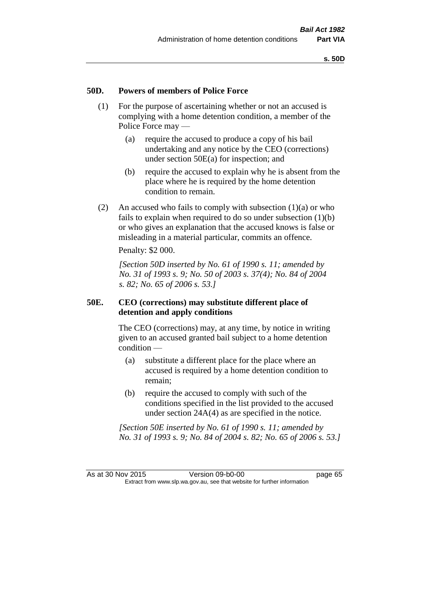# **50D. Powers of members of Police Force**

- (1) For the purpose of ascertaining whether or not an accused is complying with a home detention condition, a member of the Police Force may —
	- (a) require the accused to produce a copy of his bail undertaking and any notice by the CEO (corrections) under section 50E(a) for inspection; and
	- (b) require the accused to explain why he is absent from the place where he is required by the home detention condition to remain.
- (2) An accused who fails to comply with subsection  $(1)(a)$  or who fails to explain when required to do so under subsection (1)(b) or who gives an explanation that the accused knows is false or misleading in a material particular, commits an offence.

Penalty: \$2 000.

*[Section 50D inserted by No. 61 of 1990 s. 11; amended by No. 31 of 1993 s. 9; No. 50 of 2003 s. 37(4); No. 84 of 2004 s. 82; No. 65 of 2006 s. 53.]* 

# **50E. CEO (corrections) may substitute different place of detention and apply conditions**

The CEO (corrections) may, at any time, by notice in writing given to an accused granted bail subject to a home detention condition —

- (a) substitute a different place for the place where an accused is required by a home detention condition to remain;
- (b) require the accused to comply with such of the conditions specified in the list provided to the accused under section 24A(4) as are specified in the notice.

*[Section 50E inserted by No. 61 of 1990 s. 11; amended by No. 31 of 1993 s. 9; No. 84 of 2004 s. 82; No. 65 of 2006 s. 53.]*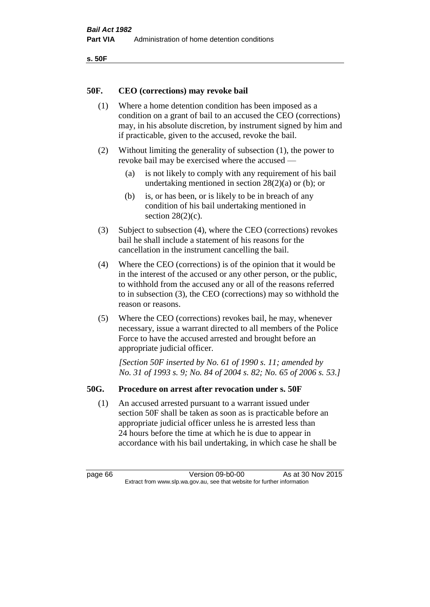```
s. 50F
```
# **50F. CEO (corrections) may revoke bail**

- (1) Where a home detention condition has been imposed as a condition on a grant of bail to an accused the CEO (corrections) may, in his absolute discretion, by instrument signed by him and if practicable, given to the accused, revoke the bail.
- (2) Without limiting the generality of subsection (1), the power to revoke bail may be exercised where the accused —
	- (a) is not likely to comply with any requirement of his bail undertaking mentioned in section 28(2)(a) or (b); or
	- (b) is, or has been, or is likely to be in breach of any condition of his bail undertaking mentioned in section  $28(2)(c)$ .
- (3) Subject to subsection (4), where the CEO (corrections) revokes bail he shall include a statement of his reasons for the cancellation in the instrument cancelling the bail.
- (4) Where the CEO (corrections) is of the opinion that it would be in the interest of the accused or any other person, or the public, to withhold from the accused any or all of the reasons referred to in subsection (3), the CEO (corrections) may so withhold the reason or reasons.
- (5) Where the CEO (corrections) revokes bail, he may, whenever necessary, issue a warrant directed to all members of the Police Force to have the accused arrested and brought before an appropriate judicial officer.

*[Section 50F inserted by No. 61 of 1990 s. 11; amended by No. 31 of 1993 s. 9; No. 84 of 2004 s. 82; No. 65 of 2006 s. 53.]* 

# **50G. Procedure on arrest after revocation under s. 50F**

(1) An accused arrested pursuant to a warrant issued under section 50F shall be taken as soon as is practicable before an appropriate judicial officer unless he is arrested less than 24 hours before the time at which he is due to appear in accordance with his bail undertaking, in which case he shall be

page 66 Version 09-b0-00 As at 30 Nov 2015 Extract from www.slp.wa.gov.au, see that website for further information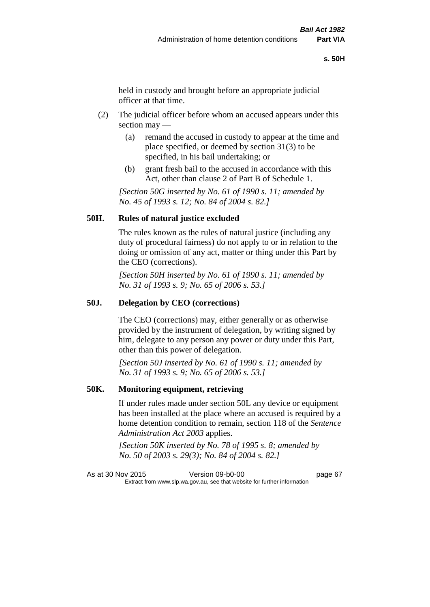held in custody and brought before an appropriate judicial officer at that time.

- (2) The judicial officer before whom an accused appears under this section may —
	- (a) remand the accused in custody to appear at the time and place specified, or deemed by section 31(3) to be specified, in his bail undertaking; or
	- (b) grant fresh bail to the accused in accordance with this Act, other than clause 2 of Part B of Schedule 1.

*[Section 50G inserted by No. 61 of 1990 s. 11; amended by No. 45 of 1993 s. 12; No. 84 of 2004 s. 82.]* 

### **50H. Rules of natural justice excluded**

The rules known as the rules of natural justice (including any duty of procedural fairness) do not apply to or in relation to the doing or omission of any act, matter or thing under this Part by the CEO (corrections).

*[Section 50H inserted by No. 61 of 1990 s. 11; amended by No. 31 of 1993 s. 9; No. 65 of 2006 s. 53.]* 

#### **50J. Delegation by CEO (corrections)**

The CEO (corrections) may, either generally or as otherwise provided by the instrument of delegation, by writing signed by him, delegate to any person any power or duty under this Part, other than this power of delegation.

*[Section 50J inserted by No. 61 of 1990 s. 11; amended by No. 31 of 1993 s. 9; No. 65 of 2006 s. 53.]* 

#### **50K. Monitoring equipment, retrieving**

If under rules made under section 50L any device or equipment has been installed at the place where an accused is required by a home detention condition to remain, section 118 of the *Sentence Administration Act 2003* applies.

*[Section 50K inserted by No. 78 of 1995 s. 8; amended by No. 50 of 2003 s. 29(3); No. 84 of 2004 s. 82.]* 

As at 30 Nov 2015 Version 09-b0-00 Page 67 Extract from www.slp.wa.gov.au, see that website for further information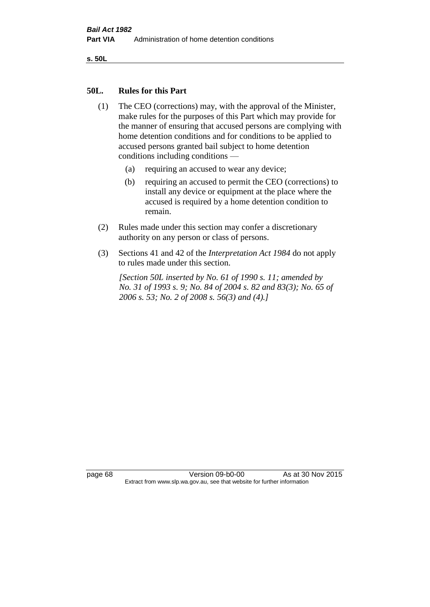**s. 50L**

### **50L. Rules for this Part**

- (1) The CEO (corrections) may, with the approval of the Minister, make rules for the purposes of this Part which may provide for the manner of ensuring that accused persons are complying with home detention conditions and for conditions to be applied to accused persons granted bail subject to home detention conditions including conditions —
	- (a) requiring an accused to wear any device;
	- (b) requiring an accused to permit the CEO (corrections) to install any device or equipment at the place where the accused is required by a home detention condition to remain.
- (2) Rules made under this section may confer a discretionary authority on any person or class of persons.
- (3) Sections 41 and 42 of the *Interpretation Act 1984* do not apply to rules made under this section.

*[Section 50L inserted by No. 61 of 1990 s. 11; amended by No. 31 of 1993 s. 9; No. 84 of 2004 s. 82 and 83(3); No. 65 of 2006 s. 53; No. 2 of 2008 s. 56(3) and (4).]* 

page 68 Version 09-b0-00 As at 30 Nov 2015 Extract from www.slp.wa.gov.au, see that website for further information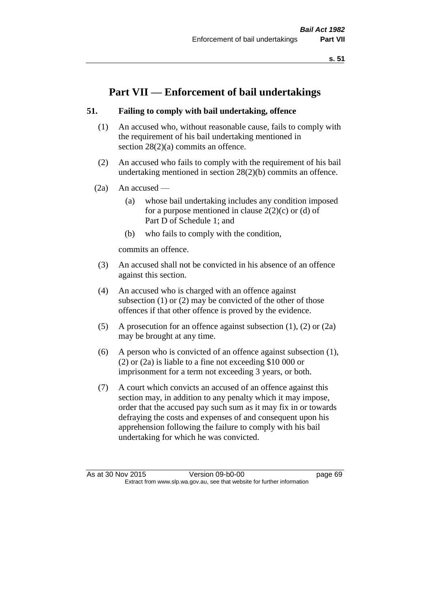**s. 51**

# **Part VII — Enforcement of bail undertakings**

# **51. Failing to comply with bail undertaking, offence**

- (1) An accused who, without reasonable cause, fails to comply with the requirement of his bail undertaking mentioned in section 28(2)(a) commits an offence.
- (2) An accused who fails to comply with the requirement of his bail undertaking mentioned in section 28(2)(b) commits an offence.
- (2a) An accused
	- (a) whose bail undertaking includes any condition imposed for a purpose mentioned in clause  $2(2)(c)$  or (d) of Part D of Schedule 1; and
	- (b) who fails to comply with the condition,

commits an offence.

- (3) An accused shall not be convicted in his absence of an offence against this section.
- (4) An accused who is charged with an offence against subsection (1) or (2) may be convicted of the other of those offences if that other offence is proved by the evidence.
- (5) A prosecution for an offence against subsection (1), (2) or (2a) may be brought at any time.
- (6) A person who is convicted of an offence against subsection (1), (2) or (2a) is liable to a fine not exceeding \$10 000 or imprisonment for a term not exceeding 3 years, or both.
- (7) A court which convicts an accused of an offence against this section may, in addition to any penalty which it may impose, order that the accused pay such sum as it may fix in or towards defraying the costs and expenses of and consequent upon his apprehension following the failure to comply with his bail undertaking for which he was convicted.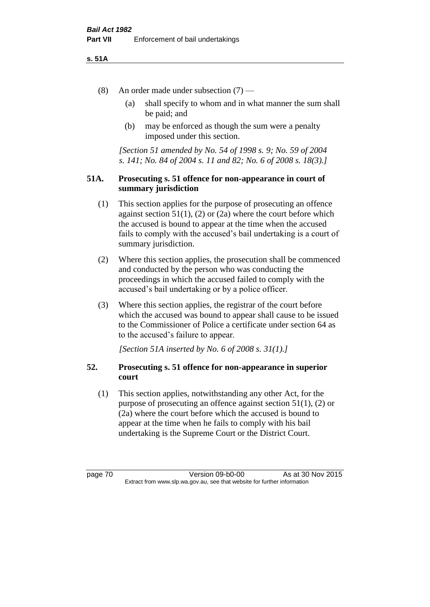### **s. 51A**

- (8) An order made under subsection (7)
	- (a) shall specify to whom and in what manner the sum shall be paid; and
	- (b) may be enforced as though the sum were a penalty imposed under this section.

*[Section 51 amended by No. 54 of 1998 s. 9; No. 59 of 2004 s. 141; No. 84 of 2004 s. 11 and 82; No. 6 of 2008 s. 18(3).]*

# **51A. Prosecuting s. 51 offence for non-appearance in court of summary jurisdiction**

- (1) This section applies for the purpose of prosecuting an offence against section  $51(1)$ ,  $(2)$  or  $(2a)$  where the court before which the accused is bound to appear at the time when the accused fails to comply with the accused's bail undertaking is a court of summary jurisdiction.
- (2) Where this section applies, the prosecution shall be commenced and conducted by the person who was conducting the proceedings in which the accused failed to comply with the accused's bail undertaking or by a police officer.
- (3) Where this section applies, the registrar of the court before which the accused was bound to appear shall cause to be issued to the Commissioner of Police a certificate under section 64 as to the accused's failure to appear.

*[Section 51A inserted by No. 6 of 2008 s. 31(1).]*

# **52. Prosecuting s. 51 offence for non-appearance in superior court**

(1) This section applies, notwithstanding any other Act, for the purpose of prosecuting an offence against section 51(1), (2) or (2a) where the court before which the accused is bound to appear at the time when he fails to comply with his bail undertaking is the Supreme Court or the District Court.

page 70 Version 09-b0-00 As at 30 Nov 2015 Extract from www.slp.wa.gov.au, see that website for further information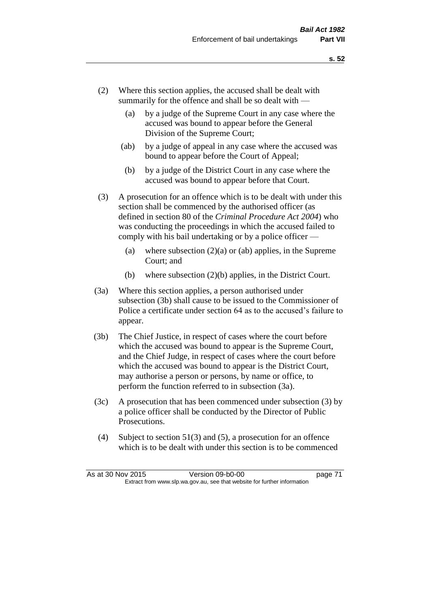- (2) Where this section applies, the accused shall be dealt with summarily for the offence and shall be so dealt with —
	- (a) by a judge of the Supreme Court in any case where the accused was bound to appear before the General Division of the Supreme Court;
	- (ab) by a judge of appeal in any case where the accused was bound to appear before the Court of Appeal;
	- (b) by a judge of the District Court in any case where the accused was bound to appear before that Court.
- (3) A prosecution for an offence which is to be dealt with under this section shall be commenced by the authorised officer (as defined in section 80 of the *Criminal Procedure Act 2004*) who was conducting the proceedings in which the accused failed to comply with his bail undertaking or by a police officer —
	- (a) where subsection  $(2)(a)$  or (ab) applies, in the Supreme Court; and
	- (b) where subsection (2)(b) applies, in the District Court.
- (3a) Where this section applies, a person authorised under subsection (3b) shall cause to be issued to the Commissioner of Police a certificate under section 64 as to the accused's failure to appear.
- (3b) The Chief Justice, in respect of cases where the court before which the accused was bound to appear is the Supreme Court, and the Chief Judge, in respect of cases where the court before which the accused was bound to appear is the District Court, may authorise a person or persons, by name or office, to perform the function referred to in subsection (3a).
- (3c) A prosecution that has been commenced under subsection (3) by a police officer shall be conducted by the Director of Public Prosecutions.
- (4) Subject to section 51(3) and (5), a prosecution for an offence which is to be dealt with under this section is to be commenced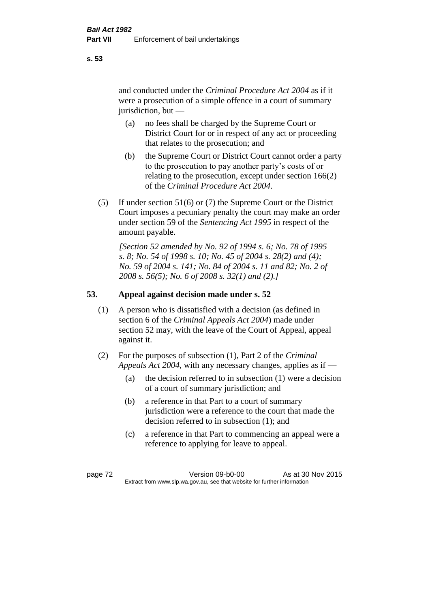and conducted under the *Criminal Procedure Act 2004* as if it were a prosecution of a simple offence in a court of summary jurisdiction, but —

- (a) no fees shall be charged by the Supreme Court or District Court for or in respect of any act or proceeding that relates to the prosecution; and
- (b) the Supreme Court or District Court cannot order a party to the prosecution to pay another party's costs of or relating to the prosecution, except under section 166(2) of the *Criminal Procedure Act 2004*.
- (5) If under section 51(6) or (7) the Supreme Court or the District Court imposes a pecuniary penalty the court may make an order under section 59 of the *Sentencing Act 1995* in respect of the amount payable.

*[Section 52 amended by No. 92 of 1994 s. 6; No. 78 of 1995 s. 8; No. 54 of 1998 s. 10; No. 45 of 2004 s. 28(2) and (4); No. 59 of 2004 s. 141; No. 84 of 2004 s. 11 and 82; No. 2 of 2008 s. 56(5); No. 6 of 2008 s. 32(1) and (2).]* 

# **53. Appeal against decision made under s. 52**

- (1) A person who is dissatisfied with a decision (as defined in section 6 of the *Criminal Appeals Act 2004*) made under section 52 may, with the leave of the Court of Appeal, appeal against it.
- (2) For the purposes of subsection (1), Part 2 of the *Criminal Appeals Act 2004*, with any necessary changes, applies as if —
	- (a) the decision referred to in subsection (1) were a decision of a court of summary jurisdiction; and
	- (b) a reference in that Part to a court of summary jurisdiction were a reference to the court that made the decision referred to in subsection (1); and
	- (c) a reference in that Part to commencing an appeal were a reference to applying for leave to appeal.

page 72 Version 09-b0-00 As at 30 Nov 2015 Extract from www.slp.wa.gov.au, see that website for further information

**s. 53**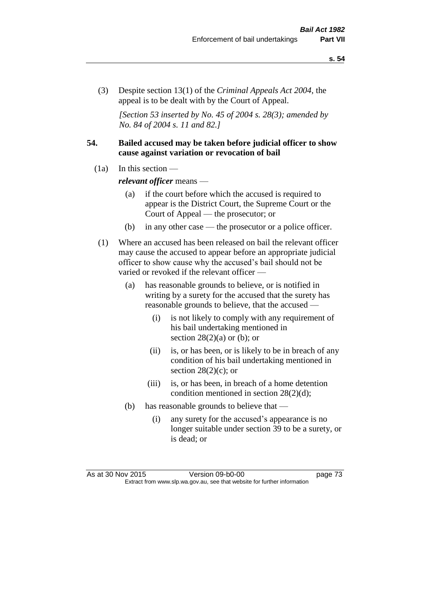(3) Despite section 13(1) of the *Criminal Appeals Act 2004*, the appeal is to be dealt with by the Court of Appeal.

*[Section 53 inserted by No. 45 of 2004 s. 28(3); amended by No. 84 of 2004 s. 11 and 82.]*

# **54. Bailed accused may be taken before judicial officer to show cause against variation or revocation of bail**

 $(1a)$  In this section —

*relevant officer* means —

- (a) if the court before which the accused is required to appear is the District Court, the Supreme Court or the Court of Appeal — the prosecutor; or
- (b) in any other case the prosecutor or a police officer.
- (1) Where an accused has been released on bail the relevant officer may cause the accused to appear before an appropriate judicial officer to show cause why the accused's bail should not be varied or revoked if the relevant officer —
	- (a) has reasonable grounds to believe, or is notified in writing by a surety for the accused that the surety has reasonable grounds to believe, that the accused —
		- (i) is not likely to comply with any requirement of his bail undertaking mentioned in section  $28(2)(a)$  or (b); or
		- (ii) is, or has been, or is likely to be in breach of any condition of his bail undertaking mentioned in section  $28(2)(c)$ ; or
		- (iii) is, or has been, in breach of a home detention condition mentioned in section 28(2)(d);
	- (b) has reasonable grounds to believe that
		- (i) any surety for the accused's appearance is no longer suitable under section 39 to be a surety, or is dead; or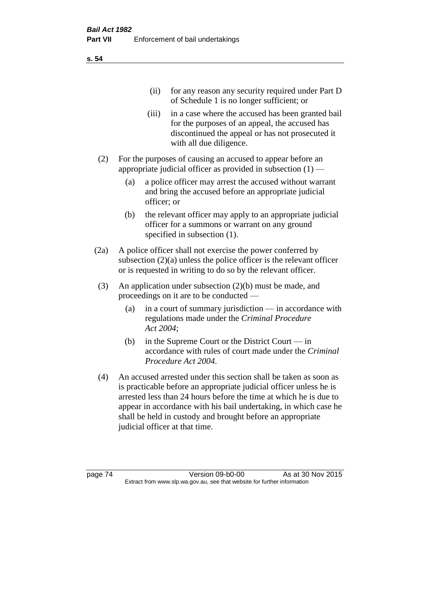(ii) for any reason any security required under Part D of Schedule 1 is no longer sufficient; or

- (iii) in a case where the accused has been granted bail for the purposes of an appeal, the accused has discontinued the appeal or has not prosecuted it with all due diligence.
- (2) For the purposes of causing an accused to appear before an appropriate judicial officer as provided in subsection (1) —
	- (a) a police officer may arrest the accused without warrant and bring the accused before an appropriate judicial officer; or
	- (b) the relevant officer may apply to an appropriate judicial officer for a summons or warrant on any ground specified in subsection (1).
- (2a) A police officer shall not exercise the power conferred by subsection  $(2)(a)$  unless the police officer is the relevant officer or is requested in writing to do so by the relevant officer.
- (3) An application under subsection (2)(b) must be made, and proceedings on it are to be conducted —
	- (a) in a court of summary jurisdiction in accordance with regulations made under the *Criminal Procedure Act 2004*;
	- (b) in the Supreme Court or the District Court  $-\text{in}$ accordance with rules of court made under the *Criminal Procedure Act 2004*.
- (4) An accused arrested under this section shall be taken as soon as is practicable before an appropriate judicial officer unless he is arrested less than 24 hours before the time at which he is due to appear in accordance with his bail undertaking, in which case he shall be held in custody and brought before an appropriate judicial officer at that time.

page 74 Version 09-b0-00 As at 30 Nov 2015 Extract from www.slp.wa.gov.au, see that website for further information

**s. 54**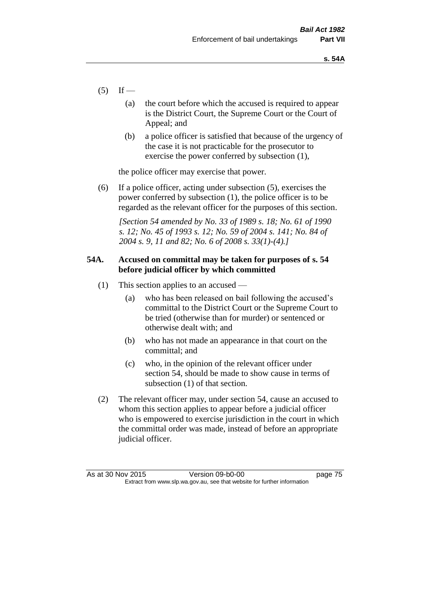- $(5)$  If
	- (a) the court before which the accused is required to appear is the District Court, the Supreme Court or the Court of Appeal; and
	- (b) a police officer is satisfied that because of the urgency of the case it is not practicable for the prosecutor to exercise the power conferred by subsection (1),

the police officer may exercise that power.

(6) If a police officer, acting under subsection (5), exercises the power conferred by subsection (1), the police officer is to be regarded as the relevant officer for the purposes of this section.

*[Section 54 amended by No. 33 of 1989 s. 18; No. 61 of 1990 s. 12; No. 45 of 1993 s. 12; No. 59 of 2004 s. 141; No. 84 of 2004 s. 9, 11 and 82; No. 6 of 2008 s. 33(1)-(4).]* 

# **54A. Accused on committal may be taken for purposes of s. 54 before judicial officer by which committed**

- (1) This section applies to an accused
	- (a) who has been released on bail following the accused's committal to the District Court or the Supreme Court to be tried (otherwise than for murder) or sentenced or otherwise dealt with; and
	- (b) who has not made an appearance in that court on the committal; and
	- (c) who, in the opinion of the relevant officer under section 54, should be made to show cause in terms of subsection (1) of that section.
- (2) The relevant officer may, under section 54, cause an accused to whom this section applies to appear before a judicial officer who is empowered to exercise jurisdiction in the court in which the committal order was made, instead of before an appropriate judicial officer.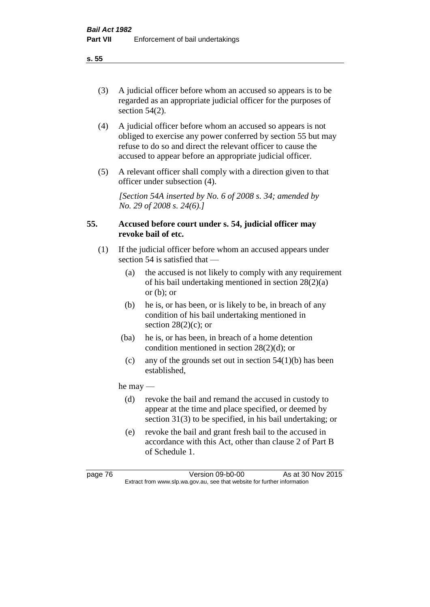(3) A judicial officer before whom an accused so appears is to be regarded as an appropriate judicial officer for the purposes of section 54(2).

- (4) A judicial officer before whom an accused so appears is not obliged to exercise any power conferred by section 55 but may refuse to do so and direct the relevant officer to cause the accused to appear before an appropriate judicial officer.
- (5) A relevant officer shall comply with a direction given to that officer under subsection (4).

*[Section 54A inserted by No. 6 of 2008 s. 34; amended by No. 29 of 2008 s. 24(6).]*

# **55. Accused before court under s. 54, judicial officer may revoke bail of etc.**

- (1) If the judicial officer before whom an accused appears under section 54 is satisfied that —
	- (a) the accused is not likely to comply with any requirement of his bail undertaking mentioned in section 28(2)(a) or  $(b)$ ; or
	- (b) he is, or has been, or is likely to be, in breach of any condition of his bail undertaking mentioned in section  $28(2)(c)$ ; or
	- (ba) he is, or has been, in breach of a home detention condition mentioned in section 28(2)(d); or
	- (c) any of the grounds set out in section  $54(1)(b)$  has been established,

he may —

- (d) revoke the bail and remand the accused in custody to appear at the time and place specified, or deemed by section 31(3) to be specified, in his bail undertaking; or
- (e) revoke the bail and grant fresh bail to the accused in accordance with this Act, other than clause 2 of Part B of Schedule 1.

page 76 Version 09-b0-00 As at 30 Nov 2015 Extract from www.slp.wa.gov.au, see that website for further information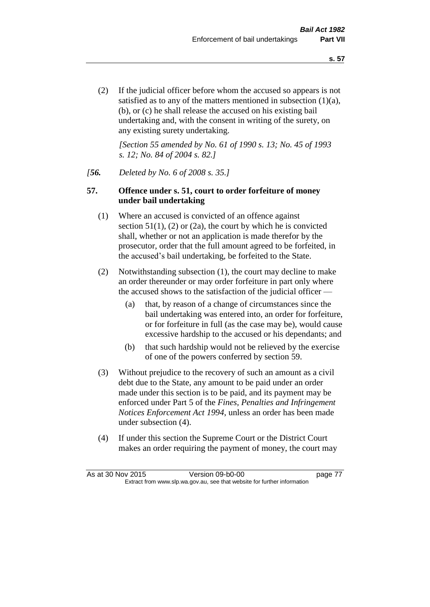(2) If the judicial officer before whom the accused so appears is not satisfied as to any of the matters mentioned in subsection (1)(a), (b), or (c) he shall release the accused on his existing bail undertaking and, with the consent in writing of the surety, on any existing surety undertaking.

*[Section 55 amended by No. 61 of 1990 s. 13; No. 45 of 1993 s. 12; No. 84 of 2004 s. 82.]* 

#### *[56. Deleted by No. 6 of 2008 s. 35.]*

### **57. Offence under s. 51, court to order forfeiture of money under bail undertaking**

- (1) Where an accused is convicted of an offence against section  $51(1)$ ,  $(2)$  or  $(2a)$ , the court by which he is convicted shall, whether or not an application is made therefor by the prosecutor, order that the full amount agreed to be forfeited, in the accused's bail undertaking, be forfeited to the State.
- (2) Notwithstanding subsection (1), the court may decline to make an order thereunder or may order forfeiture in part only where the accused shows to the satisfaction of the judicial officer —
	- (a) that, by reason of a change of circumstances since the bail undertaking was entered into, an order for forfeiture, or for forfeiture in full (as the case may be), would cause excessive hardship to the accused or his dependants; and
	- (b) that such hardship would not be relieved by the exercise of one of the powers conferred by section 59.
- (3) Without prejudice to the recovery of such an amount as a civil debt due to the State, any amount to be paid under an order made under this section is to be paid, and its payment may be enforced under Part 5 of the *Fines, Penalties and Infringement Notices Enforcement Act 1994*, unless an order has been made under subsection (4).
- (4) If under this section the Supreme Court or the District Court makes an order requiring the payment of money, the court may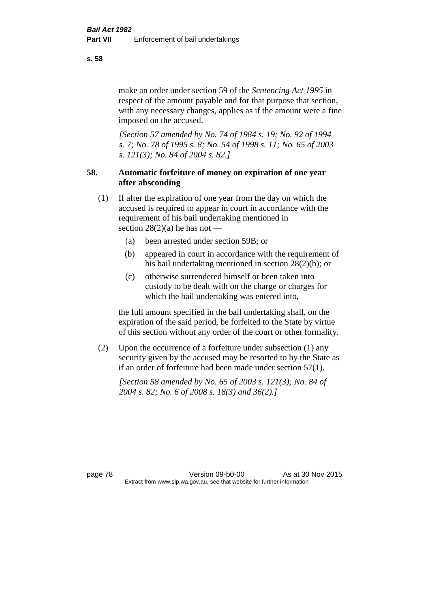make an order under section 59 of the *Sentencing Act 1995* in respect of the amount payable and for that purpose that section, with any necessary changes, applies as if the amount were a fine imposed on the accused.

*[Section 57 amended by No. 74 of 1984 s. 19; No. 92 of 1994 s. 7; No. 78 of 1995 s. 8; No. 54 of 1998 s. 11; No. 65 of 2003 s. 121(3); No. 84 of 2004 s. 82.]* 

# **58. Automatic forfeiture of money on expiration of one year after absconding**

- (1) If after the expiration of one year from the day on which the accused is required to appear in court in accordance with the requirement of his bail undertaking mentioned in section  $28(2)(a)$  he has not —
	- (a) been arrested under section 59B; or
	- (b) appeared in court in accordance with the requirement of his bail undertaking mentioned in section 28(2)(b); or
	- (c) otherwise surrendered himself or been taken into custody to be dealt with on the charge or charges for which the bail undertaking was entered into,

the full amount specified in the bail undertaking shall, on the expiration of the said period, be forfeited to the State by virtue of this section without any order of the court or other formality.

(2) Upon the occurrence of a forfeiture under subsection (1) any security given by the accused may be resorted to by the State as if an order of forfeiture had been made under section 57(1).

*[Section 58 amended by No. 65 of 2003 s. 121(3); No. 84 of 2004 s. 82; No. 6 of 2008 s. 18(3) and 36(2).]*

page 78 Version 09-b0-00 As at 30 Nov 2015 Extract from www.slp.wa.gov.au, see that website for further information

**s. 58**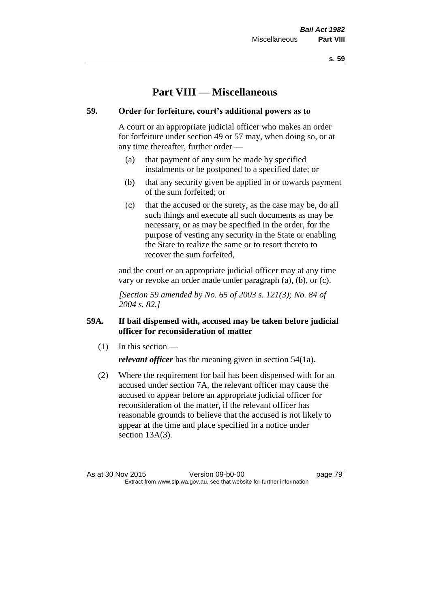**s. 59**

# **Part VIII — Miscellaneous**

# **59. Order for forfeiture, court's additional powers as to**

A court or an appropriate judicial officer who makes an order for forfeiture under section 49 or 57 may, when doing so, or at any time thereafter, further order —

- (a) that payment of any sum be made by specified instalments or be postponed to a specified date; or
- (b) that any security given be applied in or towards payment of the sum forfeited; or
- (c) that the accused or the surety, as the case may be, do all such things and execute all such documents as may be necessary, or as may be specified in the order, for the purpose of vesting any security in the State or enabling the State to realize the same or to resort thereto to recover the sum forfeited,

and the court or an appropriate judicial officer may at any time vary or revoke an order made under paragraph (a), (b), or (c).

*[Section 59 amended by No. 65 of 2003 s. 121(3); No. 84 of 2004 s. 82.]*

# **59A. If bail dispensed with, accused may be taken before judicial officer for reconsideration of matter**

 $(1)$  In this section —

*relevant officer* has the meaning given in section 54(1a).

(2) Where the requirement for bail has been dispensed with for an accused under section 7A, the relevant officer may cause the accused to appear before an appropriate judicial officer for reconsideration of the matter, if the relevant officer has reasonable grounds to believe that the accused is not likely to appear at the time and place specified in a notice under section 13A(3).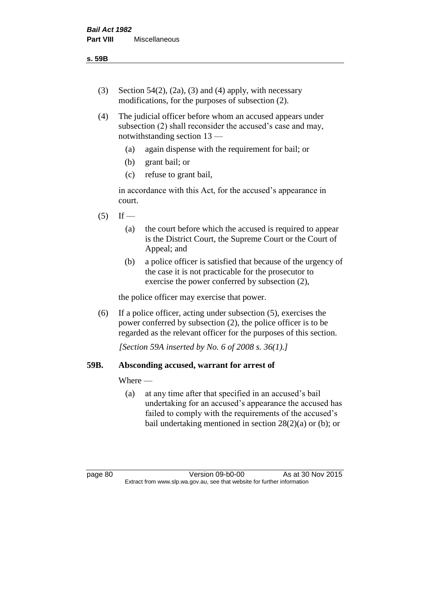**s. 59B**

- (3) Section 54(2), (2a), (3) and (4) apply, with necessary modifications, for the purposes of subsection (2).
- (4) The judicial officer before whom an accused appears under subsection (2) shall reconsider the accused's case and may, notwithstanding section 13 —
	- (a) again dispense with the requirement for bail; or
	- (b) grant bail; or
	- (c) refuse to grant bail,

in accordance with this Act, for the accused's appearance in court.

- $(5)$  If
	- (a) the court before which the accused is required to appear is the District Court, the Supreme Court or the Court of Appeal; and
	- (b) a police officer is satisfied that because of the urgency of the case it is not practicable for the prosecutor to exercise the power conferred by subsection (2),

the police officer may exercise that power.

(6) If a police officer, acting under subsection (5), exercises the power conferred by subsection (2), the police officer is to be regarded as the relevant officer for the purposes of this section.

*[Section 59A inserted by No. 6 of 2008 s. 36(1).]*

# **59B. Absconding accused, warrant for arrest of**

Where —

(a) at any time after that specified in an accused's bail undertaking for an accused's appearance the accused has failed to comply with the requirements of the accused's bail undertaking mentioned in section  $28(2)(a)$  or (b); or

page 80 Version 09-b0-00 As at 30 Nov 2015 Extract from www.slp.wa.gov.au, see that website for further information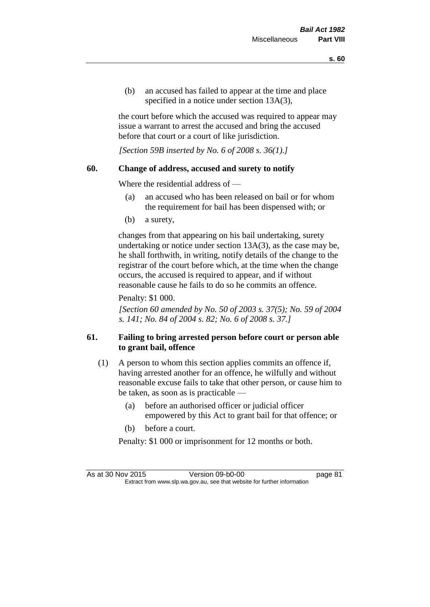(b) an accused has failed to appear at the time and place specified in a notice under section 13A(3),

the court before which the accused was required to appear may issue a warrant to arrest the accused and bring the accused before that court or a court of like jurisdiction.

*[Section 59B inserted by No. 6 of 2008 s. 36(1).]*

### **60. Change of address, accused and surety to notify**

Where the residential address of —

- (a) an accused who has been released on bail or for whom the requirement for bail has been dispensed with; or
- (b) a surety,

changes from that appearing on his bail undertaking, surety undertaking or notice under section 13A(3), as the case may be, he shall forthwith, in writing, notify details of the change to the registrar of the court before which, at the time when the change occurs, the accused is required to appear, and if without reasonable cause he fails to do so he commits an offence.

Penalty: \$1 000.

*[Section 60 amended by No. 50 of 2003 s. 37(5); No. 59 of 2004 s. 141; No. 84 of 2004 s. 82; No. 6 of 2008 s. 37.]*

# **61. Failing to bring arrested person before court or person able to grant bail, offence**

- (1) A person to whom this section applies commits an offence if, having arrested another for an offence, he wilfully and without reasonable excuse fails to take that other person, or cause him to be taken, as soon as is practicable —
	- (a) before an authorised officer or judicial officer empowered by this Act to grant bail for that offence; or
	- (b) before a court.
	- Penalty: \$1 000 or imprisonment for 12 months or both.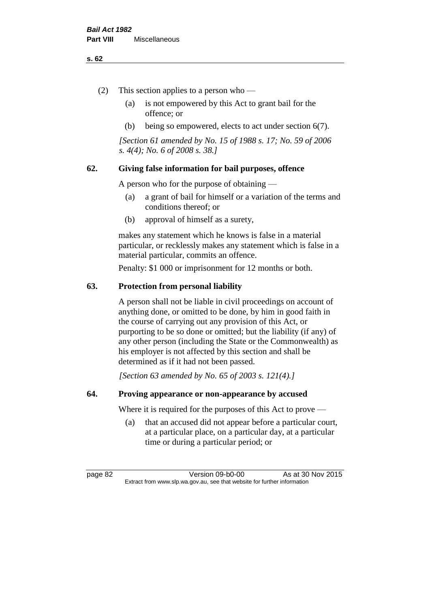#### **s. 62**

- (2) This section applies to a person who
	- (a) is not empowered by this Act to grant bail for the offence; or
	- (b) being so empowered, elects to act under section 6(7).

*[Section 61 amended by No. 15 of 1988 s. 17; No. 59 of 2006 s. 4(4); No. 6 of 2008 s. 38.]* 

# **62. Giving false information for bail purposes, offence**

A person who for the purpose of obtaining —

- (a) a grant of bail for himself or a variation of the terms and conditions thereof; or
- (b) approval of himself as a surety,

makes any statement which he knows is false in a material particular, or recklessly makes any statement which is false in a material particular, commits an offence.

Penalty: \$1 000 or imprisonment for 12 months or both.

#### **63. Protection from personal liability**

A person shall not be liable in civil proceedings on account of anything done, or omitted to be done, by him in good faith in the course of carrying out any provision of this Act, or purporting to be so done or omitted; but the liability (if any) of any other person (including the State or the Commonwealth) as his employer is not affected by this section and shall be determined as if it had not been passed.

*[Section 63 amended by No. 65 of 2003 s. 121(4).]*

### **64. Proving appearance or non-appearance by accused**

Where it is required for the purposes of this Act to prove —

(a) that an accused did not appear before a particular court, at a particular place, on a particular day, at a particular time or during a particular period; or

page 82 Version 09-b0-00 As at 30 Nov 2015 Extract from www.slp.wa.gov.au, see that website for further information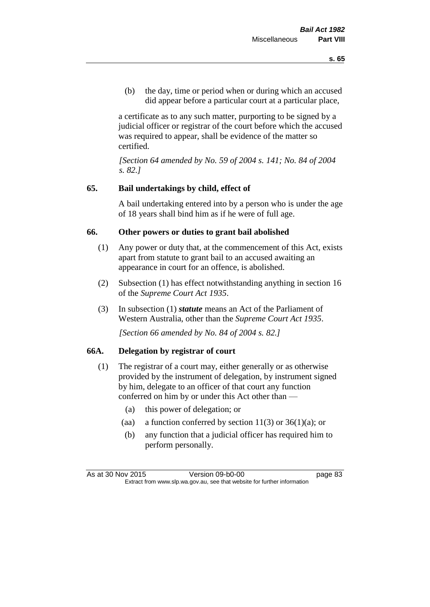(b) the day, time or period when or during which an accused did appear before a particular court at a particular place,

a certificate as to any such matter, purporting to be signed by a judicial officer or registrar of the court before which the accused was required to appear, shall be evidence of the matter so certified.

*[Section 64 amended by No. 59 of 2004 s. 141; No. 84 of 2004 s. 82.]* 

# **65. Bail undertakings by child, effect of**

A bail undertaking entered into by a person who is under the age of 18 years shall bind him as if he were of full age.

# **66. Other powers or duties to grant bail abolished**

- (1) Any power or duty that, at the commencement of this Act, exists apart from statute to grant bail to an accused awaiting an appearance in court for an offence, is abolished.
- (2) Subsection (1) has effect notwithstanding anything in section 16 of the *Supreme Court Act 1935*.
- (3) In subsection (1) *statute* means an Act of the Parliament of Western Australia, other than the *Supreme Court Act 1935*.

*[Section 66 amended by No. 84 of 2004 s. 82.]*

# **66A. Delegation by registrar of court**

- (1) The registrar of a court may, either generally or as otherwise provided by the instrument of delegation, by instrument signed by him, delegate to an officer of that court any function conferred on him by or under this Act other than —
	- (a) this power of delegation; or
	- (aa) a function conferred by section  $11(3)$  or  $36(1)(a)$ ; or
	- (b) any function that a judicial officer has required him to perform personally.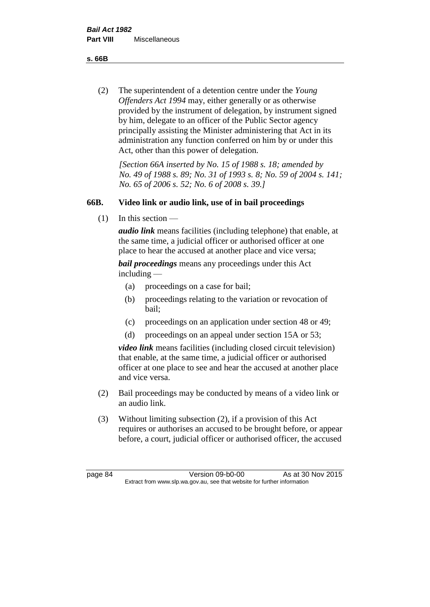**s. 66B**

(2) The superintendent of a detention centre under the *Young Offenders Act 1994* may, either generally or as otherwise provided by the instrument of delegation, by instrument signed by him, delegate to an officer of the Public Sector agency principally assisting the Minister administering that Act in its administration any function conferred on him by or under this Act, other than this power of delegation.

*[Section 66A inserted by No. 15 of 1988 s. 18; amended by No. 49 of 1988 s. 89; No. 31 of 1993 s. 8; No. 59 of 2004 s. 141; No. 65 of 2006 s. 52; No. 6 of 2008 s. 39.]* 

# **66B. Video link or audio link, use of in bail proceedings**

 $(1)$  In this section —

*audio link* means facilities (including telephone) that enable, at the same time, a judicial officer or authorised officer at one place to hear the accused at another place and vice versa;

*bail proceedings* means any proceedings under this Act including —

- (a) proceedings on a case for bail;
- (b) proceedings relating to the variation or revocation of bail;
- (c) proceedings on an application under section 48 or 49;
- (d) proceedings on an appeal under section 15A or 53;

*video link* means facilities (including closed circuit television) that enable, at the same time, a judicial officer or authorised officer at one place to see and hear the accused at another place and vice versa.

- (2) Bail proceedings may be conducted by means of a video link or an audio link.
- (3) Without limiting subsection (2), if a provision of this Act requires or authorises an accused to be brought before, or appear before, a court, judicial officer or authorised officer, the accused

page 84 Version 09-b0-00 As at 30 Nov 2015 Extract from www.slp.wa.gov.au, see that website for further information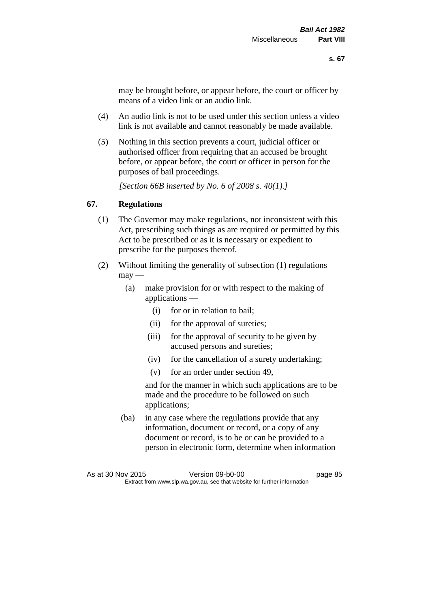may be brought before, or appear before, the court or officer by means of a video link or an audio link.

- (4) An audio link is not to be used under this section unless a video link is not available and cannot reasonably be made available.
- (5) Nothing in this section prevents a court, judicial officer or authorised officer from requiring that an accused be brought before, or appear before, the court or officer in person for the purposes of bail proceedings.

*[Section 66B inserted by No. 6 of 2008 s. 40(1).]*

# **67. Regulations**

- (1) The Governor may make regulations, not inconsistent with this Act, prescribing such things as are required or permitted by this Act to be prescribed or as it is necessary or expedient to prescribe for the purposes thereof.
- (2) Without limiting the generality of subsection (1) regulations  $\text{max}$  —
	- (a) make provision for or with respect to the making of applications —
		- (i) for or in relation to bail;
		- (ii) for the approval of sureties;
		- (iii) for the approval of security to be given by accused persons and sureties;
		- (iv) for the cancellation of a surety undertaking;
		- (v) for an order under section 49,

and for the manner in which such applications are to be made and the procedure to be followed on such applications;

(ba) in any case where the regulations provide that any information, document or record, or a copy of any document or record, is to be or can be provided to a person in electronic form, determine when information

As at 30 Nov 2015 Version 09-b0-00 Extract from www.slp.wa.gov.au, see that website for further information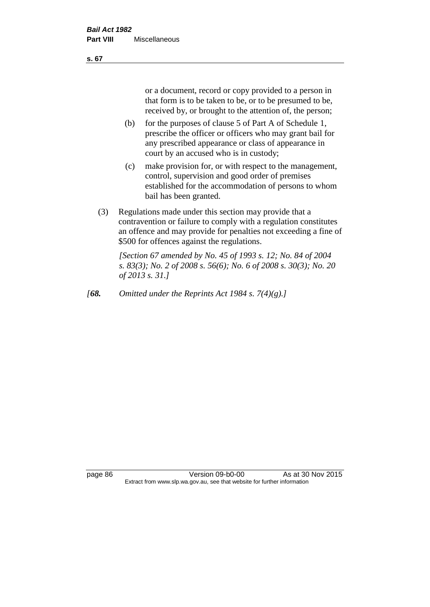or a document, record or copy provided to a person in that form is to be taken to be, or to be presumed to be, received by, or brought to the attention of, the person;

- (b) for the purposes of clause 5 of Part A of Schedule 1, prescribe the officer or officers who may grant bail for any prescribed appearance or class of appearance in court by an accused who is in custody;
- (c) make provision for, or with respect to the management, control, supervision and good order of premises established for the accommodation of persons to whom bail has been granted.
- (3) Regulations made under this section may provide that a contravention or failure to comply with a regulation constitutes an offence and may provide for penalties not exceeding a fine of \$500 for offences against the regulations.

*[Section 67 amended by No. 45 of 1993 s. 12; No. 84 of 2004 s. 83(3); No. 2 of 2008 s. 56(6); No. 6 of 2008 s. 30(3); No. 20 of 2013 s. 31.]* 

*[68. Omitted under the Reprints Act 1984 s. 7(4)(g).]*

page 86 Version 09-b0-00 As at 30 Nov 2015 Extract from www.slp.wa.gov.au, see that website for further information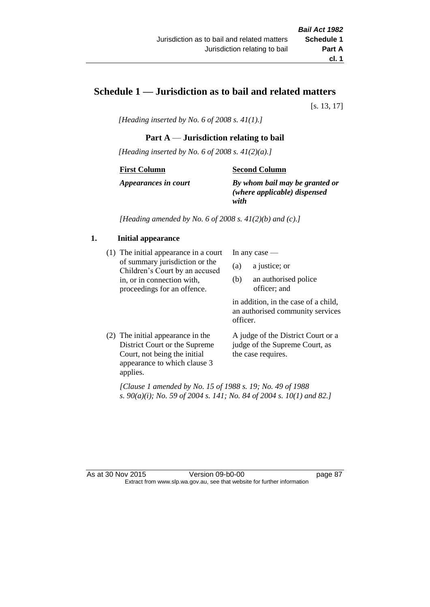# **Schedule 1 — Jurisdiction as to bail and related matters**

[s. 13, 17]

*[Heading inserted by No. 6 of 2008 s. 41(1).]*

# **Part A** — **Jurisdiction relating to bail**

*[Heading inserted by No. 6 of 2008 s. 41(2)(a).]*

#### **First Column**

### **Second Column**

*Appearances in court*

*By whom bail may be granted or (where applicable) dispensed with*

*[Heading amended by No. 6 of 2008 s. 41(2)(b) and (c).]*

# **1. Initial appearance**

(1) The initial appearance in a court of summary jurisdiction or the Children's Court by an accused in, or in connection with, proceedings for an offence.

In any case —

- (a) a justice; or
- (b) an authorised police officer; and

in addition, in the case of a child, an authorised community services officer.

(2) The initial appearance in the District Court or the Supreme Court, not being the initial appearance to which clause 3 applies. A judge of the District Court or a judge of the Supreme Court, as the case requires.

*[Clause 1 amended by No. 15 of 1988 s. 19; No. 49 of 1988 s. 90(a)(i); No. 59 of 2004 s. 141; No. 84 of 2004 s. 10(1) and 82.]*

#### As at 30 Nov 2015 Version 09-b0-00 page 87 Extract from www.slp.wa.gov.au, see that website for further information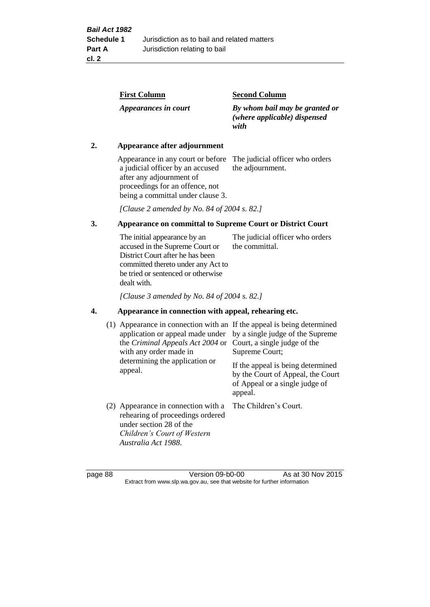| <b>Second Column</b>                                                   |
|------------------------------------------------------------------------|
| By whom bail may be granted or<br>(where applicable) dispensed<br>with |
|                                                                        |

# **2. Appearance after adjournment**

Appearance in any court or before The judicial officer who orders a judicial officer by an accused after any adjournment of proceedings for an offence, not being a committal under clause 3.

the adjournment.

*[Clause 2 amended by No. 84 of 2004 s. 82.]*

# **3. Appearance on committal to Supreme Court or District Court**

The initial appearance by an accused in the Supreme Court or District Court after he has been committed thereto under any Act to be tried or sentenced or otherwise dealt with. The judicial officer who orders the committal.

*[Clause 3 amended by No. 84 of 2004 s. 82.]*

#### **4. Appearance in connection with appeal, rehearing etc.**

| (1) Appearance in connection with an If the appeal is being determined<br>application or appeal made under<br>the Criminal Appeals Act 2004 or<br>with any order made in<br>determining the application or<br>appeal. | by a single judge of the Supreme<br>Court, a single judge of the<br>Supreme Court;<br>If the appeal is being determined<br>by the Court of Appeal, the Court<br>of Appeal or a single judge of<br>appeal. |
|-----------------------------------------------------------------------------------------------------------------------------------------------------------------------------------------------------------------------|-----------------------------------------------------------------------------------------------------------------------------------------------------------------------------------------------------------|
| (2) Appearance in connection with a<br>rehearing of proceedings ordered<br>under section 28 of the<br>Children's Court of Western<br>Australia Act 1988.                                                              | The Children's Court.                                                                                                                                                                                     |

page 88 Version 09-b0-00 As at 30 Nov 2015 Extract from www.slp.wa.gov.au, see that website for further information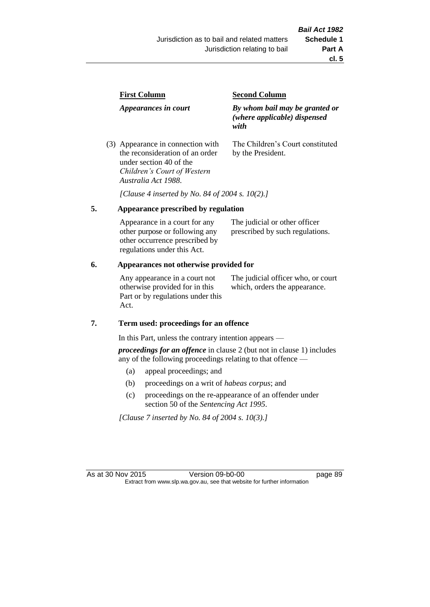|  | <b>First Column</b><br>Appearances in court                          | <b>Second Column</b>                                                   |  |
|--|----------------------------------------------------------------------|------------------------------------------------------------------------|--|
|  |                                                                      | By whom bail may be granted or<br>(where applicable) dispensed<br>with |  |
|  | (3) Appearance in connection with<br>the reconsideration of an order | The Children's Court constituted<br>by the President.                  |  |

*[Clause 4 inserted by No. 84 of 2004 s. 10(2).]*

#### **5. Appearance prescribed by regulation**

under section 40 of the *Children's Court of Western* 

*Australia Act 1988*.

| Appearance in a court for any  | The judicial or other officer   |
|--------------------------------|---------------------------------|
| other purpose or following any | prescribed by such regulations. |
| other occurrence prescribed by |                                 |
| regulations under this Act.    |                                 |

### **6. Appearances not otherwise provided for**

Any appearance in a court not otherwise provided for in this Part or by regulations under this Act.

The judicial officer who, or court which, orders the appearance.

#### **7. Term used: proceedings for an offence**

In this Part, unless the contrary intention appears —

*proceedings for an offence* in clause 2 (but not in clause 1) includes any of the following proceedings relating to that offence —

- (a) appeal proceedings; and
- (b) proceedings on a writ of *habeas corpus*; and
- (c) proceedings on the re-appearance of an offender under section 50 of the *Sentencing Act 1995*.

*[Clause 7 inserted by No. 84 of 2004 s. 10(3).]*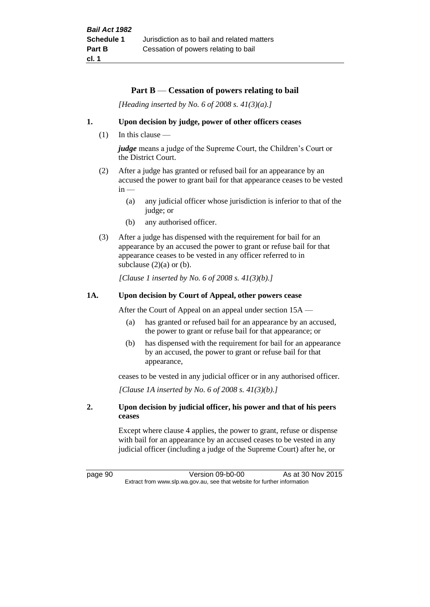#### **Part B** — **Cessation of powers relating to bail**

*[Heading inserted by No. 6 of 2008 s. 41(3)(a).]*

#### **1. Upon decision by judge, power of other officers ceases**

(1) In this clause —

*judge* means a judge of the Supreme Court, the Children's Court or the District Court.

- (2) After a judge has granted or refused bail for an appearance by an accused the power to grant bail for that appearance ceases to be vested  $in -$ 
	- (a) any judicial officer whose jurisdiction is inferior to that of the judge; or
	- (b) any authorised officer.
- (3) After a judge has dispensed with the requirement for bail for an appearance by an accused the power to grant or refuse bail for that appearance ceases to be vested in any officer referred to in subclause  $(2)(a)$  or  $(b)$ .

*[Clause 1 inserted by No. 6 of 2008 s. 41(3)(b).]*

#### **1A. Upon decision by Court of Appeal, other powers cease**

After the Court of Appeal on an appeal under section 15A —

- (a) has granted or refused bail for an appearance by an accused, the power to grant or refuse bail for that appearance; or
- (b) has dispensed with the requirement for bail for an appearance by an accused, the power to grant or refuse bail for that appearance,

ceases to be vested in any judicial officer or in any authorised officer.

*[Clause 1A inserted by No. 6 of 2008 s. 41(3)(b).]*

#### **2. Upon decision by judicial officer, his power and that of his peers ceases**

Except where clause 4 applies, the power to grant, refuse or dispense with bail for an appearance by an accused ceases to be vested in any judicial officer (including a judge of the Supreme Court) after he, or

page 90 Version 09-b0-00 As at 30 Nov 2015 Extract from www.slp.wa.gov.au, see that website for further information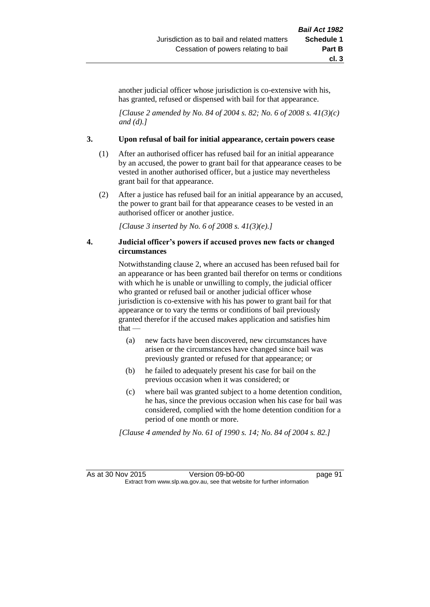another judicial officer whose jurisdiction is co-extensive with his, has granted, refused or dispensed with bail for that appearance.

*[Clause 2 amended by No. 84 of 2004 s. 82; No. 6 of 2008 s. 41(3)(c) and (d).]*

#### **3. Upon refusal of bail for initial appearance, certain powers cease**

- (1) After an authorised officer has refused bail for an initial appearance by an accused, the power to grant bail for that appearance ceases to be vested in another authorised officer, but a justice may nevertheless grant bail for that appearance.
- (2) After a justice has refused bail for an initial appearance by an accused, the power to grant bail for that appearance ceases to be vested in an authorised officer or another justice.

*[Clause 3 inserted by No. 6 of 2008 s. 41(3)(e).]*

#### **4. Judicial officer's powers if accused proves new facts or changed circumstances**

Notwithstanding clause 2, where an accused has been refused bail for an appearance or has been granted bail therefor on terms or conditions with which he is unable or unwilling to comply, the judicial officer who granted or refused bail or another judicial officer whose jurisdiction is co-extensive with his has power to grant bail for that appearance or to vary the terms or conditions of bail previously granted therefor if the accused makes application and satisfies him that —

- (a) new facts have been discovered, new circumstances have arisen or the circumstances have changed since bail was previously granted or refused for that appearance; or
- (b) he failed to adequately present his case for bail on the previous occasion when it was considered; or
- (c) where bail was granted subject to a home detention condition, he has, since the previous occasion when his case for bail was considered, complied with the home detention condition for a period of one month or more.

*[Clause 4 amended by No. 61 of 1990 s. 14; No. 84 of 2004 s. 82.]*

As at 30 Nov 2015 Version 09-b0-00 page 91 Extract from www.slp.wa.gov.au, see that website for further information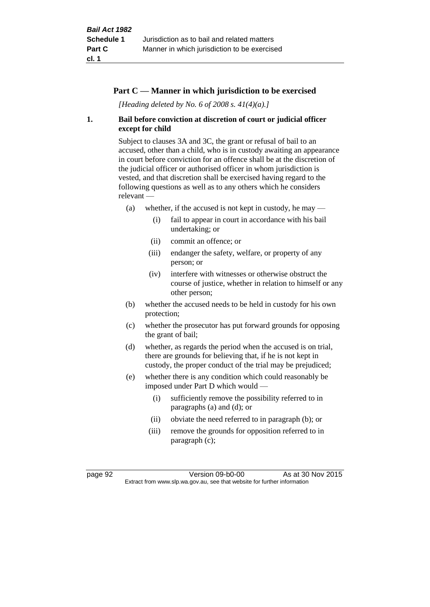### **Part C — Manner in which jurisdiction to be exercised**

*[Heading deleted by No. 6 of 2008 s. 41(4)(a).]*

### **1. Bail before conviction at discretion of court or judicial officer except for child**

Subject to clauses 3A and 3C, the grant or refusal of bail to an accused, other than a child, who is in custody awaiting an appearance in court before conviction for an offence shall be at the discretion of the judicial officer or authorised officer in whom jurisdiction is vested, and that discretion shall be exercised having regard to the following questions as well as to any others which he considers relevant —

- (a) whether, if the accused is not kept in custody, he may  $-$ 
	- (i) fail to appear in court in accordance with his bail undertaking; or
	- (ii) commit an offence; or
	- (iii) endanger the safety, welfare, or property of any person; or
	- (iv) interfere with witnesses or otherwise obstruct the course of justice, whether in relation to himself or any other person;
- (b) whether the accused needs to be held in custody for his own protection;
- (c) whether the prosecutor has put forward grounds for opposing the grant of bail;
- (d) whether, as regards the period when the accused is on trial, there are grounds for believing that, if he is not kept in custody, the proper conduct of the trial may be prejudiced;
- (e) whether there is any condition which could reasonably be imposed under Part D which would —
	- (i) sufficiently remove the possibility referred to in paragraphs (a) and (d); or
	- (ii) obviate the need referred to in paragraph (b); or
	- (iii) remove the grounds for opposition referred to in paragraph (c);

page 92 Version 09-b0-00 As at 30 Nov 2015 Extract from www.slp.wa.gov.au, see that website for further information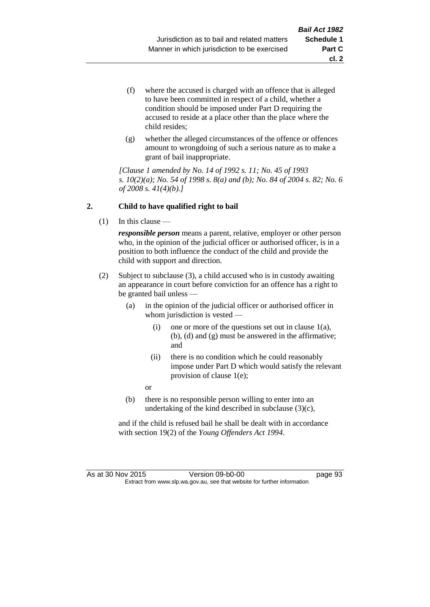- (f) where the accused is charged with an offence that is alleged to have been committed in respect of a child, whether a condition should be imposed under Part D requiring the accused to reside at a place other than the place where the child resides;
- (g) whether the alleged circumstances of the offence or offences amount to wrongdoing of such a serious nature as to make a grant of bail inappropriate.

*[Clause 1 amended by No. 14 of 1992 s. 11; No. 45 of 1993 s. 10(2)(a); No. 54 of 1998 s. 8(a) and (b); No. 84 of 2004 s. 82; No. 6 of 2008 s. 41(4)(b).]*

### **2. Child to have qualified right to bail**

(1) In this clause —

*responsible person* means a parent, relative, employer or other person who, in the opinion of the judicial officer or authorised officer, is in a position to both influence the conduct of the child and provide the child with support and direction.

- (2) Subject to subclause (3), a child accused who is in custody awaiting an appearance in court before conviction for an offence has a right to be granted bail unless —
	- (a) in the opinion of the judicial officer or authorised officer in whom jurisdiction is vested —
		- (i) one or more of the questions set out in clause  $1(a)$ , (b), (d) and (g) must be answered in the affirmative; and
		- (ii) there is no condition which he could reasonably impose under Part D which would satisfy the relevant provision of clause 1(e);

or

(b) there is no responsible person willing to enter into an undertaking of the kind described in subclause (3)(c),

and if the child is refused bail he shall be dealt with in accordance with section 19(2) of the *Young Offenders Act 1994*.

As at 30 Nov 2015 Version 09-b0-00 page 93 Extract from www.slp.wa.gov.au, see that website for further information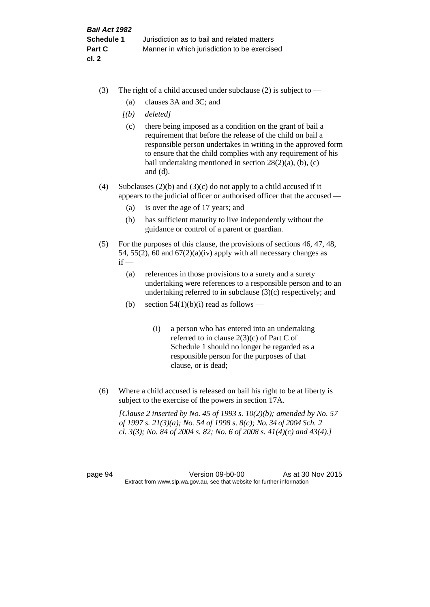- (3) The right of a child accused under subclause (2) is subject to  $-$ 
	- (a) clauses 3A and 3C; and
	- *[(b) deleted]*
	- (c) there being imposed as a condition on the grant of bail a requirement that before the release of the child on bail a responsible person undertakes in writing in the approved form to ensure that the child complies with any requirement of his bail undertaking mentioned in section  $28(2)(a)$ , (b), (c) and (d).
- (4) Subclauses (2)(b) and (3)(c) do not apply to a child accused if it appears to the judicial officer or authorised officer that the accused —
	- (a) is over the age of 17 years; and
	- (b) has sufficient maturity to live independently without the guidance or control of a parent or guardian.
- (5) For the purposes of this clause, the provisions of sections 46, 47, 48, 54, 55(2), 60 and  $67(2)(a)(iv)$  apply with all necessary changes as  $if -$ 
	- (a) references in those provisions to a surety and a surety undertaking were references to a responsible person and to an undertaking referred to in subclause (3)(c) respectively; and
	- (b) section  $54(1)(b)(i)$  read as follows
		- (i) a person who has entered into an undertaking referred to in clause  $2(3)(c)$  of Part C of Schedule 1 should no longer be regarded as a responsible person for the purposes of that clause, or is dead;
- (6) Where a child accused is released on bail his right to be at liberty is subject to the exercise of the powers in section 17A.

*[Clause 2 inserted by No. 45 of 1993 s. 10(2)(b); amended by No. 57 of 1997 s. 21(3)(a); No. 54 of 1998 s. 8(c); No. 34 of 2004 Sch. 2 cl. 3(3); No. 84 of 2004 s. 82; No. 6 of 2008 s. 41(4)(c) and 43(4).]*

page 94 Version 09-b0-00 As at 30 Nov 2015 Extract from www.slp.wa.gov.au, see that website for further information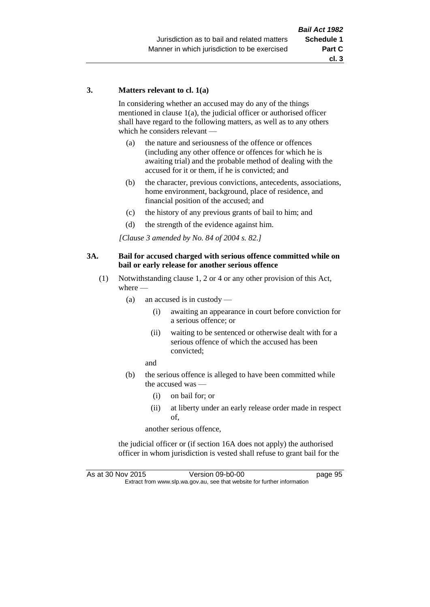#### **3. Matters relevant to cl. 1(a)**

In considering whether an accused may do any of the things mentioned in clause 1(a), the judicial officer or authorised officer shall have regard to the following matters, as well as to any others which he considers relevant —

- (a) the nature and seriousness of the offence or offences (including any other offence or offences for which he is awaiting trial) and the probable method of dealing with the accused for it or them, if he is convicted; and
- (b) the character, previous convictions, antecedents, associations, home environment, background, place of residence, and financial position of the accused; and
- (c) the history of any previous grants of bail to him; and
- (d) the strength of the evidence against him.

*[Clause 3 amended by No. 84 of 2004 s. 82.]*

#### **3A. Bail for accused charged with serious offence committed while on bail or early release for another serious offence**

- (1) Notwithstanding clause 1, 2 or 4 or any other provision of this Act, where —
	- (a) an accused is in custody
		- (i) awaiting an appearance in court before conviction for a serious offence; or
		- (ii) waiting to be sentenced or otherwise dealt with for a serious offence of which the accused has been convicted;

and

- (b) the serious offence is alleged to have been committed while the accused was —
	- (i) on bail for; or
	- (ii) at liberty under an early release order made in respect of,

another serious offence,

the judicial officer or (if section 16A does not apply) the authorised officer in whom jurisdiction is vested shall refuse to grant bail for the

As at 30 Nov 2015 Version 09-b0-00 Page 95 Extract from www.slp.wa.gov.au, see that website for further information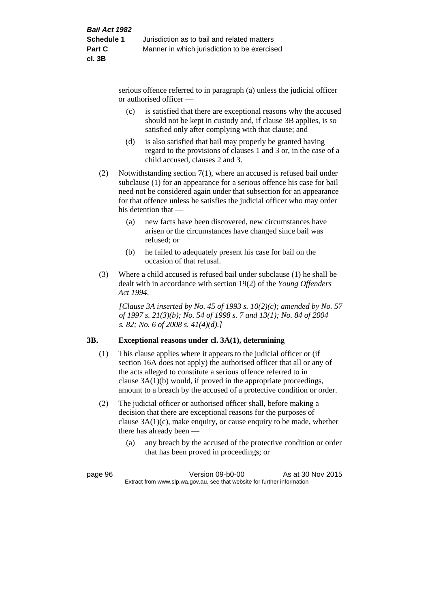serious offence referred to in paragraph (a) unless the judicial officer or authorised officer —

- (c) is satisfied that there are exceptional reasons why the accused should not be kept in custody and, if clause 3B applies, is so satisfied only after complying with that clause; and
- (d) is also satisfied that bail may properly be granted having regard to the provisions of clauses 1 and 3 or, in the case of a child accused, clauses 2 and 3.
- (2) Notwithstanding section 7(1), where an accused is refused bail under subclause (1) for an appearance for a serious offence his case for bail need not be considered again under that subsection for an appearance for that offence unless he satisfies the judicial officer who may order his detention that —
	- (a) new facts have been discovered, new circumstances have arisen or the circumstances have changed since bail was refused; or
	- (b) he failed to adequately present his case for bail on the occasion of that refusal.
- (3) Where a child accused is refused bail under subclause (1) he shall be dealt with in accordance with section 19(2) of the *Young Offenders Act 1994*.

*[Clause 3A inserted by No. 45 of 1993 s. 10(2)(c); amended by No. 57 of 1997 s. 21(3)(b); No. 54 of 1998 s. 7 and 13(1); No. 84 of 2004 s. 82; No. 6 of 2008 s. 41(4)(d).]*

# **3B. Exceptional reasons under cl. 3A(1), determining**

- (1) This clause applies where it appears to the judicial officer or (if section 16A does not apply) the authorised officer that all or any of the acts alleged to constitute a serious offence referred to in clause 3A(1)(b) would, if proved in the appropriate proceedings, amount to a breach by the accused of a protective condition or order.
- (2) The judicial officer or authorised officer shall, before making a decision that there are exceptional reasons for the purposes of clause 3A(1)(c), make enquiry, or cause enquiry to be made, whether there has already been —
	- (a) any breach by the accused of the protective condition or order that has been proved in proceedings; or

page 96 Version 09-b0-00 As at 30 Nov 2015 Extract from www.slp.wa.gov.au, see that website for further information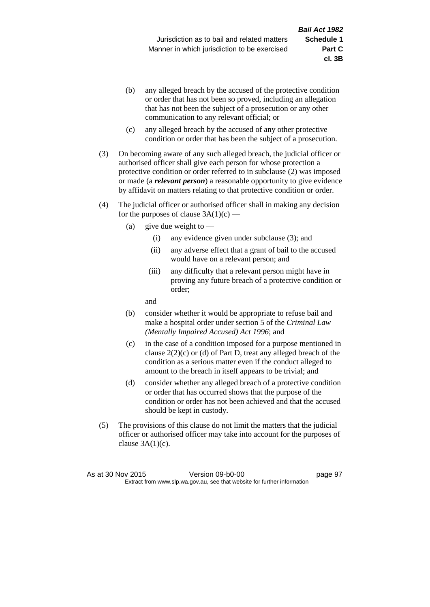**cl. 3B**

- (b) any alleged breach by the accused of the protective condition or order that has not been so proved, including an allegation that has not been the subject of a prosecution or any other communication to any relevant official; or
- (c) any alleged breach by the accused of any other protective condition or order that has been the subject of a prosecution.
- (3) On becoming aware of any such alleged breach, the judicial officer or authorised officer shall give each person for whose protection a protective condition or order referred to in subclause (2) was imposed or made (a *relevant person*) a reasonable opportunity to give evidence by affidavit on matters relating to that protective condition or order.
- (4) The judicial officer or authorised officer shall in making any decision for the purposes of clause  $3A(1)(c)$  —
	- (a) give due weight to  $-$ 
		- (i) any evidence given under subclause (3); and
		- (ii) any adverse effect that a grant of bail to the accused would have on a relevant person; and
		- (iii) any difficulty that a relevant person might have in proving any future breach of a protective condition or order;

and

- (b) consider whether it would be appropriate to refuse bail and make a hospital order under section 5 of the *Criminal Law (Mentally Impaired Accused) Act 1996*; and
- (c) in the case of a condition imposed for a purpose mentioned in clause 2(2)(c) or (d) of Part D, treat any alleged breach of the condition as a serious matter even if the conduct alleged to amount to the breach in itself appears to be trivial; and
- (d) consider whether any alleged breach of a protective condition or order that has occurred shows that the purpose of the condition or order has not been achieved and that the accused should be kept in custody.
- (5) The provisions of this clause do not limit the matters that the judicial officer or authorised officer may take into account for the purposes of clause  $3A(1)(c)$ .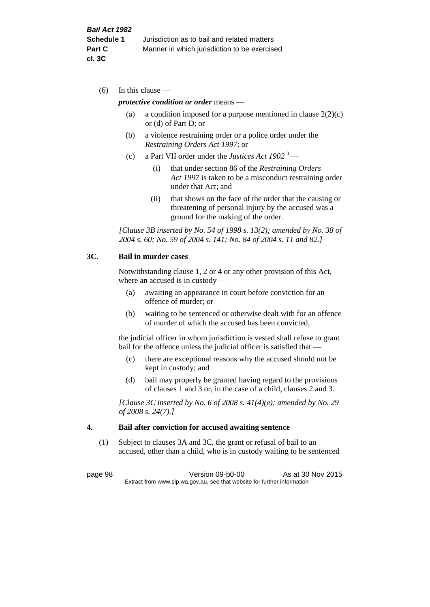(6) In this clause —

#### *protective condition or order* means —

- (a) a condition imposed for a purpose mentioned in clause  $2(2)(c)$ or (d) of Part D; or
- (b) a violence restraining order or a police order under the *Restraining Orders Act 1997*; or
- (c) a Part VII order under the *Justices Act 1902* <sup>3</sup>
	- (i) that under section 86 of the *Restraining Orders Act 1997* is taken to be a misconduct restraining order under that Act; and
	- (ii) that shows on the face of the order that the causing or threatening of personal injury by the accused was a ground for the making of the order.

*[Clause 3B inserted by No. 54 of 1998 s. 13(2); amended by No. 38 of 2004 s. 60; No. 59 of 2004 s. 141; No. 84 of 2004 s. 11 and 82.]*

### **3C. Bail in murder cases**

Notwithstanding clause 1, 2 or 4 or any other provision of this Act, where an accused is in custody —

- (a) awaiting an appearance in court before conviction for an offence of murder; or
- (b) waiting to be sentenced or otherwise dealt with for an offence of murder of which the accused has been convicted,

the judicial officer in whom jurisdiction is vested shall refuse to grant bail for the offence unless the judicial officer is satisfied that -

- (c) there are exceptional reasons why the accused should not be kept in custody; and
- (d) bail may properly be granted having regard to the provisions of clauses 1 and 3 or, in the case of a child, clauses 2 and 3.

*[Clause 3C inserted by No. 6 of 2008 s. 41(4)(e); amended by No. 29 of 2008 s. 24(7).]*

#### **4. Bail after conviction for accused awaiting sentence**

(1) Subject to clauses 3A and 3C, the grant or refusal of bail to an accused, other than a child, who is in custody waiting to be sentenced

page 98 Version 09-b0-00 As at 30 Nov 2015 Extract from www.slp.wa.gov.au, see that website for further information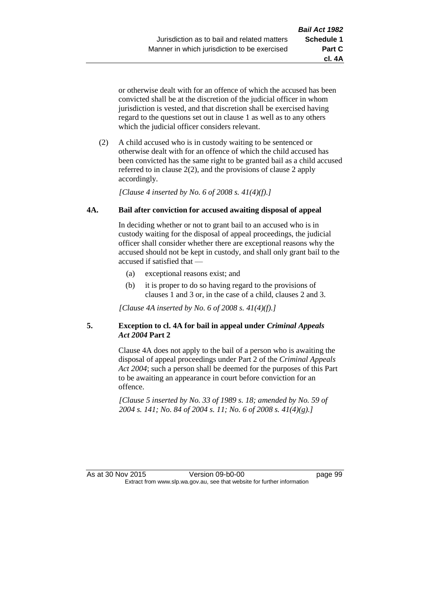**cl. 4A**

or otherwise dealt with for an offence of which the accused has been convicted shall be at the discretion of the judicial officer in whom jurisdiction is vested, and that discretion shall be exercised having regard to the questions set out in clause 1 as well as to any others which the judicial officer considers relevant.

(2) A child accused who is in custody waiting to be sentenced or otherwise dealt with for an offence of which the child accused has been convicted has the same right to be granted bail as a child accused referred to in clause 2(2), and the provisions of clause 2 apply accordingly.

*[Clause 4 inserted by No. 6 of 2008 s. 41(4)(f).]*

### **4A. Bail after conviction for accused awaiting disposal of appeal**

In deciding whether or not to grant bail to an accused who is in custody waiting for the disposal of appeal proceedings, the judicial officer shall consider whether there are exceptional reasons why the accused should not be kept in custody, and shall only grant bail to the accused if satisfied that —

- (a) exceptional reasons exist; and
- (b) it is proper to do so having regard to the provisions of clauses 1 and 3 or, in the case of a child, clauses 2 and 3.

*[Clause 4A inserted by No. 6 of 2008 s. 41(4)(f).]*

### **5. Exception to cl. 4A for bail in appeal under** *Criminal Appeals Act 2004* **Part 2**

Clause 4A does not apply to the bail of a person who is awaiting the disposal of appeal proceedings under Part 2 of the *Criminal Appeals Act 2004*; such a person shall be deemed for the purposes of this Part to be awaiting an appearance in court before conviction for an offence.

*[Clause 5 inserted by No. 33 of 1989 s. 18; amended by No. 59 of 2004 s. 141; No. 84 of 2004 s. 11; No. 6 of 2008 s. 41(4)(g).]*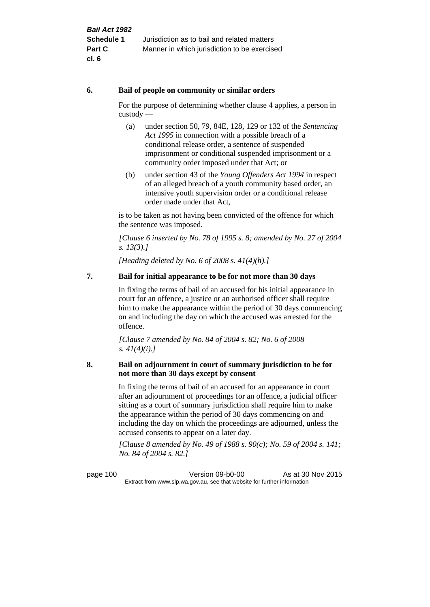#### **6. Bail of people on community or similar orders**

For the purpose of determining whether clause 4 applies, a person in custody —

- (a) under section 50, 79, 84E, 128, 129 or 132 of the *Sentencing Act 1995* in connection with a possible breach of a conditional release order, a sentence of suspended imprisonment or conditional suspended imprisonment or a community order imposed under that Act; or
- (b) under section 43 of the *Young Offenders Act 1994* in respect of an alleged breach of a youth community based order, an intensive youth supervision order or a conditional release order made under that Act,

is to be taken as not having been convicted of the offence for which the sentence was imposed.

*[Clause 6 inserted by No. 78 of 1995 s. 8; amended by No. 27 of 2004 s. 13(3).]*

*[Heading deleted by No. 6 of 2008 s. 41(4)(h).]*

# **7. Bail for initial appearance to be for not more than 30 days**

In fixing the terms of bail of an accused for his initial appearance in court for an offence, a justice or an authorised officer shall require him to make the appearance within the period of 30 days commencing on and including the day on which the accused was arrested for the offence.

*[Clause 7 amended by No. 84 of 2004 s. 82; No. 6 of 2008 s. 41(4)(i).]*

### **8. Bail on adjournment in court of summary jurisdiction to be for not more than 30 days except by consent**

In fixing the terms of bail of an accused for an appearance in court after an adjournment of proceedings for an offence, a judicial officer sitting as a court of summary jurisdiction shall require him to make the appearance within the period of 30 days commencing on and including the day on which the proceedings are adjourned, unless the accused consents to appear on a later day.

*[Clause 8 amended by No. 49 of 1988 s. 90(c); No. 59 of 2004 s. 141; No. 84 of 2004 s. 82.]*

page 100 Version 09-b0-00 As at 30 Nov 2015 Extract from www.slp.wa.gov.au, see that website for further information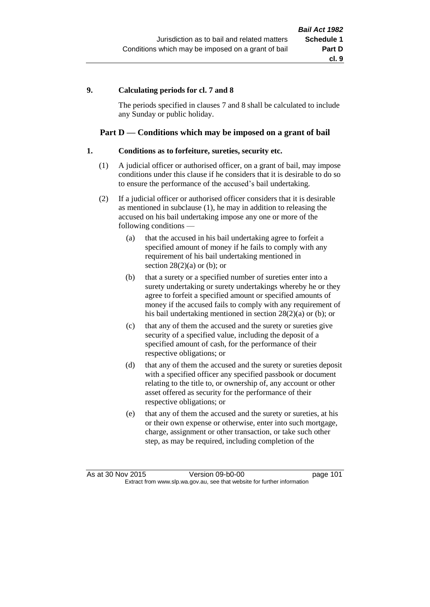### **9. Calculating periods for cl. 7 and 8**

The periods specified in clauses 7 and 8 shall be calculated to include any Sunday or public holiday.

### **Part D — Conditions which may be imposed on a grant of bail**

#### **1. Conditions as to forfeiture, sureties, security etc.**

- (1) A judicial officer or authorised officer, on a grant of bail, may impose conditions under this clause if he considers that it is desirable to do so to ensure the performance of the accused's bail undertaking.
- (2) If a judicial officer or authorised officer considers that it is desirable as mentioned in subclause (1), he may in addition to releasing the accused on his bail undertaking impose any one or more of the following conditions —
	- (a) that the accused in his bail undertaking agree to forfeit a specified amount of money if he fails to comply with any requirement of his bail undertaking mentioned in section  $28(2)(a)$  or (b); or
	- (b) that a surety or a specified number of sureties enter into a surety undertaking or surety undertakings whereby he or they agree to forfeit a specified amount or specified amounts of money if the accused fails to comply with any requirement of his bail undertaking mentioned in section 28(2)(a) or (b); or
	- (c) that any of them the accused and the surety or sureties give security of a specified value, including the deposit of a specified amount of cash, for the performance of their respective obligations; or
	- (d) that any of them the accused and the surety or sureties deposit with a specified officer any specified passbook or document relating to the title to, or ownership of, any account or other asset offered as security for the performance of their respective obligations; or
	- (e) that any of them the accused and the surety or sureties, at his or their own expense or otherwise, enter into such mortgage, charge, assignment or other transaction, or take such other step, as may be required, including completion of the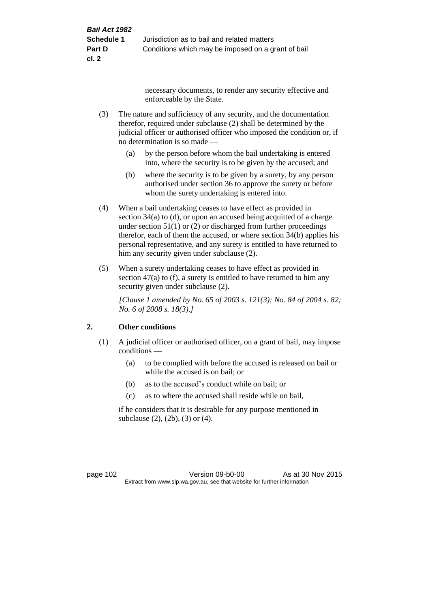necessary documents, to render any security effective and enforceable by the State.

- (3) The nature and sufficiency of any security, and the documentation therefor, required under subclause (2) shall be determined by the judicial officer or authorised officer who imposed the condition or, if no determination is so made —
	- (a) by the person before whom the bail undertaking is entered into, where the security is to be given by the accused; and
	- (b) where the security is to be given by a surety, by any person authorised under section 36 to approve the surety or before whom the surety undertaking is entered into.
- (4) When a bail undertaking ceases to have effect as provided in section 34(a) to (d), or upon an accused being acquitted of a charge under section  $51(1)$  or (2) or discharged from further proceedings therefor, each of them the accused, or where section 34(b) applies his personal representative, and any surety is entitled to have returned to him any security given under subclause (2).
- (5) When a surety undertaking ceases to have effect as provided in section 47(a) to (f), a surety is entitled to have returned to him any security given under subclause  $(2)$ .

*[Clause 1 amended by No. 65 of 2003 s. 121(3); No. 84 of 2004 s. 82; No. 6 of 2008 s. 18(3).]*

# **2. Other conditions**

- (1) A judicial officer or authorised officer, on a grant of bail, may impose conditions —
	- (a) to be complied with before the accused is released on bail or while the accused is on bail; or
	- (b) as to the accused's conduct while on bail; or
	- (c) as to where the accused shall reside while on bail,

if he considers that it is desirable for any purpose mentioned in subclause (2), (2b), (3) or (4).

page 102 Version 09-b0-00 As at 30 Nov 2015 Extract from www.slp.wa.gov.au, see that website for further information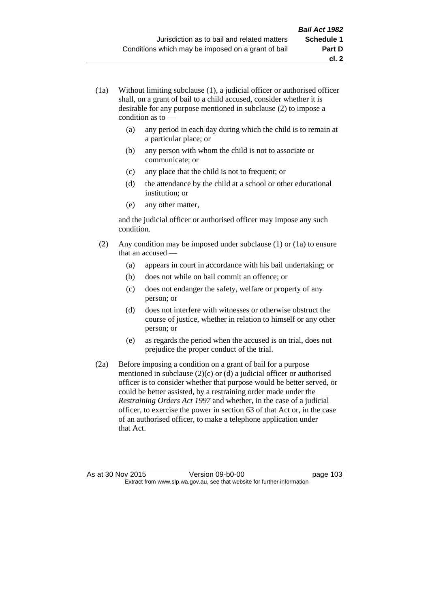- (1a) Without limiting subclause (1), a judicial officer or authorised officer shall, on a grant of bail to a child accused, consider whether it is desirable for any purpose mentioned in subclause (2) to impose a condition as to —
	- (a) any period in each day during which the child is to remain at a particular place; or
	- (b) any person with whom the child is not to associate or communicate; or
	- (c) any place that the child is not to frequent; or
	- (d) the attendance by the child at a school or other educational institution; or
	- (e) any other matter,

and the judicial officer or authorised officer may impose any such condition.

- (2) Any condition may be imposed under subclause (1) or (1a) to ensure that an accused —
	- (a) appears in court in accordance with his bail undertaking; or
	- (b) does not while on bail commit an offence; or
	- (c) does not endanger the safety, welfare or property of any person; or
	- (d) does not interfere with witnesses or otherwise obstruct the course of justice, whether in relation to himself or any other person; or
	- (e) as regards the period when the accused is on trial, does not prejudice the proper conduct of the trial.
- (2a) Before imposing a condition on a grant of bail for a purpose mentioned in subclause (2)(c) or (d) a judicial officer or authorised officer is to consider whether that purpose would be better served, or could be better assisted, by a restraining order made under the *Restraining Orders Act 1997* and whether, in the case of a judicial officer, to exercise the power in section 63 of that Act or, in the case of an authorised officer, to make a telephone application under that Act.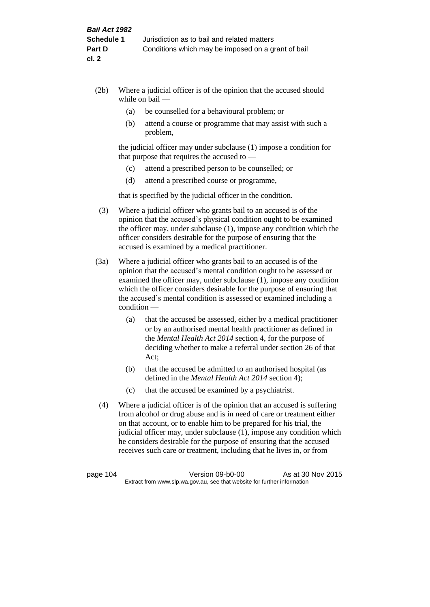- (2b) Where a judicial officer is of the opinion that the accused should while on bail —
	- (a) be counselled for a behavioural problem; or
	- (b) attend a course or programme that may assist with such a problem,

the judicial officer may under subclause (1) impose a condition for that purpose that requires the accused to —

- (c) attend a prescribed person to be counselled; or
- (d) attend a prescribed course or programme,

that is specified by the judicial officer in the condition.

- (3) Where a judicial officer who grants bail to an accused is of the opinion that the accused's physical condition ought to be examined the officer may, under subclause (1), impose any condition which the officer considers desirable for the purpose of ensuring that the accused is examined by a medical practitioner.
- (3a) Where a judicial officer who grants bail to an accused is of the opinion that the accused's mental condition ought to be assessed or examined the officer may, under subclause (1), impose any condition which the officer considers desirable for the purpose of ensuring that the accused's mental condition is assessed or examined including a condition —
	- (a) that the accused be assessed, either by a medical practitioner or by an authorised mental health practitioner as defined in the *Mental Health Act 2014* section 4, for the purpose of deciding whether to make a referral under section 26 of that Act;
	- (b) that the accused be admitted to an authorised hospital (as defined in the *Mental Health Act 2014* section 4);
	- (c) that the accused be examined by a psychiatrist.
- (4) Where a judicial officer is of the opinion that an accused is suffering from alcohol or drug abuse and is in need of care or treatment either on that account, or to enable him to be prepared for his trial, the judicial officer may, under subclause (1), impose any condition which he considers desirable for the purpose of ensuring that the accused receives such care or treatment, including that he lives in, or from

page 104 Version 09-b0-00 As at 30 Nov 2015 Extract from www.slp.wa.gov.au, see that website for further information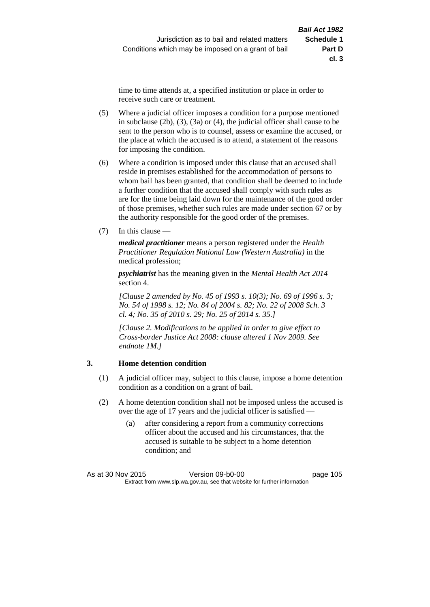time to time attends at, a specified institution or place in order to receive such care or treatment.

- (5) Where a judicial officer imposes a condition for a purpose mentioned in subclause (2b), (3), (3a) or (4), the judicial officer shall cause to be sent to the person who is to counsel, assess or examine the accused, or the place at which the accused is to attend, a statement of the reasons for imposing the condition.
- (6) Where a condition is imposed under this clause that an accused shall reside in premises established for the accommodation of persons to whom bail has been granted, that condition shall be deemed to include a further condition that the accused shall comply with such rules as are for the time being laid down for the maintenance of the good order of those premises, whether such rules are made under section 67 or by the authority responsible for the good order of the premises.
- (7) In this clause —

*medical practitioner* means a person registered under the *Health Practitioner Regulation National Law (Western Australia)* in the medical profession;

*psychiatrist* has the meaning given in the *Mental Health Act 2014* section 4.

*[Clause 2 amended by No. 45 of 1993 s. 10(3); No. 69 of 1996 s. 3; No. 54 of 1998 s. 12; No. 84 of 2004 s. 82; No. 22 of 2008 Sch. 3 cl. 4; No. 35 of 2010 s. 29; No. 25 of 2014 s. 35.]*

*[Clause 2. Modifications to be applied in order to give effect to Cross-border Justice Act 2008: clause altered 1 Nov 2009. See endnote 1M.]*

#### **3. Home detention condition**

- (1) A judicial officer may, subject to this clause, impose a home detention condition as a condition on a grant of bail.
- (2) A home detention condition shall not be imposed unless the accused is over the age of 17 years and the judicial officer is satisfied -
	- (a) after considering a report from a community corrections officer about the accused and his circumstances, that the accused is suitable to be subject to a home detention condition; and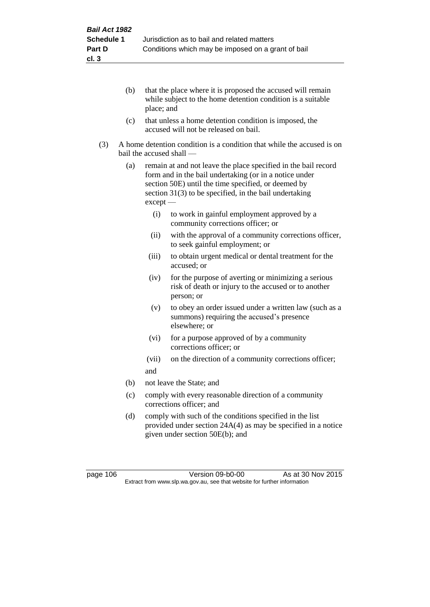- (b) that the place where it is proposed the accused will remain while subject to the home detention condition is a suitable place; and
- (c) that unless a home detention condition is imposed, the accused will not be released on bail.
- (3) A home detention condition is a condition that while the accused is on bail the accused shall —
	- (a) remain at and not leave the place specified in the bail record form and in the bail undertaking (or in a notice under section 50E) until the time specified, or deemed by section 31(3) to be specified, in the bail undertaking except —
		- (i) to work in gainful employment approved by a community corrections officer; or
		- (ii) with the approval of a community corrections officer, to seek gainful employment; or
		- (iii) to obtain urgent medical or dental treatment for the accused; or
		- (iv) for the purpose of averting or minimizing a serious risk of death or injury to the accused or to another person; or
		- (v) to obey an order issued under a written law (such as a summons) requiring the accused's presence elsewhere; or
		- (vi) for a purpose approved of by a community corrections officer; or
		- (vii) on the direction of a community corrections officer; and
	- (b) not leave the State; and
	- (c) comply with every reasonable direction of a community corrections officer; and
	- (d) comply with such of the conditions specified in the list provided under section 24A(4) as may be specified in a notice given under section 50E(b); and

page 106 Version 09-b0-00 As at 30 Nov 2015 Extract from www.slp.wa.gov.au, see that website for further information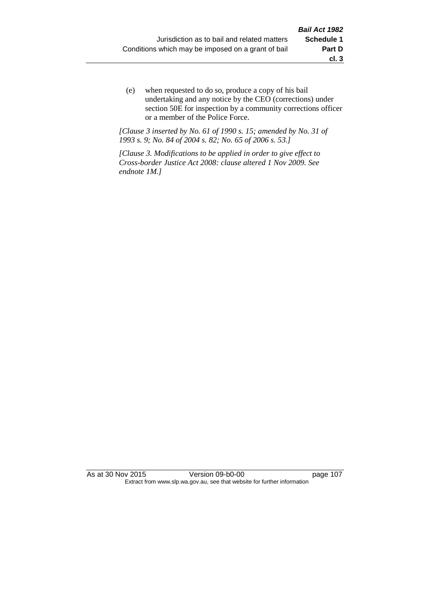(e) when requested to do so, produce a copy of his bail undertaking and any notice by the CEO (corrections) under section 50E for inspection by a community corrections officer or a member of the Police Force.

*[Clause 3 inserted by No. 61 of 1990 s. 15; amended by No. 31 of 1993 s. 9; No. 84 of 2004 s. 82; No. 65 of 2006 s. 53.]*

*[Clause 3. Modifications to be applied in order to give effect to Cross-border Justice Act 2008: clause altered 1 Nov 2009. See endnote 1M.]*

As at 30 Nov 2015 Version 09-b0-00 page 107 Extract from www.slp.wa.gov.au, see that website for further information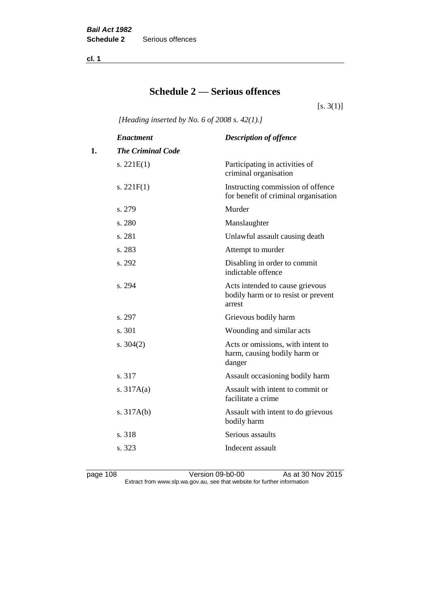**cl. 1**

# **Schedule 2 — Serious offences**

 $[s. 3(1)]$ 

*[Heading inserted by No. 6 of 2008 s. 42(1).]*

|    | <b>Enactment</b>         | <b>Description of offence</b>                                                    |
|----|--------------------------|----------------------------------------------------------------------------------|
| 1. | <b>The Criminal Code</b> |                                                                                  |
|    | s. $221E(1)$             | Participating in activities of<br>criminal organisation                          |
|    | s. $221F(1)$             | Instructing commission of offence<br>for benefit of criminal organisation        |
|    | s. 279                   | Murder                                                                           |
|    | s. 280                   | Manslaughter                                                                     |
|    | s. 281                   | Unlawful assault causing death                                                   |
|    | s. 283                   | Attempt to murder                                                                |
|    | s. 292                   | Disabling in order to commit<br>indictable offence                               |
|    | s. 294                   | Acts intended to cause grievous<br>bodily harm or to resist or prevent<br>arrest |
|    | s. 297                   | Grievous bodily harm                                                             |
|    | s. 301                   | Wounding and similar acts                                                        |
|    | s. $304(2)$              | Acts or omissions, with intent to<br>harm, causing bodily harm or<br>danger      |
|    | s. 317                   | Assault occasioning bodily harm                                                  |
|    | s. $317A(a)$             | Assault with intent to commit or<br>facilitate a crime                           |
|    | s. $317A(b)$             | Assault with intent to do grievous<br>bodily harm                                |
|    | s. 318                   | Serious assaults                                                                 |
|    | s. 323                   | Indecent assault                                                                 |
|    |                          |                                                                                  |

page 108 Version 09-b0-00 As at 30 Nov 2015 Extract from www.slp.wa.gov.au, see that website for further information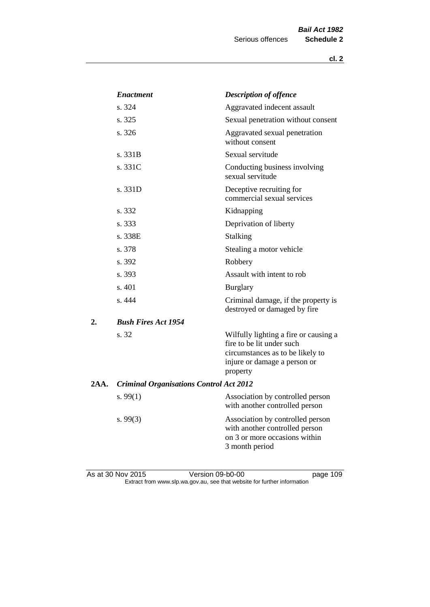|      | <b>Enactment</b>                               | <b>Description of offence</b>                                                                                                                      |
|------|------------------------------------------------|----------------------------------------------------------------------------------------------------------------------------------------------------|
|      | s. 324                                         | Aggravated indecent assault                                                                                                                        |
|      | s. 325                                         | Sexual penetration without consent                                                                                                                 |
|      | s. 326                                         | Aggravated sexual penetration<br>without consent                                                                                                   |
|      | s. 331B                                        | Sexual servitude                                                                                                                                   |
|      | s. 331C                                        | Conducting business involving<br>sexual servitude                                                                                                  |
|      | s. 331D                                        | Deceptive recruiting for<br>commercial sexual services                                                                                             |
|      | s. 332                                         | Kidnapping                                                                                                                                         |
|      | s. 333                                         | Deprivation of liberty                                                                                                                             |
|      | s. 338E                                        | Stalking                                                                                                                                           |
|      | s. 378                                         | Stealing a motor vehicle                                                                                                                           |
|      | s. 392                                         | Robbery                                                                                                                                            |
|      | s. 393                                         | Assault with intent to rob                                                                                                                         |
|      | s. 401                                         | <b>Burglary</b>                                                                                                                                    |
|      | s. 444                                         | Criminal damage, if the property is<br>destroyed or damaged by fire                                                                                |
| 2.   | <b>Bush Fires Act 1954</b>                     |                                                                                                                                                    |
|      | s. 32                                          | Wilfully lighting a fire or causing a<br>fire to be lit under such<br>circumstances as to be likely to<br>injure or damage a person or<br>property |
| 2AA. | <b>Criminal Organisations Control Act 2012</b> |                                                                                                                                                    |
|      | s. $99(1)$                                     | Association by controlled person<br>with another controlled person                                                                                 |
|      | s. 99(3)                                       | Association by controlled person<br>with another controlled person<br>on 3 or more occasions within<br>3 month period                              |
|      |                                                |                                                                                                                                                    |

As at 30 Nov 2015 Version 09-b0-00 page 109 Extract from www.slp.wa.gov.au, see that website for further information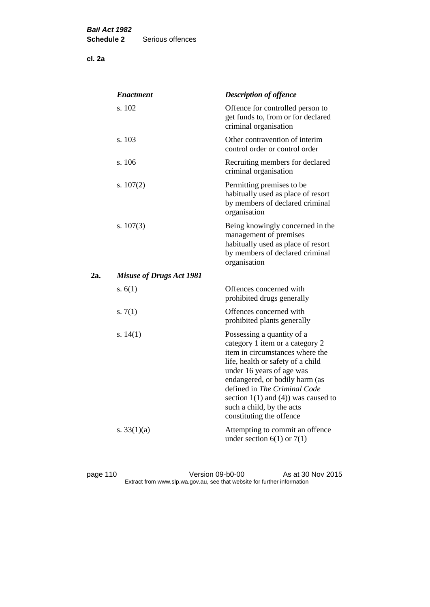**cl. 2a**

|     | <b>Enactment</b>                | <b>Description of offence</b>                                                                                                                                                                                                                                                                                                             |
|-----|---------------------------------|-------------------------------------------------------------------------------------------------------------------------------------------------------------------------------------------------------------------------------------------------------------------------------------------------------------------------------------------|
|     | s. 102                          | Offence for controlled person to<br>get funds to, from or for declared<br>criminal organisation                                                                                                                                                                                                                                           |
|     | s. 103                          | Other contravention of interim<br>control order or control order                                                                                                                                                                                                                                                                          |
|     | s. 106                          | Recruiting members for declared<br>criminal organisation                                                                                                                                                                                                                                                                                  |
|     | s. $107(2)$                     | Permitting premises to be<br>habitually used as place of resort<br>by members of declared criminal<br>organisation                                                                                                                                                                                                                        |
|     | s. $107(3)$                     | Being knowingly concerned in the<br>management of premises<br>habitually used as place of resort<br>by members of declared criminal<br>organisation                                                                                                                                                                                       |
| 2a. | <b>Misuse of Drugs Act 1981</b> |                                                                                                                                                                                                                                                                                                                                           |
|     | s. $6(1)$                       | Offences concerned with<br>prohibited drugs generally                                                                                                                                                                                                                                                                                     |
|     | s. $7(1)$                       | Offences concerned with<br>prohibited plants generally                                                                                                                                                                                                                                                                                    |
|     | s. $14(1)$                      | Possessing a quantity of a<br>category 1 item or a category 2<br>item in circumstances where the<br>life, health or safety of a child<br>under 16 years of age was<br>endangered, or bodily harm (as<br>defined in The Criminal Code<br>section $1(1)$ and $(4)$ ) was caused to<br>such a child, by the acts<br>constituting the offence |
|     | s. $33(1)(a)$                   | Attempting to commit an offence<br>under section $6(1)$ or $7(1)$                                                                                                                                                                                                                                                                         |

page 110 Version 09-b0-00 As at 30 Nov 2015 Extract from www.slp.wa.gov.au, see that website for further information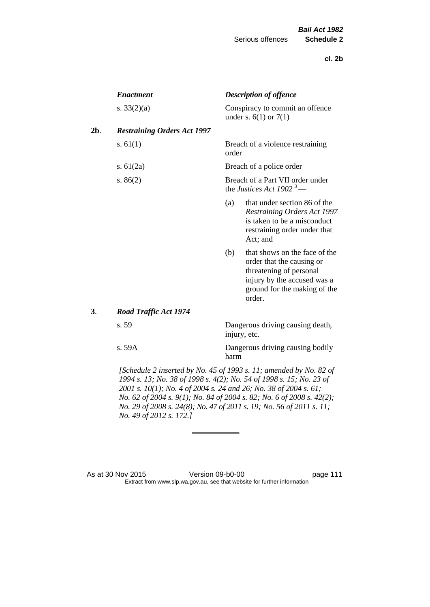|        | <b>Enactment</b>                   |                                                                                                                                                                   | <b>Description of offence</b>                                                                                                                                  |
|--------|------------------------------------|-------------------------------------------------------------------------------------------------------------------------------------------------------------------|----------------------------------------------------------------------------------------------------------------------------------------------------------------|
|        | s. $33(2)(a)$                      |                                                                                                                                                                   | Conspiracy to commit an offence<br>under s. $6(1)$ or $7(1)$                                                                                                   |
| $2b$ . | <b>Restraining Orders Act 1997</b> |                                                                                                                                                                   |                                                                                                                                                                |
|        | s. $61(1)$                         | order                                                                                                                                                             | Breach of a violence restraining                                                                                                                               |
|        | s. $61(2a)$                        |                                                                                                                                                                   | Breach of a police order                                                                                                                                       |
|        | s. $86(2)$                         |                                                                                                                                                                   | Breach of a Part VII order under<br>the Justices Act 1902 <sup>3</sup> —                                                                                       |
|        |                                    | (a)                                                                                                                                                               | that under section 86 of the<br>Restraining Orders Act 1997<br>is taken to be a misconduct<br>restraining order under that<br>Act; and                         |
|        |                                    | (b)                                                                                                                                                               | that shows on the face of the<br>order that the causing or<br>threatening of personal<br>injury by the accused was a<br>ground for the making of the<br>order. |
| 3.     | <b>Road Traffic Act 1974</b>       |                                                                                                                                                                   |                                                                                                                                                                |
|        | s. 59                              |                                                                                                                                                                   | Dangerous driving causing death,<br>injury, etc.                                                                                                               |
|        | s. 59A                             | harm                                                                                                                                                              | Dangerous driving causing bodily                                                                                                                               |
|        |                                    | [Schedule 2 inserted by No. 45 of 1993 s. 11; amended by No. 82 of<br>$1004 - 13 \cdot N_0$ , $38 - 1008 - 103 \cdot N_0$ , $54 - 1008 - 15 \cdot N_0$ , $23 - 6$ |                                                                                                                                                                |

*1994 s. 13; No. 38 of 1998 s. 4(2); No. 54 of 1998 s. 15; No. 23 of 2001 s. 10(1); No. 4 of 2004 s. 24 and 26; No. 38 of 2004 s. 61; No. 62 of 2004 s. 9(1); No. 84 of 2004 s. 82; No. 6 of 2008 s. 42(2); No. 29 of 2008 s. 24(8); No. 47 of 2011 s. 19; No. 56 of 2011 s. 11; No. 49 of 2012 s. 172.]* 

As at 30 Nov 2015 Version 09-b0-00 page 111 Extract from www.slp.wa.gov.au, see that website for further information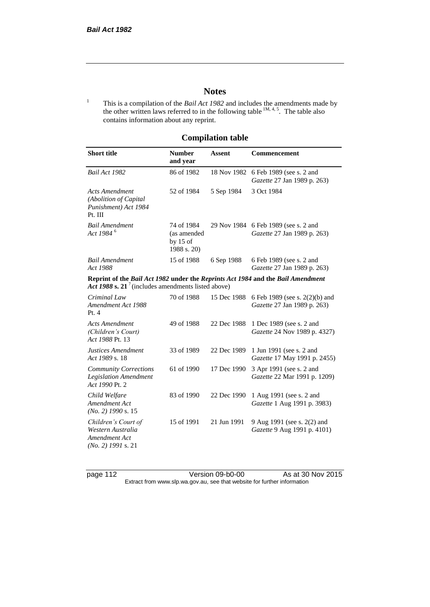# **Notes**

<sup>1</sup> This is a compilation of the *Bail Act 1982* and includes the amendments made by the other written laws referred to in the following table  $^{1M, 4, 5}$ . The table also contains information about any reprint.

# **Compilation table**

| <b>Short title</b>                                                                                                                                | <b>Number</b><br>and year                              | Assent      | Commencement                                                  |
|---------------------------------------------------------------------------------------------------------------------------------------------------|--------------------------------------------------------|-------------|---------------------------------------------------------------|
| Bail Act 1982                                                                                                                                     | 86 of 1982                                             | 18 Nov 1982 | 6 Feb 1989 (see s. 2 and<br>Gazette 27 Jan 1989 p. 263)       |
| <b>Acts Amendment</b><br>(Abolition of Capital<br>Punishment) Act 1984<br>Pt. III                                                                 | 52 of 1984                                             | 5 Sep 1984  | 3 Oct 1984                                                    |
| <b>Bail Amendment</b><br>Act 1984 <sup>6</sup>                                                                                                    | 74 of 1984<br>(as amended<br>by $15$ of<br>1988 s. 20) | 29 Nov 1984 | 6 Feb 1989 (see s. 2 and<br>Gazette 27 Jan 1989 p. 263)       |
| <b>Bail Amendment</b><br>Act 1988                                                                                                                 | 15 of 1988                                             | 6 Sep 1988  | 6 Feb 1989 (see s. 2 and<br>Gazette 27 Jan 1989 p. 263)       |
| Reprint of the Bail Act 1982 under the Reprints Act 1984 and the Bail Amendment<br>Act 1988 s. 21 <sup>7</sup> (includes amendments listed above) |                                                        |             |                                                               |
| Criminal Law<br>Amendment Act 1988<br>Pt.4                                                                                                        | 70 of 1988                                             | 15 Dec 1988 | 6 Feb 1989 (see s. 2(2)(b) and<br>Gazette 27 Jan 1989 p. 263) |
| <b>Acts Amendment</b><br>(Children's Court)<br>Act 1988 Pt. 13                                                                                    | 49 of 1988                                             | 22 Dec 1988 | 1 Dec 1989 (see s. 2 and<br>Gazette 24 Nov 1989 p. 4327)      |
| Justices Amendment<br>Act 1989 s. 18                                                                                                              | 33 of 1989                                             | 22 Dec 1989 | 1 Jun 1991 (see s. 2 and<br>Gazette 17 May 1991 p. 2455)      |
| <b>Community Corrections</b><br><b>Legislation Amendment</b><br>Act 1990 Pt. 2                                                                    | 61 of 1990                                             | 17 Dec 1990 | 3 Apr 1991 (see s. 2 and<br>Gazette 22 Mar 1991 p. 1209)      |
| Child Welfare<br>Amendment Act<br>$(No. 2)$ 1990 s. 15                                                                                            | 83 of 1990                                             | 22 Dec 1990 | 1 Aug 1991 (see s. 2 and<br>Gazette 1 Aug 1991 p. 3983)       |
| Children's Court of<br>Western Australia<br>Amendment Act<br>$(No. 2)$ 1991 s. 21                                                                 | 15 of 1991                                             | 21 Jun 1991 | 9 Aug 1991 (see s. 2(2) and<br>Gazette 9 Aug 1991 p. 4101)    |

page 112 Version 09-b0-00 As at 30 Nov 2015 Extract from www.slp.wa.gov.au, see that website for further information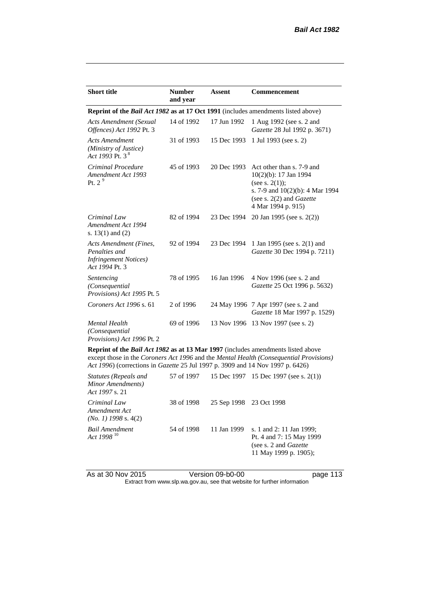| <b>Short title</b>                                                                         | <b>Number</b><br>and year | <b>Assent</b> | Commencement                                                                                                                                                 |  |
|--------------------------------------------------------------------------------------------|---------------------------|---------------|--------------------------------------------------------------------------------------------------------------------------------------------------------------|--|
| Reprint of the <i>Bail Act 1982</i> as at 17 Oct 1991 (includes amendments listed above)   |                           |               |                                                                                                                                                              |  |
| Acts Amendment (Sexual<br>Offences) Act 1992 Pt. 3                                         | 14 of 1992                | 17 Jun 1992   | 1 Aug 1992 (see s. 2 and<br>Gazette 28 Jul 1992 p. 3671)                                                                                                     |  |
| Acts Amendment<br>(Ministry of Justice)<br>Act 1993 Pt. 3 <sup>8</sup>                     | 31 of 1993                | 15 Dec 1993   | 1 Jul 1993 (see s. 2)                                                                                                                                        |  |
| Criminal Procedure<br>Amendment Act 1993<br>Pt. $29$                                       | 45 of 1993                | 20 Dec 1993   | Act other than s. 7-9 and<br>10(2)(b): 17 Jan 1994<br>(see s. $2(1)$ );<br>s. 7-9 and 10(2)(b): 4 Mar 1994<br>(see s. 2(2) and Gazette<br>4 Mar 1994 p. 915) |  |
| Criminal Law<br>Amendment Act 1994<br>s. $13(1)$ and $(2)$                                 | 82 of 1994                | 23 Dec 1994   | 20 Jan 1995 (see s. 2(2))                                                                                                                                    |  |
| Acts Amendment (Fines,<br>Penalties and<br><b>Infringement Notices</b> )<br>Act 1994 Pt. 3 | 92 of 1994                | 23 Dec 1994   | 1 Jan 1995 (see s. 2(1) and<br>Gazette 30 Dec 1994 p. 7211)                                                                                                  |  |
| Sentencing<br>(Consequential<br>Provisions) Act 1995 Pt. 5                                 | 78 of 1995                | 16 Jan 1996   | 4 Nov 1996 (see s. 2 and<br>Gazette 25 Oct 1996 p. 5632)                                                                                                     |  |
| Coroners Act 1996 s. 61                                                                    | 2 of 1996                 |               | 24 May 1996 7 Apr 1997 (see s. 2 and<br>Gazette 18 Mar 1997 p. 1529)                                                                                         |  |
| <b>Mental Health</b><br>(Consequential<br>Provisions) Act 1996 Pt. 2                       | 69 of 1996                |               | 13 Nov 1996 13 Nov 1997 (see s. 2)                                                                                                                           |  |
| Reprint of the <i>Bail Act 1982</i> as at 13 Mar 1997 (includes amendments listed above    |                           |               |                                                                                                                                                              |  |

except those in the *Coroners Act 1996* and the *Mental Health (Consequential Provisions) Act 1996*) (corrections in *Gazette* 25 Jul 1997 p. 3909 and 14 Nov 1997 p. 6426)

| Statutes (Repeals and<br>Minor Amendments)<br>Act 1997 s. 21 |            |                         | 57 of 1997 15 Dec 1997 15 Dec 1997 (see s. 2(1))                                                                |
|--------------------------------------------------------------|------------|-------------------------|-----------------------------------------------------------------------------------------------------------------|
| Criminal Law<br>Amendment Act<br>$(No. 1)$ 1998 s. 4(2)      | 38 of 1998 | 25 Sep 1998 23 Oct 1998 |                                                                                                                 |
| Bail Amendment<br>Act 1998 <sup>10</sup>                     | 54 of 1998 | 11 Jan 1999             | s. 1 and 2: 11 Jan 1999;<br>Pt. 4 and 7: 15 May 1999<br>(see s. 2 and <i>Gazette</i> )<br>11 May 1999 p. 1905); |

As at 30 Nov 2015 Version 09-b0-00 page 113

Extract from www.slp.wa.gov.au, see that website for further information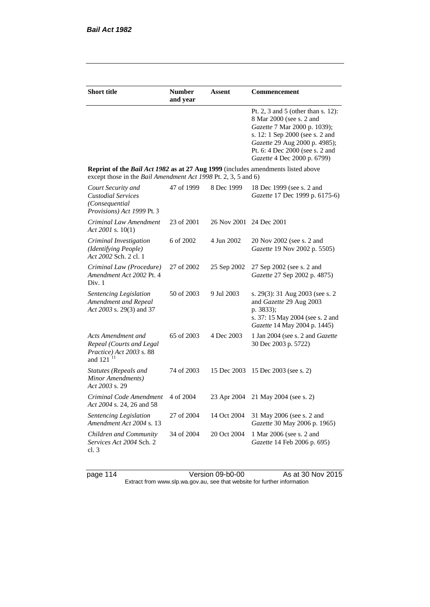| <b>Short title</b>                                                                                                                                 | <b>Number</b><br>and year | Assent                  | <b>Commencement</b>                                                                                                                                                                                                                  |
|----------------------------------------------------------------------------------------------------------------------------------------------------|---------------------------|-------------------------|--------------------------------------------------------------------------------------------------------------------------------------------------------------------------------------------------------------------------------------|
|                                                                                                                                                    |                           |                         | Pt. 2, 3 and 5 (other than s. 12):<br>8 Mar 2000 (see s. 2 and<br>Gazette 7 Mar 2000 p. 1039);<br>s. 12: 1 Sep 2000 (see s. 2 and<br>Gazette 29 Aug 2000 p. 4985);<br>Pt. 6: 4 Dec 2000 (see s. 2 and<br>Gazette 4 Dec 2000 p. 6799) |
| Reprint of the Bail Act 1982 as at 27 Aug 1999 (includes amendments listed above<br>except those in the Bail Amendment Act 1998 Pt. 2, 3, 5 and 6) |                           |                         |                                                                                                                                                                                                                                      |
| Court Security and<br><b>Custodial Services</b><br>(Consequential)<br>Provisions) Act 1999 Pt. 3                                                   | 47 of 1999                | 8 Dec 1999              | 18 Dec 1999 (see s. 2 and<br>Gazette 17 Dec 1999 p. 6175-6)                                                                                                                                                                          |
| Criminal Law Amendment<br>Act 2001 s. $10(1)$                                                                                                      | 23 of 2001                | 26 Nov 2001 24 Dec 2001 |                                                                                                                                                                                                                                      |
| Criminal Investigation<br>(Identifying People)<br>Act 2002 Sch. 2 cl. 1                                                                            | 6 of 2002                 | 4 Jun 2002              | 20 Nov 2002 (see s. 2 and<br>Gazette 19 Nov 2002 p. 5505)                                                                                                                                                                            |
| Criminal Law (Procedure)<br>Amendment Act 2002 Pt. 4<br>Div. 1                                                                                     | 27 of 2002                | 25 Sep 2002             | 27 Sep 2002 (see s. 2 and<br>Gazette 27 Sep 2002 p. 4875)                                                                                                                                                                            |
| <b>Sentencing Legislation</b><br>Amendment and Repeal<br>Act 2003 s. 29(3) and 37                                                                  | 50 of 2003                | 9 Jul 2003              | s. 29(3): 31 Aug 2003 (see s. 2)<br>and Gazette 29 Aug 2003<br>p. 3833);<br>s. 37: 15 May 2004 (see s. 2 and<br>Gazette 14 May 2004 p. 1445)                                                                                         |
| Acts Amendment and<br>Repeal (Courts and Legal<br>Practice) Act 2003 s. 88<br>and $121$ <sup>11</sup>                                              | 65 of 2003                | 4 Dec 2003              | 1 Jan 2004 (see s. 2 and <i>Gazette</i><br>30 Dec 2003 p. 5722)                                                                                                                                                                      |
| <b>Statutes (Repeals and</b><br>Minor Amendments)<br>Act 2003 s. 29                                                                                | 74 of 2003                | 15 Dec 2003             | 15 Dec 2003 (see s. 2)                                                                                                                                                                                                               |
| Criminal Code Amendment<br>Act 2004 s. 24, 26 and 58                                                                                               | 4 of 2004                 | 23 Apr 2004             | 21 May 2004 (see s. 2)                                                                                                                                                                                                               |
| <b>Sentencing Legislation</b><br>Amendment Act 2004 s. 13                                                                                          | 27 of 2004                | 14 Oct 2004             | 31 May 2006 (see s. 2 and<br>Gazette 30 May 2006 p. 1965)                                                                                                                                                                            |
| Children and Community<br>Services Act 2004 Sch. 2<br>cl.3                                                                                         | 34 of 2004                | 20 Oct 2004             | 1 Mar 2006 (see s. 2 and<br>Gazette 14 Feb 2006 p. 695)                                                                                                                                                                              |

page 114 Version 09-b0-00 As at 30 Nov 2015 Extract from www.slp.wa.gov.au, see that website for further information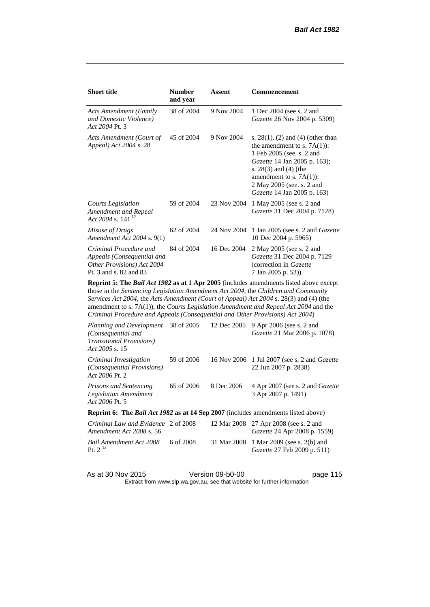| <b>Short title</b>                                                                                           | <b>Number</b><br>and year | Assent      | Commencement                                                                                                                                                                                                                                             |  |
|--------------------------------------------------------------------------------------------------------------|---------------------------|-------------|----------------------------------------------------------------------------------------------------------------------------------------------------------------------------------------------------------------------------------------------------------|--|
| <b>Acts Amendment (Family</b><br>and Domestic Violence)<br>Act 2004 Pt. 3                                    | 38 of 2004                | 9 Nov 2004  | 1 Dec 2004 (see s. 2 and<br><i>Gazette</i> 26 Nov 2004 p. 5309)                                                                                                                                                                                          |  |
| Acts Amendment (Court of<br>Appeal) Act 2004 s. 28                                                           | 45 of 2004                | 9 Nov 2004  | s. $28(1)$ , (2) and (4) (other than<br>the amendment to s. $7A(1)$ :<br>1 Feb 2005 (see. s. 2 and<br>Gazette 14 Jan 2005 p. 163);<br>s. $28(3)$ and $(4)$ (the<br>amendment to s. $7A(1)$ :<br>2 May 2005 (see. s. 2 and<br>Gazette 14 Jan 2005 p. 163) |  |
| Courts Legislation<br>Amendment and Repeal<br>Act 2004 s. 141 <sup>12</sup>                                  | 59 of 2004                | 23 Nov 2004 | 1 May 2005 (see s. 2 and<br>Gazette 31 Dec 2004 p. 7128)                                                                                                                                                                                                 |  |
| Misuse of Drugs<br>Amendment Act 2004 s. 9(1)                                                                | 62 of 2004                | 24 Nov 2004 | 1 Jan 2005 (see s. 2 and <i>Gazette</i><br>10 Dec 2004 p. 5965)                                                                                                                                                                                          |  |
| Criminal Procedure and<br>Appeals (Consequential and<br>Other Provisions) Act 2004<br>Pt. 3 and s. 82 and 83 | 84 of 2004                | 16 Dec 2004 | 2 May 2005 (see s. 2 and<br>Gazette 31 Dec 2004 p. 7129<br>(correction in Gazette)<br>7 Jan 2005 p. 53))                                                                                                                                                 |  |
| <b>Doppint 5. The Pail Act 1082 as of 1 Apr 2005</b> (includes emandments listed above except                |                           |             |                                                                                                                                                                                                                                                          |  |

**Reprint 5: The** *Bail Act 1982* **as at 1 Apr 2005** (includes amendments listed above except those in the *Sentencing Legislation Amendment Act 2004*, the *Children and Community Services Act 2004*, the *Acts Amendment (Court of Appeal) Act 2004* s. 28(3) and (4) (the amendment to s. 7A(1)), the *Courts Legislation Amendment and Repeal Act 2004* and the *Criminal Procedure and Appeals (Consequential and Other Provisions) Act 2004*)

| Planning and Development<br>(Consequential and<br><b>Transitional Provisions</b> )<br>Act 2005 s. 15 | 38 of 2005 | 12 Dec 2005 | 9 Apr 2006 (see s. 2 and<br><i>Gazette</i> 21 Mar 2006 p. 1078)               |  |  |
|------------------------------------------------------------------------------------------------------|------------|-------------|-------------------------------------------------------------------------------|--|--|
| Criminal Investigation<br><i>(Consequential Provisions)</i><br>Act 2006 Pt. 2                        | 59 of 2006 |             | 16 Nov 2006 1 Jul 2007 (see s. 2 and <i>Gazette</i><br>22 Jun 2007 p. 2838)   |  |  |
| <b>Prisons and Sentencing</b><br><b>Legislation Amendment</b><br>Act 2006 Pt. 5                      | 65 of 2006 | 8 Dec 2006  | 4 Apr 2007 (see s. 2 and <i>Gazette</i><br>3 Apr 2007 p. 1491)                |  |  |
| <b>Reprint 6: The Bail Act 1982 as at 14 Sep 2007</b> (includes amendments listed above)             |            |             |                                                                               |  |  |
| Criminal Law and Evidence 2 of 2008<br>Amendment Act 2008 s. 56                                      |            |             | 12 Mar 2008 27 Apr 2008 (see s. 2 and<br><i>Gazette</i> 24 Apr 2008 p. 1559)  |  |  |
| Bail Amendment Act 2008<br>Pt. $2^{13}$                                                              | 6 of 2008  |             | 31 Mar 2008 1 Mar 2009 (see s. 2(b) and<br><i>Gazette</i> 27 Feb 2009 p. 511) |  |  |

As at 30 Nov 2015 Version 09-b0-00 page 115

Extract from www.slp.wa.gov.au, see that website for further information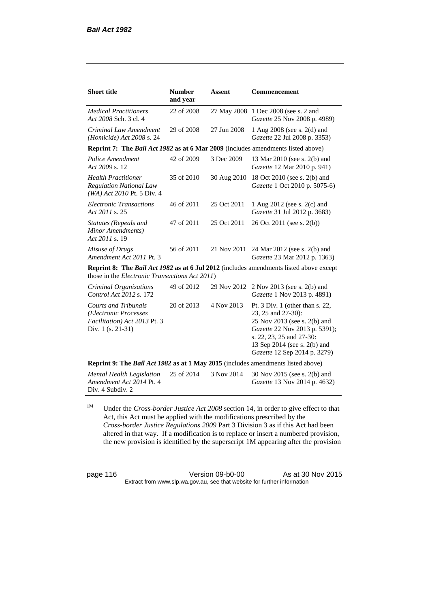| <b>Short title</b>                                                                                                                                      | <b>Number</b><br>and year | <b>Assent</b> | <b>Commencement</b>                                                                                                                                                                                                |
|---------------------------------------------------------------------------------------------------------------------------------------------------------|---------------------------|---------------|--------------------------------------------------------------------------------------------------------------------------------------------------------------------------------------------------------------------|
| <b>Medical Practitioners</b><br>Act 2008 Sch. 3 cl. 4                                                                                                   | 22 of 2008                |               | 27 May 2008 1 Dec 2008 (see s. 2 and<br>Gazette 25 Nov 2008 p. 4989)                                                                                                                                               |
| Criminal Law Amendment<br>(Homicide) Act $2008$ s. 24                                                                                                   | 29 of 2008                | 27 Jun 2008   | 1 Aug 2008 (see s. 2(d) and<br>Gazette 22 Jul 2008 p. 3353)                                                                                                                                                        |
| <b>Reprint 7: The Bail Act 1982 as at 6 Mar 2009</b> (includes amendments listed above)                                                                 |                           |               |                                                                                                                                                                                                                    |
| Police Amendment<br>Act 2009 s. 12                                                                                                                      | 42 of 2009                | 3 Dec 2009    | 13 Mar 2010 (see s. 2(b) and<br>Gazette 12 Mar 2010 p. 941)                                                                                                                                                        |
| <b>Health Practitioner</b><br><b>Regulation National Law</b><br>(WA) Act 2010 Pt. 5 Div. 4                                                              | 35 of 2010                | 30 Aug 2010   | 18 Oct 2010 (see s. 2(b) and<br>Gazette 1 Oct 2010 p. 5075-6)                                                                                                                                                      |
| <b>Electronic Transactions</b><br>Act 2011 s. 25                                                                                                        | 46 of 2011                | 25 Oct 2011   | 1 Aug 2012 (see s. 2(c) and<br>Gazette 31 Jul 2012 p. 3683)                                                                                                                                                        |
| Statutes (Repeals and<br>Minor Amendments)<br>Act 2011 s. 19                                                                                            | 47 of 2011                | 25 Oct 2011   | 26 Oct 2011 (see s. 2(b))                                                                                                                                                                                          |
| Misuse of Drugs<br>Amendment Act 2011 Pt. 3                                                                                                             | 56 of 2011                | 21 Nov 2011   | 24 Mar 2012 (see s. 2(b) and<br>Gazette 23 Mar 2012 p. 1363)                                                                                                                                                       |
| <b>Reprint 8: The Bail Act 1982 as at 6 Jul 2012</b> (includes amendments listed above except<br>those in the <i>Electronic Transactions Act 2011</i> ) |                           |               |                                                                                                                                                                                                                    |
| Criminal Organisations<br>Control Act 2012 s. 172                                                                                                       | 49 of 2012                | 29 Nov 2012   | 2 Nov 2013 (see s. 2(b) and<br>Gazette 1 Nov 2013 p. 4891)                                                                                                                                                         |
| <b>Courts and Tribunals</b><br>(Electronic Processes<br>Facilitation) Act 2013 Pt. 3<br>Div. 1 (s. 21-31)                                               | 20 of 2013                | 4 Nov 2013    | Pt. 3 Div. 1 (other than s. 22,<br>23, 25 and 27-30):<br>25 Nov 2013 (see s. 2(b) and<br>Gazette 22 Nov 2013 p. 5391);<br>s. 22, 23, 25 and 27-30:<br>13 Sep 2014 (see s. 2(b) and<br>Gazette 12 Sep 2014 p. 3279) |
| Reprint 9: The Bail Act 1982 as at 1 May 2015 (includes amendments listed above)                                                                        |                           |               |                                                                                                                                                                                                                    |
| <b>Mental Health Legislation</b><br>Amendment Act 2014 Pt. 4<br>Div. 4 Subdiv. 2                                                                        | 25 of 2014                | 3 Nov 2014    | 30 Nov 2015 (see s. 2(b) and<br>Gazette 13 Nov 2014 p. 4632)                                                                                                                                                       |

<sup>1M</sup> Under the *Cross-border Justice Act 2008* section 14, in order to give effect to that Act, this Act must be applied with the modifications prescribed by the *Cross-border Justice Regulations 2009* Part 3 Division 3 as if this Act had been altered in that way. If a modification is to replace or insert a numbered provision, the new provision is identified by the superscript 1M appearing after the provision

page 116 Version 09-b0-00 As at 30 Nov 2015 Extract from www.slp.wa.gov.au, see that website for further information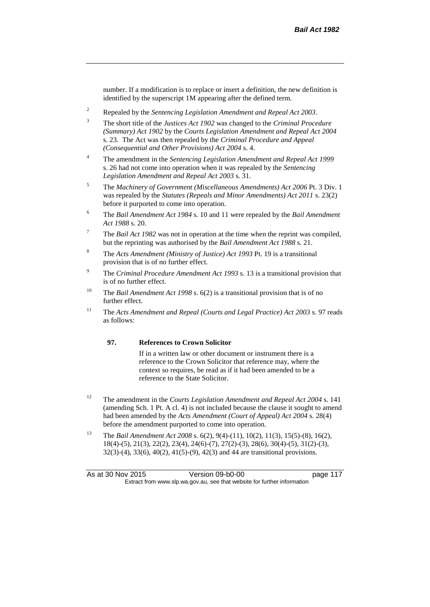number. If a modification is to replace or insert a definition, the new definition is identified by the superscript 1M appearing after the defined term.

- <sup>2</sup> Repealed by the *Sentencing Legislation Amendment and Repeal Act 2003*.
- <sup>3</sup> The short title of the *Justices Act 1902* was changed to the *Criminal Procedure (Summary) Act 1902* by the *Courts Legislation Amendment and Repeal Act 2004*  s. 23. The Act was then repealed by the *Criminal Procedure and Appeal (Consequential and Other Provisions) Act 2004* s. 4.
- <sup>4</sup> The amendment in the *Sentencing Legislation Amendment and Repeal Act 1999* s. 26 had not come into operation when it was repealed by the *Sentencing Legislation Amendment and Repeal Act 2003* s. 31.
- <sup>5</sup> The *Machinery of Government (Miscellaneous Amendments) Act 2006* Pt. 3 Div. 1 was repealed by the *Statutes (Repeals and Minor Amendments) Act 2011* s. 23(2) before it purported to come into operation.
- <sup>6</sup> The *Bail Amendment Act 1984* s. 10 and 11 were repealed by the *Bail Amendment Act 1988* s. 20.
- <sup>7</sup> The *Bail Act 1982* was not in operation at the time when the reprint was compiled, but the reprinting was authorised by the *Bail Amendment Act 1988* s. 21.
- <sup>8</sup> The *Acts Amendment (Ministry of Justice) Act 1993* Pt. 19 is a transitional provision that is of no further effect.
- <sup>9</sup> The *Criminal Procedure Amendment Act 1993* s. 13 is a transitional provision that is of no further effect.
- <sup>10</sup> The *Bail Amendment Act 1998* s. 6(2) is a transitional provision that is of no further effect.
- <sup>11</sup> The *Acts Amendment and Repeal (Courts and Legal Practice) Act 2003* s. 97 reads as follows:

#### **97. References to Crown Solicitor**

If in a written law or other document or instrument there is a reference to the Crown Solicitor that reference may, where the context so requires, be read as if it had been amended to be a reference to the State Solicitor.

- <sup>12</sup> The amendment in the *Courts Legislation Amendment and Repeal Act 2004* s. 141 (amending Sch. 1 Pt. A cl. 4) is not included because the clause it sought to amend had been amended by the *Acts Amendment (Court of Appeal) Act 2004* s. 28(4) before the amendment purported to come into operation.
- <sup>13</sup> The *Bail Amendment Act 2008* s. 6(2), 9(4)-(11), 10(2), 11(3), 15(5)-(8), 16(2), 18(4)-(5), 21(3), 22(2), 23(4), 24(6)-(7), 27(2)-(3), 28(6), 30(4)-(5), 31(2)-(3), 32(3)-(4), 33(6), 40(2), 41(5)-(9), 42(3) and 44 are transitional provisions.

As at 30 Nov 2015 Version 09-b0-00 page 117 Extract from www.slp.wa.gov.au, see that website for further information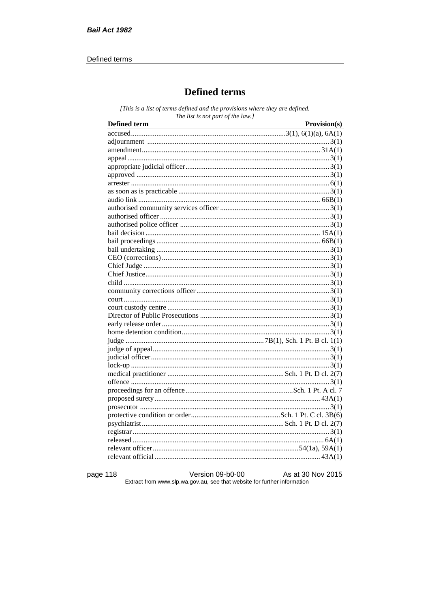#### Defined terms

# **Defined terms**

[This is a list of terms defined and the provisions where they are defined. The list is not part of the law.]

| <b>Defined term</b> | Provision(s) |
|---------------------|--------------|
|                     |              |
|                     |              |
|                     |              |
|                     |              |
|                     |              |
|                     |              |
|                     |              |
|                     |              |
|                     |              |
|                     |              |
|                     |              |
|                     |              |
|                     |              |
|                     |              |
|                     |              |
|                     |              |
|                     |              |
|                     |              |
|                     |              |
|                     |              |
|                     |              |
|                     |              |
|                     |              |
|                     |              |
|                     |              |
|                     |              |
|                     |              |
|                     |              |
|                     |              |
|                     |              |
|                     |              |
|                     |              |
|                     |              |
|                     |              |
|                     |              |
|                     |              |
|                     |              |
|                     |              |
|                     |              |
|                     |              |

page 118

Version 09-b0-00 As at 30 Nov 2015 Extract from www.slp.wa.gov.au, see that website for further information